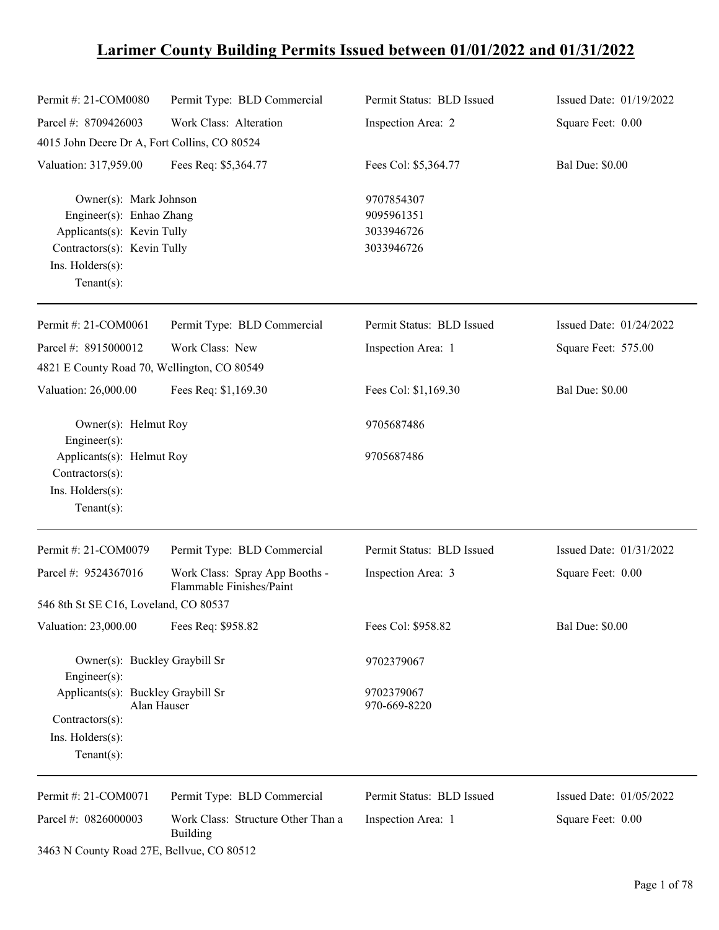# **Larimer County Building Permits Issued between 01/01/2022 and 01/31/2022**

| Permit #: 21-COM0080                                                                                                                                  | Permit Type: BLD Commercial                                | Permit Status: BLD Issued                            | Issued Date: 01/19/2022 |
|-------------------------------------------------------------------------------------------------------------------------------------------------------|------------------------------------------------------------|------------------------------------------------------|-------------------------|
| Parcel #: 8709426003                                                                                                                                  | Work Class: Alteration                                     | Inspection Area: 2                                   | Square Feet: 0.00       |
| 4015 John Deere Dr A, Fort Collins, CO 80524                                                                                                          |                                                            |                                                      |                         |
| Valuation: 317,959.00                                                                                                                                 | Fees Req: \$5,364.77                                       | Fees Col: \$5,364.77                                 | <b>Bal Due: \$0.00</b>  |
| Owner(s): Mark Johnson<br>Engineer(s): Enhao Zhang<br>Applicants(s): Kevin Tully<br>Contractors(s): Kevin Tully<br>Ins. Holders(s):<br>Tenant $(s)$ : |                                                            | 9707854307<br>9095961351<br>3033946726<br>3033946726 |                         |
| Permit #: 21-COM0061                                                                                                                                  | Permit Type: BLD Commercial                                | Permit Status: BLD Issued                            | Issued Date: 01/24/2022 |
| Parcel #: 8915000012                                                                                                                                  | Work Class: New                                            | Inspection Area: 1                                   | Square Feet: 575.00     |
| 4821 E County Road 70, Wellington, CO 80549                                                                                                           |                                                            |                                                      |                         |
| Valuation: 26,000.00                                                                                                                                  | Fees Req: \$1,169.30                                       | Fees Col: \$1,169.30                                 | <b>Bal Due: \$0.00</b>  |
| Owner(s): Helmut Roy<br>$Engineering(s)$ :                                                                                                            |                                                            | 9705687486                                           |                         |
| Applicants(s): Helmut Roy<br>Contractors(s):<br>Ins. Holders(s):<br>$Tenant(s)$ :                                                                     |                                                            | 9705687486                                           |                         |
| Permit #: 21-COM0079                                                                                                                                  | Permit Type: BLD Commercial                                | Permit Status: BLD Issued                            | Issued Date: 01/31/2022 |
| Parcel #: 9524367016                                                                                                                                  | Work Class: Spray App Booths -<br>Flammable Finishes/Paint | Inspection Area: 3                                   | Square Feet: 0.00       |
| 546 8th St SE C16, Loveland, CO 80537                                                                                                                 |                                                            |                                                      |                         |
| Valuation: 23,000.00                                                                                                                                  | Fees Req: \$958.82                                         | Fees Col: \$958.82                                   | <b>Bal Due: \$0.00</b>  |
| Owner(s): Buckley Graybill Sr<br>Engineer(s):                                                                                                         |                                                            | 9702379067                                           |                         |
| Applicants(s): Buckley Graybill Sr<br>Contractors(s):                                                                                                 | Alan Hauser                                                | 9702379067<br>970-669-8220                           |                         |
| Ins. Holders(s):<br>$Tenant(s)$ :                                                                                                                     |                                                            |                                                      |                         |
| Permit #: 21-COM0071                                                                                                                                  | Permit Type: BLD Commercial                                | Permit Status: BLD Issued                            | Issued Date: 01/05/2022 |
| Parcel #: 0826000003                                                                                                                                  | Work Class: Structure Other Than a<br><b>Building</b>      | Inspection Area: 1                                   | Square Feet: 0.00       |

3463 N County Road 27E, Bellvue, CO 80512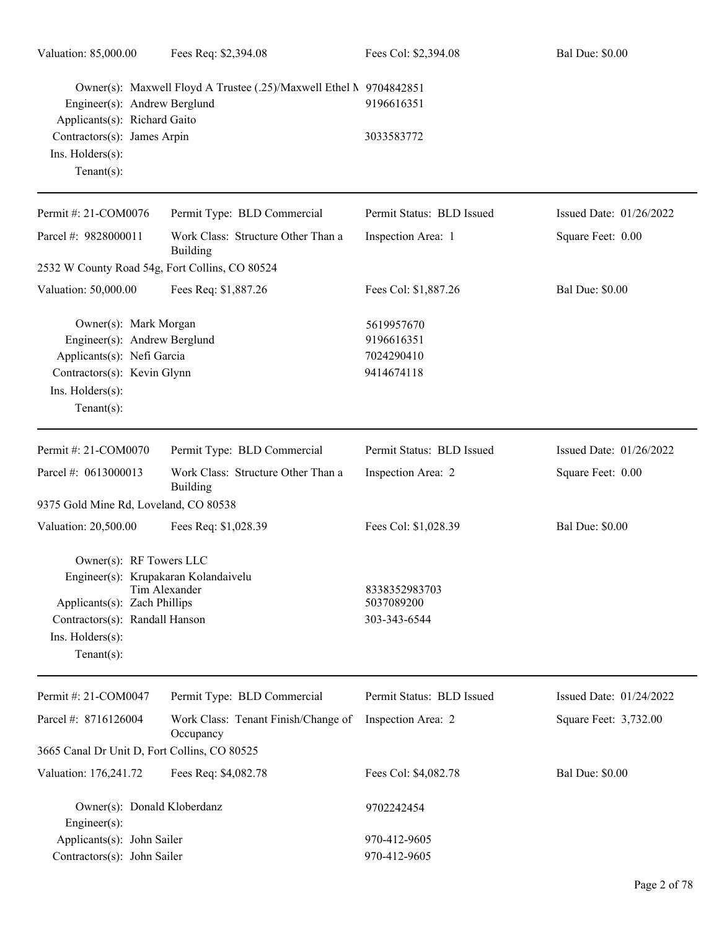| Valuation: 85,000.00                                                                                                                                                   | Fees Req: \$2,394.08                                                                                                               | Fees Col: \$2,394.08                                 | <b>Bal Due: \$0.00</b>  |  |
|------------------------------------------------------------------------------------------------------------------------------------------------------------------------|------------------------------------------------------------------------------------------------------------------------------------|------------------------------------------------------|-------------------------|--|
|                                                                                                                                                                        | Owner(s): Maxwell Floyd A Trustee (.25)/Maxwell Ethel N 9704842851<br>Engineer(s): Andrew Berglund<br>Applicants(s): Richard Gaito |                                                      |                         |  |
| Contractors(s): James Arpin<br>Ins. Holders(s):<br>Tenant $(s)$ :                                                                                                      |                                                                                                                                    | 3033583772                                           |                         |  |
| Permit #: 21-COM0076                                                                                                                                                   | Permit Type: BLD Commercial                                                                                                        | Permit Status: BLD Issued                            | Issued Date: 01/26/2022 |  |
| Parcel #: 9828000011                                                                                                                                                   | Work Class: Structure Other Than a<br>Building                                                                                     | Inspection Area: 1                                   | Square Feet: 0.00       |  |
| 2532 W County Road 54g, Fort Collins, CO 80524                                                                                                                         |                                                                                                                                    |                                                      |                         |  |
| Valuation: 50,000.00                                                                                                                                                   | Fees Req: \$1,887.26                                                                                                               | Fees Col: \$1,887.26                                 | <b>Bal Due: \$0.00</b>  |  |
| Owner(s): Mark Morgan<br>Engineer(s): Andrew Berglund<br>Applicants(s): Nefi Garcia<br>Contractors(s): Kevin Glynn<br>Ins. Holders(s):<br>$Tenant(s)$ :                |                                                                                                                                    | 5619957670<br>9196616351<br>7024290410<br>9414674118 |                         |  |
| Permit #: 21-COM0070                                                                                                                                                   | Permit Type: BLD Commercial                                                                                                        | Permit Status: BLD Issued                            | Issued Date: 01/26/2022 |  |
| Parcel #: 0613000013                                                                                                                                                   | Work Class: Structure Other Than a<br>Building                                                                                     | Inspection Area: 2                                   | Square Feet: 0.00       |  |
| 9375 Gold Mine Rd, Loveland, CO 80538                                                                                                                                  |                                                                                                                                    |                                                      |                         |  |
| Valuation: 20,500.00                                                                                                                                                   | Fees Req: \$1,028.39                                                                                                               | Fees Col: \$1,028.39                                 | <b>Bal Due: \$0.00</b>  |  |
| Owner(s): RF Towers LLC<br>Engineer(s): Krupakaran Kolandaivelu<br>Applicants(s): Zach Phillips<br>Contractors(s): Randall Hanson<br>Ins. Holders(s):<br>$Tenant(s)$ : | Tim Alexander                                                                                                                      | 8338352983703<br>5037089200<br>303-343-6544          |                         |  |
| Permit #: 21-COM0047                                                                                                                                                   | Permit Type: BLD Commercial                                                                                                        | Permit Status: BLD Issued                            | Issued Date: 01/24/2022 |  |
| Parcel #: 8716126004                                                                                                                                                   | Work Class: Tenant Finish/Change of<br>Occupancy                                                                                   | Inspection Area: 2                                   | Square Feet: 3,732.00   |  |
| 3665 Canal Dr Unit D, Fort Collins, CO 80525                                                                                                                           |                                                                                                                                    |                                                      |                         |  |
| Valuation: 176,241.72                                                                                                                                                  | Fees Req: \$4,082.78                                                                                                               | Fees Col: \$4,082.78                                 | <b>Bal Due: \$0.00</b>  |  |
| Owner(s): Donald Kloberdanz<br>Engineer(s):                                                                                                                            |                                                                                                                                    | 9702242454                                           |                         |  |
| Applicants(s): John Sailer                                                                                                                                             |                                                                                                                                    | 970-412-9605                                         |                         |  |
| Contractors(s): John Sailer                                                                                                                                            |                                                                                                                                    | 970-412-9605                                         |                         |  |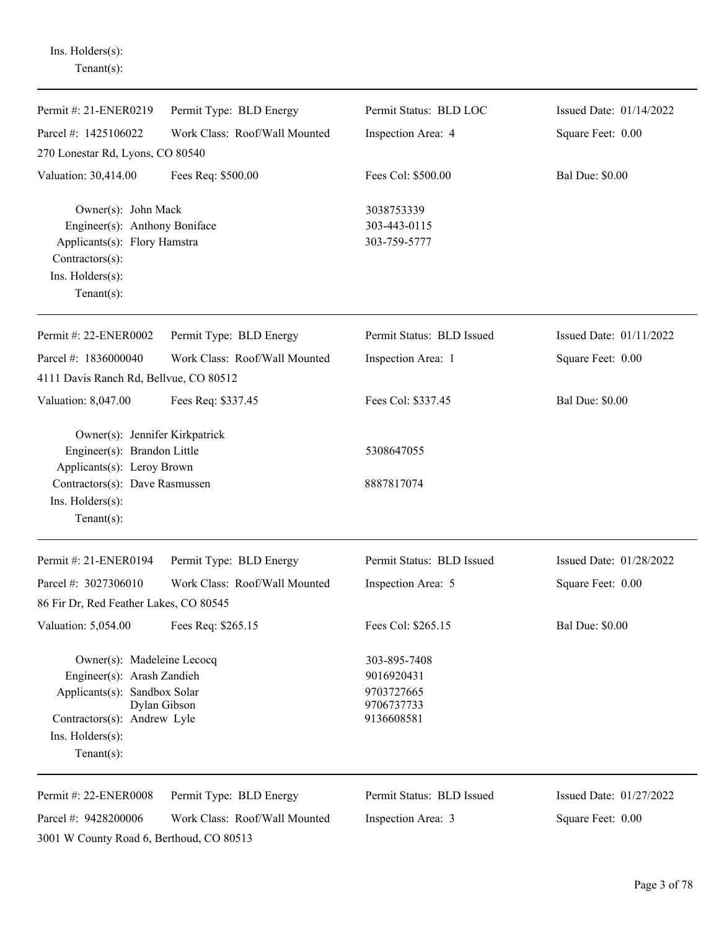| $Tenant(s)$ :                                                                                                                                                 |                               |                                                                      |                           |
|---------------------------------------------------------------------------------------------------------------------------------------------------------------|-------------------------------|----------------------------------------------------------------------|---------------------------|
| Permit #: 21-ENER0219                                                                                                                                         | Permit Type: BLD Energy       | Permit Status: BLD LOC                                               | Issued Date: 01/14/2022   |
| Parcel #: 1425106022                                                                                                                                          | Work Class: Roof/Wall Mounted | Inspection Area: 4                                                   | Square Feet: 0.00         |
| 270 Lonestar Rd, Lyons, CO 80540                                                                                                                              |                               |                                                                      |                           |
| Valuation: 30,414.00                                                                                                                                          | Fees Req: \$500.00            | Fees Col: \$500.00                                                   | <b>Bal Due: \$0.00</b>    |
| Owner(s): John Mack<br>Engineer(s): Anthony Boniface<br>Applicants(s): Flory Hamstra<br>Contractors(s):<br>Ins. Holders(s):<br>Tenant $(s)$ :                 |                               | 3038753339<br>303-443-0115<br>303-759-5777                           |                           |
| Permit #: 22-ENER0002                                                                                                                                         | Permit Type: BLD Energy       | Permit Status: BLD Issued                                            | Issued Date: $01/11/2022$ |
| Parcel #: 1836000040                                                                                                                                          | Work Class: Roof/Wall Mounted | Inspection Area: 1                                                   | Square Feet: 0.00         |
| 4111 Davis Ranch Rd, Bellvue, CO 80512                                                                                                                        |                               |                                                                      |                           |
| Valuation: 8,047.00                                                                                                                                           | Fees Req: \$337.45            | Fees Col: \$337.45                                                   | <b>Bal Due: \$0.00</b>    |
| Owner(s): Jennifer Kirkpatrick<br>Engineer(s): Brandon Little<br>Applicants(s): Leroy Brown                                                                   |                               | 5308647055                                                           |                           |
| Contractors(s): Dave Rasmussen<br>Ins. Holders(s):<br>$Tenant(s)$ :                                                                                           |                               | 8887817074                                                           |                           |
| Permit #: 21-ENER0194                                                                                                                                         | Permit Type: BLD Energy       | Permit Status: BLD Issued                                            | Issued Date: 01/28/2022   |
| Parcel #: $3027306010$                                                                                                                                        | Work Class: Roof/Wall Mounted | Inspection Area: 5                                                   | Square Feet: 0.00         |
| 86 Fir Dr, Red Feather Lakes, CO 80545                                                                                                                        |                               |                                                                      |                           |
| Valuation: 5,054.00                                                                                                                                           | Fees Req: \$265.15            | Fees Col: \$265.15                                                   | <b>Bal Due: \$0.00</b>    |
| Owner(s): Madeleine Lecocq<br>Engineer(s): Arash Zandieh<br>Applicants(s): Sandbox Solar<br>Contractors(s): Andrew Lyle<br>Ins. Holders(s):<br>Tenant $(s)$ : | Dylan Gibson                  | 303-895-7408<br>9016920431<br>9703727665<br>9706737733<br>9136608581 |                           |
| Permit #: 22-ENER0008                                                                                                                                         | Permit Type: BLD Energy       | Permit Status: BLD Issued                                            | Issued Date: 01/27/2022   |
| Parcel #: 9428200006                                                                                                                                          | Work Class: Roof/Wall Mounted | Inspection Area: 3                                                   | Square Feet: 0.00         |
| 3001 W County Road 6, Berthoud, CO 80513                                                                                                                      |                               |                                                                      |                           |

Ins. Holders(s):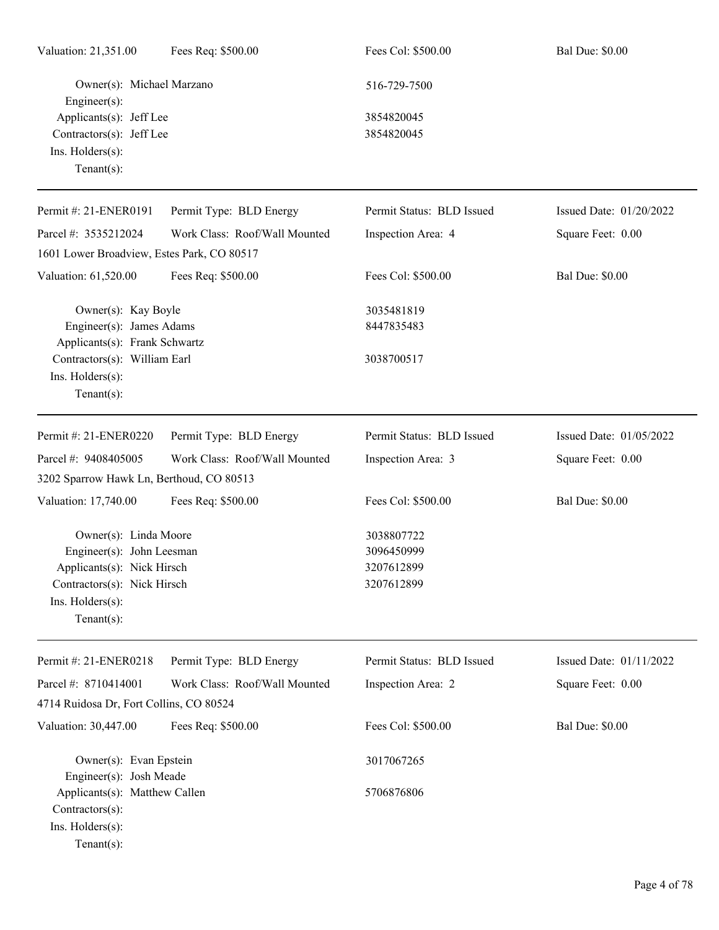| Valuation: 21,351.00                                                                                                                                 | Fees Req: \$500.00            | Fees Col: \$500.00                                   | <b>Bal Due: \$0.00</b>  |
|------------------------------------------------------------------------------------------------------------------------------------------------------|-------------------------------|------------------------------------------------------|-------------------------|
| Owner(s): Michael Marzano<br>Engineer $(s)$ :                                                                                                        |                               | 516-729-7500                                         |                         |
| Applicants(s): Jeff Lee<br>Contractors(s): Jeff Lee<br>Ins. Holders(s):<br>Tenant $(s)$ :                                                            |                               | 3854820045<br>3854820045                             |                         |
| Permit #: 21-ENER0191                                                                                                                                | Permit Type: BLD Energy       | Permit Status: BLD Issued                            | Issued Date: 01/20/2022 |
| Parcel #: 3535212024                                                                                                                                 | Work Class: Roof/Wall Mounted | Inspection Area: 4                                   | Square Feet: 0.00       |
| 1601 Lower Broadview, Estes Park, CO 80517                                                                                                           |                               |                                                      |                         |
| Valuation: 61,520.00                                                                                                                                 | Fees Req: \$500.00            | Fees Col: \$500.00                                   | <b>Bal Due: \$0.00</b>  |
| Owner(s): Kay Boyle<br>Engineer(s): James Adams<br>Applicants(s): Frank Schwartz                                                                     |                               | 3035481819<br>8447835483                             |                         |
| Contractors(s): William Earl<br>Ins. Holders(s):<br>Tenant $(s)$ :                                                                                   |                               | 3038700517                                           |                         |
| Permit #: 21-ENER0220                                                                                                                                | Permit Type: BLD Energy       | Permit Status: BLD Issued                            | Issued Date: 01/05/2022 |
| Parcel #: 9408405005<br>3202 Sparrow Hawk Ln, Berthoud, CO 80513                                                                                     | Work Class: Roof/Wall Mounted | Inspection Area: 3                                   | Square Feet: 0.00       |
| Valuation: 17,740.00                                                                                                                                 | Fees Req: \$500.00            | Fees Col: \$500.00                                   | <b>Bal Due: \$0.00</b>  |
| Owner(s): Linda Moore<br>Engineer(s): John Leesman<br>Applicants(s): Nick Hirsch<br>Contractors(s): Nick Hirsch<br>Ins. Holders(s):<br>$Tenant(s)$ : |                               | 3038807722<br>3096450999<br>3207612899<br>3207612899 |                         |
| Permit #: 21-ENER0218                                                                                                                                | Permit Type: BLD Energy       | Permit Status: BLD Issued                            | Issued Date: 01/11/2022 |
| Parcel #: 8710414001                                                                                                                                 | Work Class: Roof/Wall Mounted | Inspection Area: 2                                   | Square Feet: 0.00       |
| 4714 Ruidosa Dr, Fort Collins, CO 80524                                                                                                              |                               |                                                      |                         |
| Valuation: 30,447.00                                                                                                                                 | Fees Req: \$500.00            | Fees Col: \$500.00                                   | <b>Bal Due: \$0.00</b>  |
| Owner(s): Evan Epstein<br>Engineer(s): Josh Meade                                                                                                    |                               | 3017067265                                           |                         |
| Applicants(s): Matthew Callen<br>Contractors(s):<br>Ins. Holders(s):<br>$Tenant(s)$ :                                                                |                               | 5706876806                                           |                         |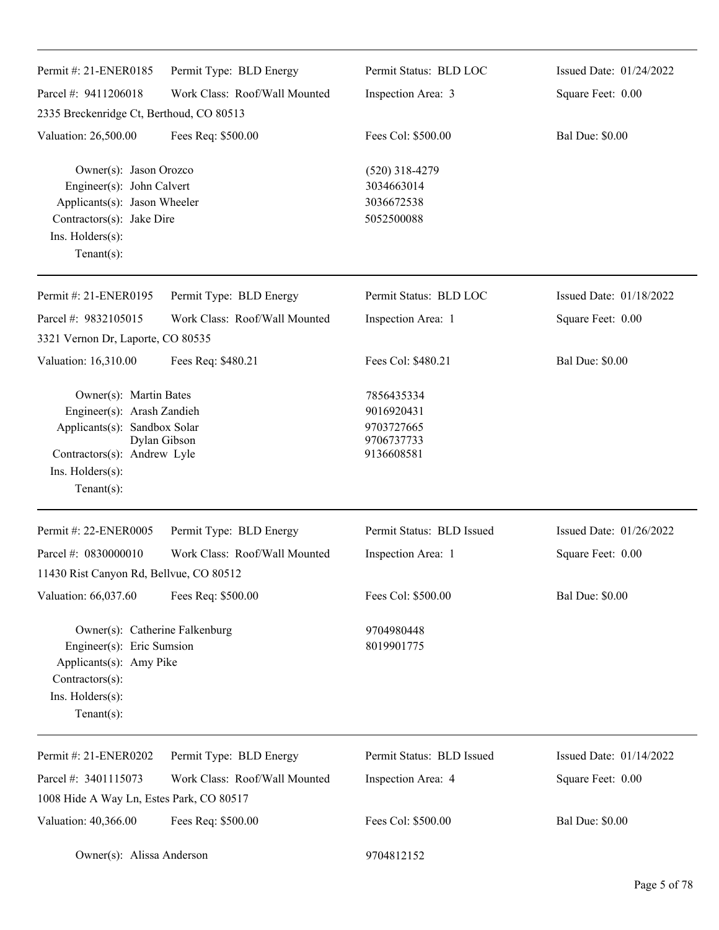| Permit #: 21-ENER0185                                                                                                                                     | Permit Type: BLD Energy       | Permit Status: BLD LOC                                             | Issued Date: 01/24/2022 |
|-----------------------------------------------------------------------------------------------------------------------------------------------------------|-------------------------------|--------------------------------------------------------------------|-------------------------|
| Parcel #: 9411206018                                                                                                                                      | Work Class: Roof/Wall Mounted | Inspection Area: 3                                                 | Square Feet: 0.00       |
| 2335 Breckenridge Ct, Berthoud, CO 80513                                                                                                                  |                               |                                                                    |                         |
| Valuation: 26,500.00                                                                                                                                      | Fees Req: \$500.00            | Fees Col: \$500.00                                                 | <b>Bal Due: \$0.00</b>  |
| Owner(s): Jason Orozco<br>Engineer(s): John Calvert<br>Applicants(s): Jason Wheeler<br>Contractors(s): Jake Dire<br>Ins. Holders(s):<br>Tenant $(s)$ :    |                               | $(520)$ 318-4279<br>3034663014<br>3036672538<br>5052500088         |                         |
| Permit #: 21-ENER0195                                                                                                                                     | Permit Type: BLD Energy       | Permit Status: BLD LOC                                             | Issued Date: 01/18/2022 |
| Parcel #: 9832105015                                                                                                                                      | Work Class: Roof/Wall Mounted | Inspection Area: 1                                                 | Square Feet: 0.00       |
| 3321 Vernon Dr, Laporte, CO 80535                                                                                                                         |                               |                                                                    |                         |
| Valuation: 16,310.00                                                                                                                                      | Fees Req: \$480.21            | Fees Col: \$480.21                                                 | <b>Bal Due: \$0.00</b>  |
| Owner(s): Martin Bates<br>Engineer(s): Arash Zandieh<br>Applicants(s): Sandbox Solar<br>Contractors(s): Andrew Lyle<br>Ins. Holders(s):<br>Tenant $(s)$ : | Dylan Gibson                  | 7856435334<br>9016920431<br>9703727665<br>9706737733<br>9136608581 |                         |
| Permit #: 22-ENER0005                                                                                                                                     | Permit Type: BLD Energy       | Permit Status: BLD Issued                                          | Issued Date: 01/26/2022 |
| Parcel #: 0830000010                                                                                                                                      | Work Class: Roof/Wall Mounted | Inspection Area: 1                                                 | Square Feet: 0.00       |
| 11430 Rist Canyon Rd, Bellvue, CO 80512                                                                                                                   |                               |                                                                    |                         |
| Valuation: 66,037.60                                                                                                                                      | Fees Req: \$500.00            | Fees Col: \$500.00                                                 | <b>Bal Due: \$0.00</b>  |
| Owner(s): Catherine Falkenburg<br>Engineer(s): Eric Sumsion<br>Applicants(s): Amy Pike<br>Contractors(s):<br>Ins. Holders(s):<br>$Tenant(s)$ :            |                               | 9704980448<br>8019901775                                           |                         |
| Permit #: 21-ENER0202                                                                                                                                     | Permit Type: BLD Energy       | Permit Status: BLD Issued                                          | Issued Date: 01/14/2022 |
| Parcel #: 3401115073                                                                                                                                      | Work Class: Roof/Wall Mounted | Inspection Area: 4                                                 | Square Feet: 0.00       |
| 1008 Hide A Way Ln, Estes Park, CO 80517                                                                                                                  |                               |                                                                    |                         |
| Valuation: 40,366.00                                                                                                                                      | Fees Req: \$500.00            | Fees Col: \$500.00                                                 | <b>Bal Due: \$0.00</b>  |
| Owner(s): Alissa Anderson                                                                                                                                 |                               | 9704812152                                                         |                         |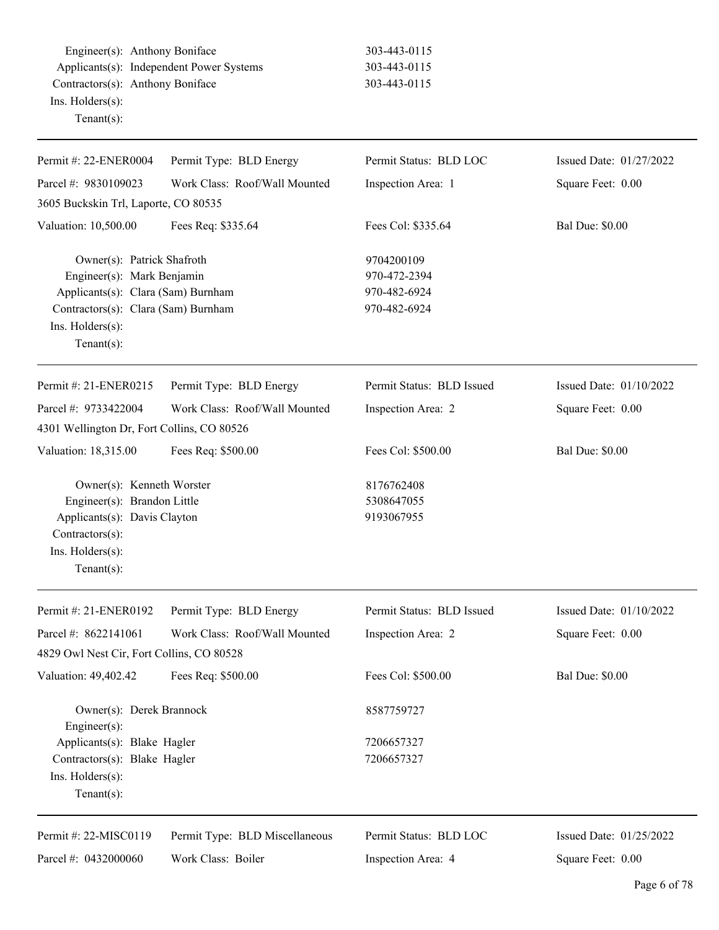Engineer(s): Anthony Boniface 303-443-0115 Applicants(s): Independent Power Systems 303-443-0115 Contractors(s): Anthony Boniface 303-443-0115 Ins. Holders(s): Tenant(s):

| Permit Status: BLD LOC                                     | Issued Date: 01/27/2022 |
|------------------------------------------------------------|-------------------------|
| Inspection Area: 1                                         | Square Feet: 0.00       |
|                                                            |                         |
| Fees Col: \$335.64                                         | <b>Bal Due: \$0.00</b>  |
| 9704200109<br>970-472-2394<br>970-482-6924<br>970-482-6924 |                         |
| Permit Status: BLD Issued                                  | Issued Date: 01/10/2022 |
| Inspection Area: 2                                         | Square Feet: 0.00       |
|                                                            |                         |
| Fees Col: \$500.00                                         | <b>Bal Due: \$0.00</b>  |
| 8176762408<br>5308647055<br>9193067955                     |                         |
| Permit Status: BLD Issued                                  | Issued Date: 01/10/2022 |
| Inspection Area: 2                                         | Square Feet: 0.00       |
|                                                            |                         |
| Fees Col: \$500.00                                         | <b>Bal Due: \$0.00</b>  |
| 8587759727                                                 |                         |
| 7206657327                                                 |                         |
| 7206657327                                                 |                         |
| Permit Status: BLD LOC                                     | Issued Date: 01/25/2022 |
|                                                            |                         |
|                                                            |                         |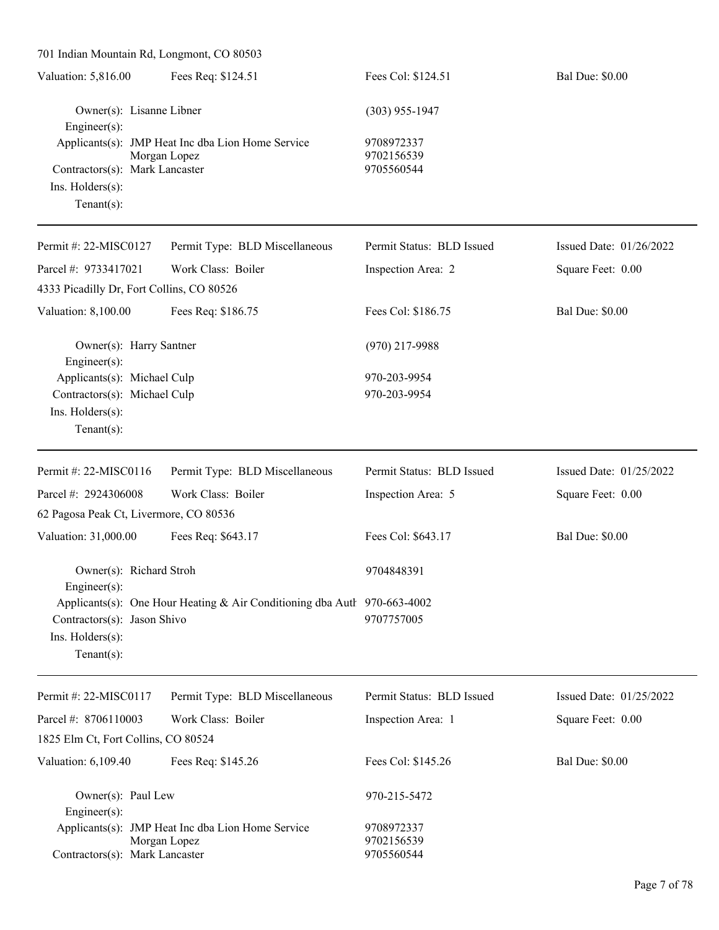| 701 Indian Mountain Rd, Longmont, CO 80503                                                          |                                                                          |                                        |                         |
|-----------------------------------------------------------------------------------------------------|--------------------------------------------------------------------------|----------------------------------------|-------------------------|
| Valuation: 5,816.00                                                                                 | Fees Req: \$124.51                                                       | Fees Col: \$124.51                     | <b>Bal Due: \$0.00</b>  |
| Owner(s): Lisanne Libner<br>Engineer(s):                                                            |                                                                          | $(303)$ 955-1947                       |                         |
| Contractors(s): Mark Lancaster<br>Ins. Holders(s):<br>Tenant $(s)$ :                                | Applicants(s): JMP Heat Inc dba Lion Home Service<br>Morgan Lopez        | 9708972337<br>9702156539<br>9705560544 |                         |
| Permit #: 22-MISC0127                                                                               | Permit Type: BLD Miscellaneous                                           | Permit Status: BLD Issued              | Issued Date: 01/26/2022 |
| Parcel #: 9733417021<br>4333 Picadilly Dr, Fort Collins, CO 80526                                   | Work Class: Boiler                                                       | Inspection Area: 2                     | Square Feet: 0.00       |
| Valuation: 8,100.00                                                                                 | Fees Req: \$186.75                                                       | Fees Col: \$186.75                     | <b>Bal Due: \$0.00</b>  |
| Owner(s): Harry Santner<br>Engineer(s):                                                             |                                                                          | $(970)$ 217-9988                       |                         |
| Applicants(s): Michael Culp<br>Contractors(s): Michael Culp<br>Ins. Holders(s):<br>Tenant $(s)$ :   |                                                                          | 970-203-9954<br>970-203-9954           |                         |
| Permit #: 22-MISC0116                                                                               | Permit Type: BLD Miscellaneous                                           | Permit Status: BLD Issued              | Issued Date: 01/25/2022 |
| Parcel #: 2924306008                                                                                | Work Class: Boiler                                                       | Inspection Area: 5                     | Square Feet: 0.00       |
| 62 Pagosa Peak Ct, Livermore, CO 80536                                                              |                                                                          |                                        |                         |
| Valuation: 31,000.00                                                                                | Fees Req: \$643.17                                                       | Fees Col: \$643.17                     | <b>Bal Due: \$0.00</b>  |
| Owner(s): Richard Stroh<br>$Engineering(s)$ :                                                       |                                                                          | 9704848391                             |                         |
| Contractors(s): Jason Shivo<br>Ins. Holders(s):<br>Tenant $(s)$ :                                   | Applicants(s): One Hour Heating & Air Conditioning dba Autl 970-663-4002 | 9707757005                             |                         |
| Permit #: 22-MISC0117                                                                               | Permit Type: BLD Miscellaneous                                           | Permit Status: BLD Issued              | Issued Date: 01/25/2022 |
| Parcel #: 8706110003                                                                                | Work Class: Boiler                                                       | Inspection Area: 1                     | Square Feet: 0.00       |
| 1825 Elm Ct, Fort Collins, CO 80524                                                                 |                                                                          |                                        |                         |
| Valuation: 6,109.40                                                                                 | Fees Req: \$145.26                                                       | Fees Col: \$145.26                     | <b>Bal Due: \$0.00</b>  |
| Owner(s): Paul Lew<br>$Engineering(s)$ :                                                            |                                                                          | 970-215-5472                           |                         |
| Applicants(s): JMP Heat Inc dba Lion Home Service<br>Morgan Lopez<br>Contractors(s): Mark Lancaster |                                                                          | 9708972337<br>9702156539<br>9705560544 |                         |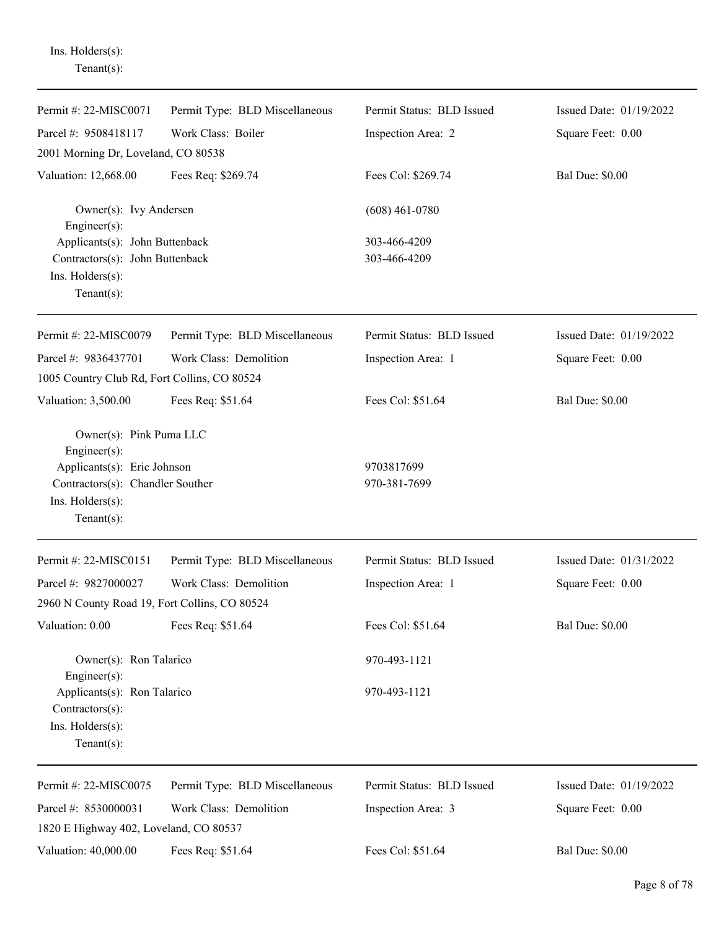Tenant(s): Permit #: 22-MISC0071 Parcel #: 9508418117 Permit Type: BLD Miscellaneous Work Class: Boiler Permit Status: BLD Issued Inspection Area: 2 Issued Date: 01/19/2022 Square Feet: 0.00 2001 Morning Dr, Loveland, CO 80538 Valuation: 12,668.00 Fees Req: \$269.74 Fees Col: \$269.74 Bal Due: \$0.00 Owner(s): Ivy Andersen (608) 461-0780 Engineer(s): Applicants(s): John Buttenback 303-466-4209 Contractors(s): John Buttenback 303-466-4209 Ins. Holders(s): Tenant(s): Permit #: 22-MISC0079 Parcel #: 9836437701 Permit Type: BLD Miscellaneous Work Class: Demolition Permit Status: BLD Issued Inspection Area: 1 Issued Date: 01/19/2022 Square Feet: 0.00 1005 Country Club Rd, Fort Collins, CO 80524 Valuation: 3,500.00 Fees Req: \$51.64 Fees Col: \$51.64 Bal Due: \$0.00 Owner(s): Pink Puma LLC Engineer(s): Applicants(s): Eric Johnson 9703817699 Contractors(s): Chandler Souther 970-381-7699 Ins. Holders(s): Tenant(s): Permit #: 22-MISC0151 Parcel #: 9827000027 Permit Type: BLD Miscellaneous Work Class: Demolition Permit Status: BLD Issued Inspection Area: 1 Issued Date: 01/31/2022 Square Feet: 0.00 2960 N County Road 19, Fort Collins, CO 80524 Valuation: 0.00 Fees Req: \$51.64 Fees Col: \$51.64 Bal Due: \$0.00 Owner(s): Ron Talarico 970-493-1121 Engineer(s): Applicants(s): Ron Talarico 970-493-1121 Contractors(s): Ins. Holders(s): Tenant(s): Permit #: 22-MISC0075 Parcel #: 8530000031 Permit Type: BLD Miscellaneous Work Class: Demolition Permit Status: BLD Issued Inspection Area: 3 Issued Date: 01/19/2022 Square Feet: 0.00 1820 E Highway 402, Loveland, CO 80537 Valuation: 40,000.00 Fees Req: \$51.64 Fees Col: \$51.64 Bal Due: \$0.00

Ins. Holders(s):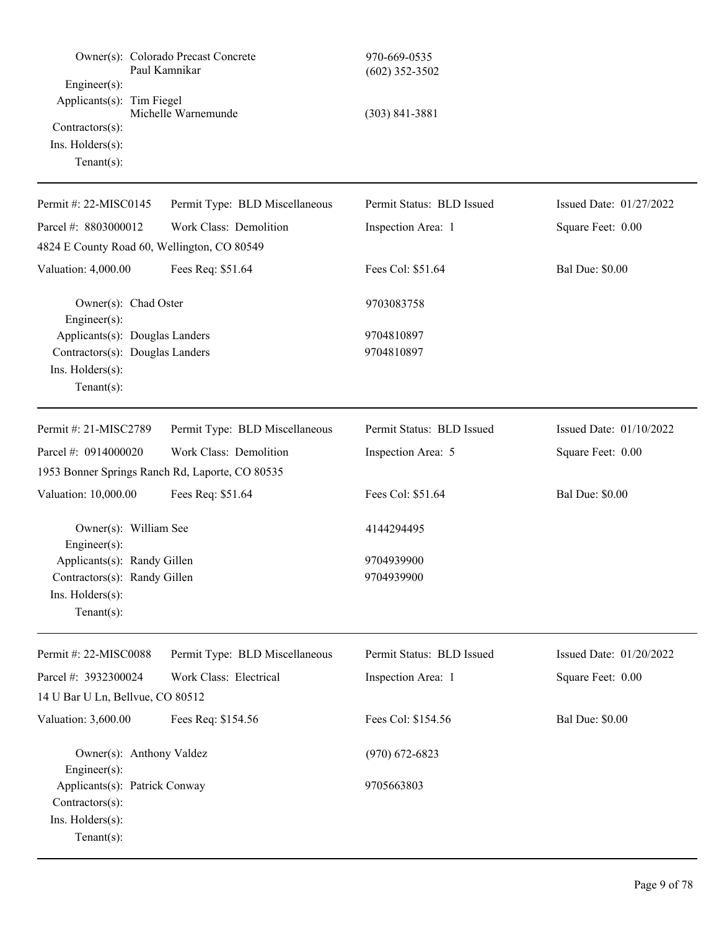| Engineer(s):                                                                           | Owner(s): Colorado Precast Concrete<br>Paul Kamnikar | 970-669-0535<br>$(602)$ 352-3502 |                         |
|----------------------------------------------------------------------------------------|------------------------------------------------------|----------------------------------|-------------------------|
| Applicants(s): Tim Fiegel<br>Contractors(s):<br>Ins. Holders(s):<br>Tenant $(s)$ :     | Michelle Warnemunde                                  | $(303) 841 - 3881$               |                         |
| Permit #: 22-MISC0145                                                                  | Permit Type: BLD Miscellaneous                       | Permit Status: BLD Issued        | Issued Date: 01/27/2022 |
| Parcel #: 8803000012                                                                   | Work Class: Demolition                               | Inspection Area: 1               | Square Feet: 0.00       |
| 4824 E County Road 60, Wellington, CO 80549                                            |                                                      |                                  |                         |
| Valuation: 4,000.00                                                                    | Fees Req: \$51.64                                    | Fees Col: \$51.64                | <b>Bal Due: \$0.00</b>  |
| Owner(s): Chad Oster<br>$Engineering(s)$ :                                             |                                                      | 9703083758                       |                         |
| Applicants(s): Douglas Landers                                                         |                                                      | 9704810897                       |                         |
| Contractors(s): Douglas Landers<br>Ins. Holders(s):<br>Tenant $(s)$ :                  |                                                      | 9704810897                       |                         |
| Permit #: 21-MISC2789                                                                  | Permit Type: BLD Miscellaneous                       | Permit Status: BLD Issued        | Issued Date: 01/10/2022 |
| Parcel #: 0914000020                                                                   | Work Class: Demolition                               | Inspection Area: 5               | Square Feet: 0.00       |
|                                                                                        | 1953 Bonner Springs Ranch Rd, Laporte, CO 80535      |                                  |                         |
| Valuation: 10,000.00                                                                   | Fees Req: \$51.64                                    | Fees Col: \$51.64                | <b>Bal Due: \$0.00</b>  |
| Owner(s): William See<br>$Engineering(s)$ :                                            |                                                      | 4144294495                       |                         |
| Applicants(s): Randy Gillen                                                            |                                                      | 9704939900                       |                         |
| Contractors(s): Randy Gillen                                                           |                                                      | 9704939900                       |                         |
| Ins. Holders(s):<br>Tenant $(s)$ :                                                     |                                                      |                                  |                         |
| Permit #: 22-MISC0088                                                                  | Permit Type: BLD Miscellaneous                       | Permit Status: BLD Issued        | Issued Date: 01/20/2022 |
| Parcel #: 3932300024                                                                   | Work Class: Electrical                               | Inspection Area: 1               | Square Feet: 0.00       |
| 14 U Bar U Ln, Bellvue, CO 80512                                                       |                                                      |                                  |                         |
| Valuation: 3,600.00                                                                    | Fees Req: \$154.56                                   | Fees Col: \$154.56               | <b>Bal Due: \$0.00</b>  |
| Owner(s): Anthony Valdez<br>$Engineering(s)$ :                                         |                                                      | $(970)$ 672-6823                 |                         |
| Applicants(s): Patrick Conway<br>Contractors(s):<br>Ins. Holders(s):<br>Tenant $(s)$ : |                                                      | 9705663803                       |                         |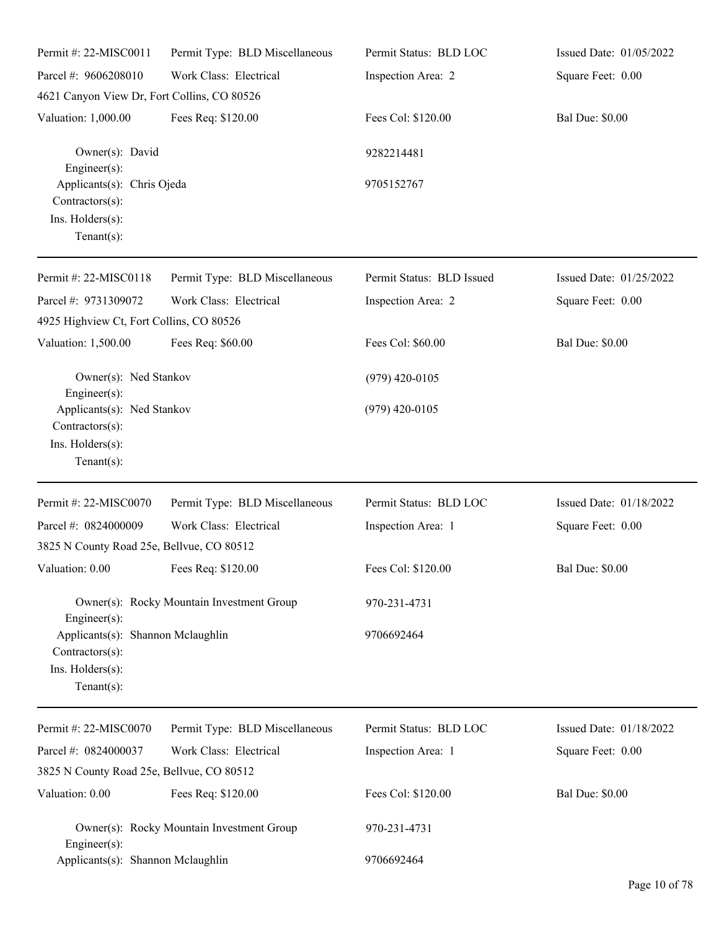| Permit #: 22-MISC0011                                                                      | Permit Type: BLD Miscellaneous            | Permit Status: BLD LOC    | Issued Date: 01/05/2022 |
|--------------------------------------------------------------------------------------------|-------------------------------------------|---------------------------|-------------------------|
| Parcel #: 9606208010                                                                       | Work Class: Electrical                    | Inspection Area: 2        | Square Feet: 0.00       |
| 4621 Canyon View Dr, Fort Collins, CO 80526                                                |                                           |                           |                         |
| Valuation: 1,000.00                                                                        | Fees Req: \$120.00                        | Fees Col: \$120.00        | <b>Bal Due: \$0.00</b>  |
| Owner(s): David<br>Engineer(s):                                                            |                                           | 9282214481                |                         |
| Applicants(s): Chris Ojeda<br>Contractors(s):<br>Ins. Holders(s):<br>Tenant $(s)$ :        |                                           | 9705152767                |                         |
| Permit #: 22-MISC0118                                                                      | Permit Type: BLD Miscellaneous            | Permit Status: BLD Issued | Issued Date: 01/25/2022 |
| Parcel #: 9731309072<br>4925 Highview Ct, Fort Collins, CO 80526                           | Work Class: Electrical                    | Inspection Area: 2        | Square Feet: 0.00       |
| Valuation: 1,500.00                                                                        | Fees Req: \$60.00                         | Fees Col: \$60.00         | <b>Bal Due: \$0.00</b>  |
| Owner(s): Ned Stankov<br>Engineer(s):                                                      |                                           | $(979)$ 420-0105          |                         |
| Applicants(s): Ned Stankov<br>Contractors(s):<br>Ins. Holders(s):<br>Tenant $(s)$ :        |                                           | $(979)$ 420-0105          |                         |
| Permit #: 22-MISC0070                                                                      | Permit Type: BLD Miscellaneous            | Permit Status: BLD LOC    | Issued Date: 01/18/2022 |
| Parcel #: 0824000009<br>3825 N County Road 25e, Bellvue, CO 80512                          | Work Class: Electrical                    | Inspection Area: 1        | Square Feet: 0.00       |
| Valuation: 0.00                                                                            | Fees Req: \$120.00                        | Fees Col: \$120.00        | <b>Bal Due: \$0.00</b>  |
| Engineer $(s)$ :                                                                           | Owner(s): Rocky Mountain Investment Group | 970-231-4731              |                         |
| Applicants(s): Shannon Mclaughlin<br>Contractors(s):<br>Ins. Holders(s):<br>Tenant $(s)$ : |                                           | 9706692464                |                         |
| Permit #: 22-MISC0070                                                                      | Permit Type: BLD Miscellaneous            | Permit Status: BLD LOC    | Issued Date: 01/18/2022 |
| Parcel #: 0824000037                                                                       | Work Class: Electrical                    | Inspection Area: 1        | Square Feet: 0.00       |
| 3825 N County Road 25e, Bellvue, CO 80512                                                  |                                           |                           |                         |
| Valuation: 0.00                                                                            | Fees Req: \$120.00                        | Fees Col: \$120.00        | <b>Bal Due: \$0.00</b>  |
| Engineer $(s)$ :                                                                           | Owner(s): Rocky Mountain Investment Group | 970-231-4731              |                         |
| Applicants(s): Shannon Mclaughlin                                                          |                                           | 9706692464                |                         |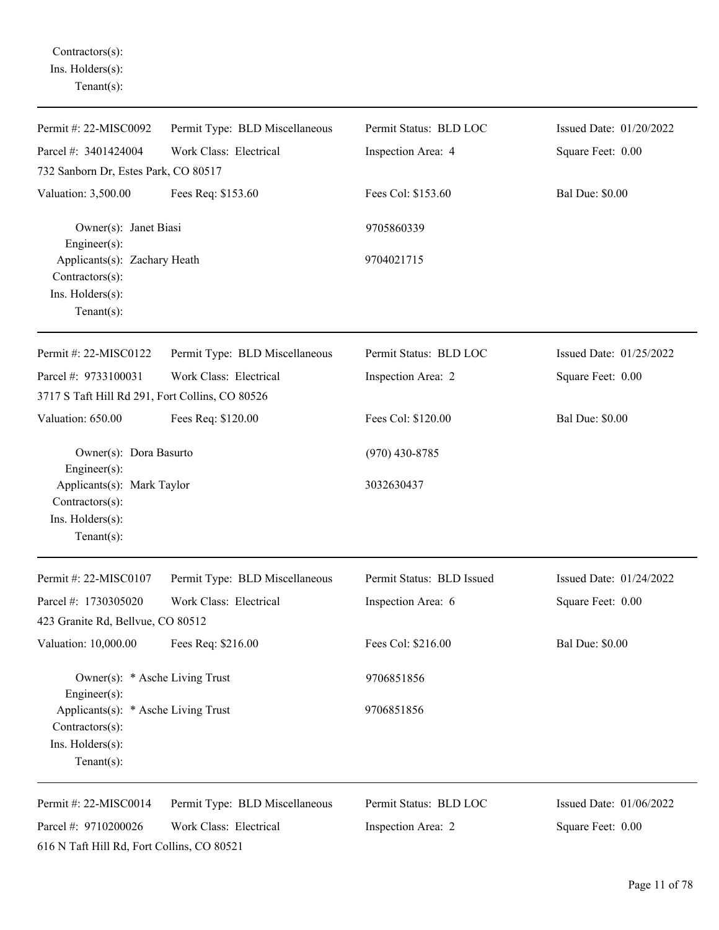Contractors(s): Ins. Holders(s): Tenant(s):

| Permit #: 22-MISC0092                                                                        | Permit Type: BLD Miscellaneous | Permit Status: BLD LOC    | Issued Date: 01/20/2022 |
|----------------------------------------------------------------------------------------------|--------------------------------|---------------------------|-------------------------|
| Parcel #: 3401424004                                                                         | Work Class: Electrical         | Inspection Area: 4        | Square Feet: 0.00       |
| 732 Sanborn Dr, Estes Park, CO 80517                                                         |                                |                           |                         |
| Valuation: 3,500.00                                                                          | Fees Req: \$153.60             | Fees Col: \$153.60        | <b>Bal Due: \$0.00</b>  |
| Owner(s): Janet Biasi<br>Engineer(s):                                                        |                                | 9705860339                |                         |
| Applicants(s): Zachary Heath<br>Contractors(s):<br>Ins. Holders(s):<br>$Tenant(s)$ :         |                                | 9704021715                |                         |
| Permit #: 22-MISC0122                                                                        | Permit Type: BLD Miscellaneous | Permit Status: BLD LOC    | Issued Date: 01/25/2022 |
| Parcel #: 9733100031<br>3717 S Taft Hill Rd 291, Fort Collins, CO 80526                      | Work Class: Electrical         | Inspection Area: 2        | Square Feet: 0.00       |
| Valuation: 650.00                                                                            | Fees Req: \$120.00             | Fees Col: \$120.00        | <b>Bal Due: \$0.00</b>  |
| Owner(s): Dora Basurto<br>Engineer(s):                                                       |                                | $(970)$ 430-8785          |                         |
| Applicants(s): Mark Taylor<br>Contractors(s):<br>Ins. Holders(s):<br>$Tenant(s)$ :           |                                | 3032630437                |                         |
| Permit #: 22-MISC0107                                                                        | Permit Type: BLD Miscellaneous | Permit Status: BLD Issued | Issued Date: 01/24/2022 |
| Parcel #: 1730305020                                                                         | Work Class: Electrical         | Inspection Area: 6        | Square Feet: 0.00       |
| 423 Granite Rd, Bellvue, CO 80512                                                            |                                |                           |                         |
| Valuation: 10,000.00                                                                         | Fees Req: \$216.00             | Fees Col: \$216.00        | <b>Bal Due: \$0.00</b>  |
| Owner(s): * Asche Living Trust<br>Engineer(s):                                               |                                | 9706851856                |                         |
| Applicants(s): * Asche Living Trust<br>Contractors(s):<br>Ins. Holders(s):<br>Tenant $(s)$ : |                                | 9706851856                |                         |
| Permit #: 22-MISC0014                                                                        | Permit Type: BLD Miscellaneous | Permit Status: BLD LOC    | Issued Date: 01/06/2022 |
| Parcel #: 9710200026<br>616 N Taft Hill Rd, Fort Collins, CO 80521                           | Work Class: Electrical         | Inspection Area: 2        | Square Feet: 0.00       |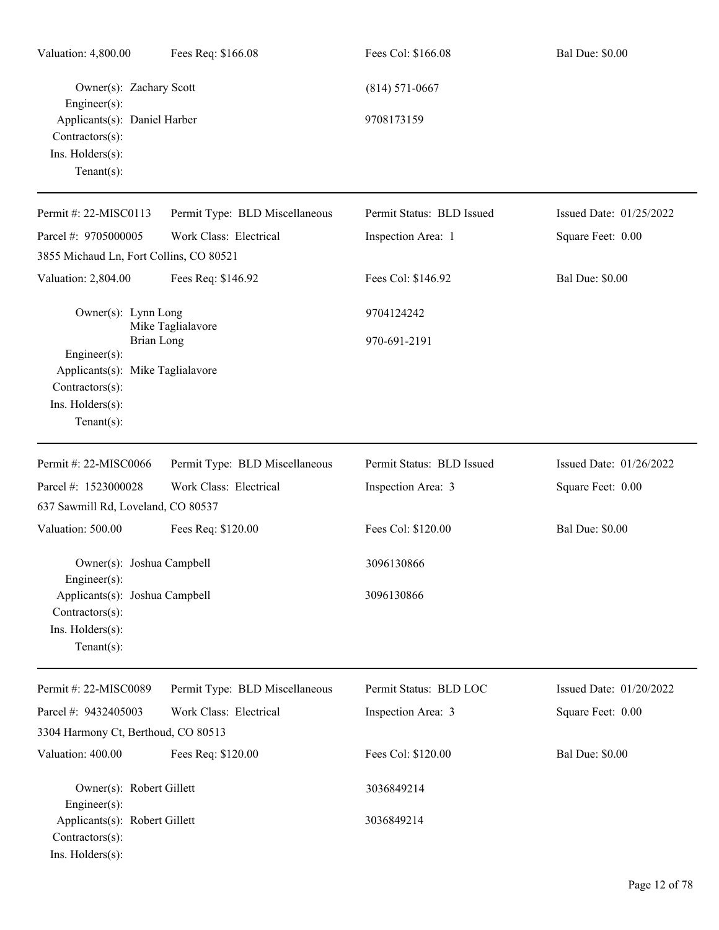| Valuation: 4,800.00                                                                      | Fees Req: \$166.08             | Fees Col: \$166.08        | <b>Bal Due: \$0.00</b>  |
|------------------------------------------------------------------------------------------|--------------------------------|---------------------------|-------------------------|
| Owner(s): Zachary Scott<br>Engineer(s):                                                  |                                | $(814) 571 - 0667$        |                         |
| Applicants(s): Daniel Harber<br>Contractors(s):<br>Ins. Holders(s):<br>$Tenant(s)$ :     |                                | 9708173159                |                         |
| Permit #: 22-MISC0113                                                                    | Permit Type: BLD Miscellaneous | Permit Status: BLD Issued | Issued Date: 01/25/2022 |
| Parcel #: 9705000005                                                                     | Work Class: Electrical         | Inspection Area: 1        | Square Feet: 0.00       |
| 3855 Michaud Ln, Fort Collins, CO 80521                                                  |                                |                           |                         |
| Valuation: 2,804.00                                                                      | Fees Req: \$146.92             | Fees Col: \$146.92        | <b>Bal Due: \$0.00</b>  |
| Owner(s): Lynn Long                                                                      | Mike Taglialavore              | 9704124242                |                         |
| Brian Long<br>Engineer $(s)$ :                                                           |                                | 970-691-2191              |                         |
| Applicants(s): Mike Taglialavore<br>Contractors(s):<br>Ins. Holders(s):<br>$Tenant(s)$ : |                                |                           |                         |
| Permit #: 22-MISC0066                                                                    | Permit Type: BLD Miscellaneous | Permit Status: BLD Issued | Issued Date: 01/26/2022 |
| Parcel #: 1523000028                                                                     | Work Class: Electrical         | Inspection Area: 3        | Square Feet: 0.00       |
| 637 Sawmill Rd, Loveland, CO 80537                                                       |                                |                           |                         |
| Valuation: 500.00                                                                        | Fees Req: \$120.00             | Fees Col: \$120.00        | <b>Bal Due: \$0.00</b>  |
| Owner(s): Joshua Campbell<br>Engineer $(s)$ :                                            |                                | 3096130866                |                         |
| Applicants(s): Joshua Campbell<br>Contractors(s):<br>Ins. Holders(s):<br>Tenant $(s)$ :  |                                | 3096130866                |                         |
| Permit #: 22-MISC0089                                                                    | Permit Type: BLD Miscellaneous | Permit Status: BLD LOC    | Issued Date: 01/20/2022 |
| Parcel #: 9432405003                                                                     | Work Class: Electrical         | Inspection Area: 3        | Square Feet: 0.00       |
| 3304 Harmony Ct, Berthoud, CO 80513                                                      |                                |                           |                         |
| Valuation: 400.00                                                                        | Fees Req: \$120.00             | Fees Col: \$120.00        | <b>Bal Due: \$0.00</b>  |
| Owner(s): Robert Gillett<br>$Engineering(s)$ :                                           |                                | 3036849214                |                         |
| Applicants(s): Robert Gillett<br>Contractors(s):<br>Ins. Holders(s):                     |                                | 3036849214                |                         |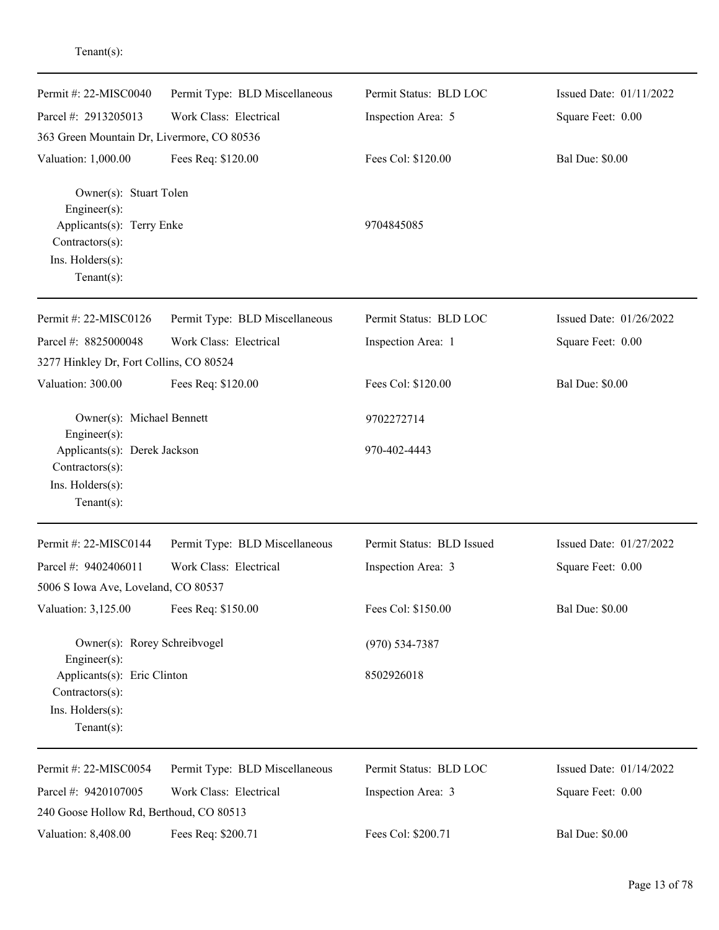| Permit #: $22-MISCO040$                                             | Permit Type: BLD Miscellaneous | Permit Status: BLD LOC    | Issued Date: 01/11/2022 |
|---------------------------------------------------------------------|--------------------------------|---------------------------|-------------------------|
| Parcel #: 2913205013                                                | Work Class: Electrical         | Inspection Area: 5        | Square Feet: 0.00       |
| 363 Green Mountain Dr, Livermore, CO 80536                          |                                |                           |                         |
| Valuation: 1,000.00                                                 | Fees Req: \$120.00             | Fees Col: \$120.00        | <b>Bal Due: \$0.00</b>  |
| Owner(s): Stuart Tolen<br>Engineer(s):<br>Applicants(s): Terry Enke |                                | 9704845085                |                         |
| Contractors(s):<br>Ins. Holders(s):<br>$Tenant(s)$ :                |                                |                           |                         |
| Permit #: 22-MISC0126                                               | Permit Type: BLD Miscellaneous | Permit Status: BLD LOC    | Issued Date: 01/26/2022 |
| Parcel #: 8825000048                                                | Work Class: Electrical         | Inspection Area: 1        | Square Feet: 0.00       |
| 3277 Hinkley Dr, Fort Collins, CO 80524                             |                                |                           |                         |
| Valuation: 300.00                                                   | Fees Req: \$120.00             | Fees Col: \$120.00        | <b>Bal Due: \$0.00</b>  |
| Owner(s): Michael Bennett<br>Engineer(s):                           |                                | 9702272714                |                         |
| Applicants(s): Derek Jackson<br>Contractors(s):                     |                                | 970-402-4443              |                         |
| Ins. Holders(s):<br>Tenant $(s)$ :                                  |                                |                           |                         |
| Permit #: 22-MISC0144                                               | Permit Type: BLD Miscellaneous | Permit Status: BLD Issued | Issued Date: 01/27/2022 |
| Parcel #: 9402406011                                                | Work Class: Electrical         | Inspection Area: 3        | Square Feet: 0.00       |
| 5006 S Iowa Ave, Loveland, CO 80537                                 |                                |                           |                         |
| Valuation: 3,125.00                                                 | Fees Req: \$150.00             | Fees Col: \$150.00        | <b>Bal Due: \$0.00</b>  |
| Owner(s): Rorey Schreibvogel<br>Engineer(s):                        |                                | $(970) 534 - 7387$        |                         |
| Applicants(s): Eric Clinton<br>Contractors(s):                      |                                | 8502926018                |                         |
| Ins. Holders(s):<br>Tenant $(s)$ :                                  |                                |                           |                         |
| Permit #: 22-MISC0054                                               | Permit Type: BLD Miscellaneous | Permit Status: BLD LOC    | Issued Date: 01/14/2022 |
| Parcel #: 9420107005<br>240 Goose Hollow Rd, Berthoud, CO 80513     | Work Class: Electrical         | Inspection Area: 3        | Square Feet: 0.00       |
| Valuation: 8,408.00                                                 | Fees Req: \$200.71             | Fees Col: \$200.71        | <b>Bal Due: \$0.00</b>  |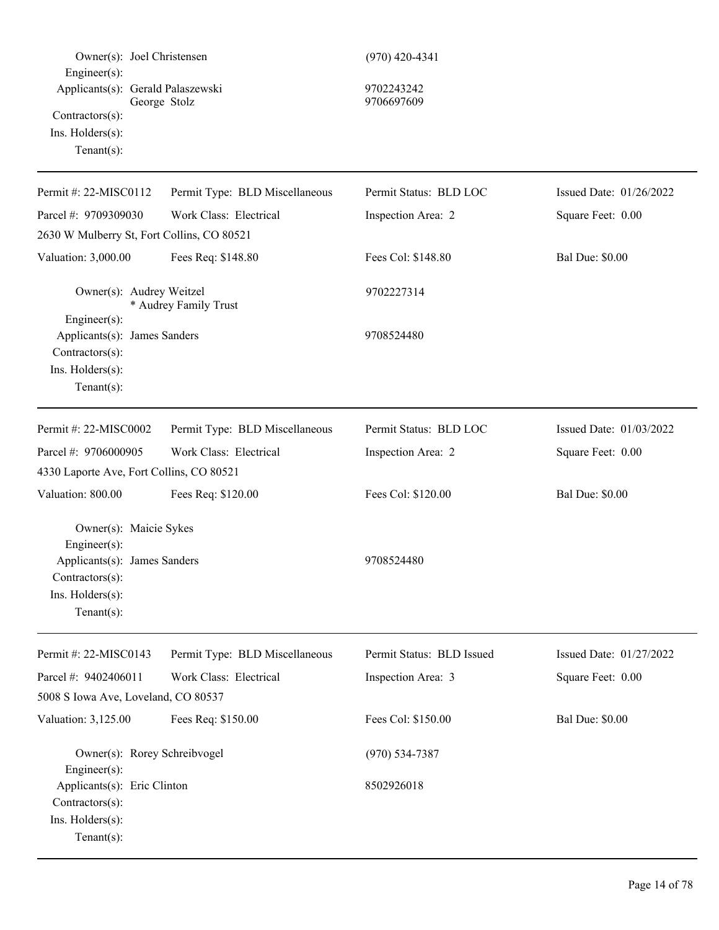| Owner(s): Joel Christensen<br>Engineer $(s)$ :                                                                                  |                                | $(970)$ 420-4341          |                         |
|---------------------------------------------------------------------------------------------------------------------------------|--------------------------------|---------------------------|-------------------------|
| Applicants(s): Gerald Palaszewski<br>Contractors(s):<br>Ins. Holders(s):<br>Tenant $(s)$ :                                      | George Stolz                   | 9702243242<br>9706697609  |                         |
| Permit #: 22-MISC0112                                                                                                           | Permit Type: BLD Miscellaneous | Permit Status: BLD LOC    | Issued Date: 01/26/2022 |
| Parcel #: 9709309030                                                                                                            | Work Class: Electrical         | Inspection Area: 2        | Square Feet: 0.00       |
| 2630 W Mulberry St, Fort Collins, CO 80521                                                                                      |                                |                           |                         |
| Valuation: 3,000.00                                                                                                             | Fees Req: \$148.80             | Fees Col: \$148.80        | <b>Bal Due: \$0.00</b>  |
| Owner(s): Audrey Weitzel<br>Engineer(s):                                                                                        | * Audrey Family Trust          | 9702227314                |                         |
| Applicants(s): James Sanders<br>Contractors(s):<br>Ins. Holders(s):<br>Tenant $(s)$ :                                           |                                | 9708524480                |                         |
| Permit #: 22-MISC0002                                                                                                           | Permit Type: BLD Miscellaneous | Permit Status: BLD LOC    | Issued Date: 01/03/2022 |
| Parcel #: 9706000905                                                                                                            | Work Class: Electrical         | Inspection Area: 2        | Square Feet: 0.00       |
| 4330 Laporte Ave, Fort Collins, CO 80521                                                                                        |                                |                           |                         |
| Valuation: 800.00                                                                                                               | Fees Req: \$120.00             | Fees Col: \$120.00        | <b>Bal Due: \$0.00</b>  |
| Owner(s): Maicie Sykes<br>Engineer(s):<br>Applicants(s): James Sanders<br>Contractors(s):<br>Ins. Holders(s):<br>Tenant $(s)$ : |                                | 9708524480                |                         |
| Permit #: 22-MISC0143                                                                                                           | Permit Type: BLD Miscellaneous | Permit Status: BLD Issued | Issued Date: 01/27/2022 |
| Parcel #: 9402406011<br>5008 S Iowa Ave, Loveland, CO 80537                                                                     | Work Class: Electrical         | Inspection Area: 3        | Square Feet: 0.00       |
| Valuation: 3,125.00                                                                                                             | Fees Req: \$150.00             | Fees Col: \$150.00        | <b>Bal Due: \$0.00</b>  |
| Owner(s): Rorey Schreibvogel<br>$Engineering(s)$ :                                                                              |                                | $(970) 534 - 7387$        |                         |
| Applicants(s): Eric Clinton<br>Contractors(s):<br>Ins. Holders(s):<br>$Tenant(s)$ :                                             |                                | 8502926018                |                         |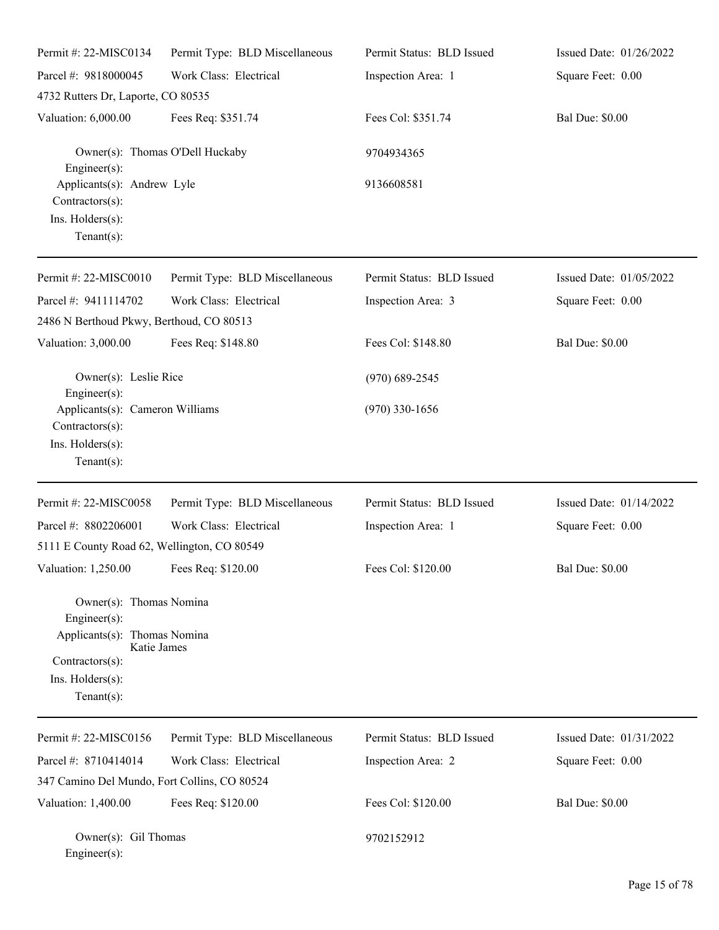| Permit #: 22-MISC0134                                                                                                                           | Permit Type: BLD Miscellaneous  | Permit Status: BLD Issued | Issued Date: 01/26/2022 |
|-------------------------------------------------------------------------------------------------------------------------------------------------|---------------------------------|---------------------------|-------------------------|
| Parcel #: 9818000045                                                                                                                            | Work Class: Electrical          | Inspection Area: 1        | Square Feet: 0.00       |
| 4732 Rutters Dr, Laporte, CO 80535                                                                                                              |                                 |                           |                         |
| Valuation: 6,000.00                                                                                                                             | Fees Req: \$351.74              | Fees Col: \$351.74        | <b>Bal Due: \$0.00</b>  |
| $Engineering(s)$ :                                                                                                                              | Owner(s): Thomas O'Dell Huckaby | 9704934365                |                         |
| Applicants(s): Andrew Lyle<br>Contractors(s):<br>Ins. Holders(s):<br>$Tenant(s)$ :                                                              |                                 | 9136608581                |                         |
| Permit #: 22-MISC0010                                                                                                                           | Permit Type: BLD Miscellaneous  | Permit Status: BLD Issued | Issued Date: 01/05/2022 |
| Parcel #: 9411114702                                                                                                                            | Work Class: Electrical          | Inspection Area: 3        | Square Feet: 0.00       |
| 2486 N Berthoud Pkwy, Berthoud, CO 80513                                                                                                        |                                 |                           |                         |
| Valuation: 3,000.00                                                                                                                             | Fees Req: \$148.80              | Fees Col: \$148.80        | <b>Bal Due: \$0.00</b>  |
| Owner(s): Leslie Rice                                                                                                                           |                                 | $(970)$ 689-2545          |                         |
| Engineer(s):<br>Applicants(s): Cameron Williams<br>Contractors(s):<br>Ins. Holders(s):<br>Tenant $(s)$ :                                        |                                 | $(970)$ 330-1656          |                         |
| Permit #: 22-MISC0058                                                                                                                           | Permit Type: BLD Miscellaneous  | Permit Status: BLD Issued | Issued Date: 01/14/2022 |
| Parcel #: 8802206001<br>5111 E County Road 62, Wellington, CO 80549                                                                             | Work Class: Electrical          | Inspection Area: 1        | Square Feet: 0.00       |
| Valuation: 1,250.00                                                                                                                             | Fees Req: \$120.00              | Fees Col: \$120.00        | <b>Bal Due: \$0.00</b>  |
| Owner(s): Thomas Nomina<br>Engineer(s):<br>Applicants(s): Thomas Nomina<br>Katie James<br>Contractors(s):<br>Ins. Holders(s):<br>Tenant $(s)$ : |                                 |                           |                         |
| Permit #: 22-MISC0156                                                                                                                           | Permit Type: BLD Miscellaneous  | Permit Status: BLD Issued | Issued Date: 01/31/2022 |
| Parcel #: 8710414014                                                                                                                            | Work Class: Electrical          | Inspection Area: 2        | Square Feet: 0.00       |
| 347 Camino Del Mundo, Fort Collins, CO 80524                                                                                                    |                                 |                           |                         |
| Valuation: 1,400.00                                                                                                                             | Fees Req: \$120.00              | Fees Col: \$120.00        | <b>Bal Due: \$0.00</b>  |
| Owner(s): Gil Thomas                                                                                                                            |                                 | 9702152912                |                         |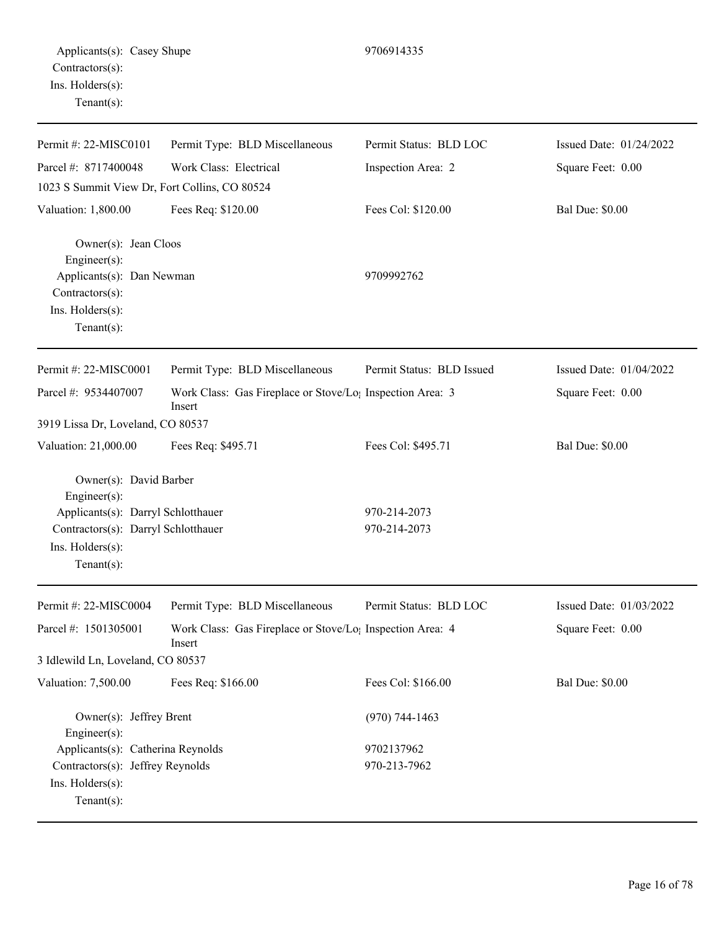| Permit #: 22-MISC0101                                                                                                     | Permit Type: BLD Miscellaneous                                                  | Permit Status: BLD LOC       | Issued Date: 01/24/2022 |
|---------------------------------------------------------------------------------------------------------------------------|---------------------------------------------------------------------------------|------------------------------|-------------------------|
| Parcel #: 8717400048                                                                                                      | Work Class: Electrical                                                          | Inspection Area: 2           | Square Feet: 0.00       |
| 1023 S Summit View Dr, Fort Collins, CO 80524                                                                             |                                                                                 |                              |                         |
| Valuation: 1,800.00                                                                                                       | Fees Req: \$120.00                                                              | Fees Col: \$120.00           | <b>Bal Due: \$0.00</b>  |
| Owner(s): Jean Cloos<br>Engineer(s):<br>Applicants(s): Dan Newman<br>Contractors(s):<br>Ins. Holders(s):<br>$Tenant(s)$ : |                                                                                 | 9709992762                   |                         |
|                                                                                                                           |                                                                                 |                              |                         |
| Permit #: 22-MISC0001                                                                                                     | Permit Type: BLD Miscellaneous                                                  | Permit Status: BLD Issued    | Issued Date: 01/04/2022 |
| Parcel #: 9534407007                                                                                                      | Work Class: Gas Fireplace or Stove/Lo <sub>1</sub> Inspection Area: 3<br>Insert |                              | Square Feet: 0.00       |
| 3919 Lissa Dr, Loveland, CO 80537                                                                                         |                                                                                 |                              |                         |
| Valuation: 21,000.00                                                                                                      | Fees Req: \$495.71                                                              | Fees Col: \$495.71           | <b>Bal Due: \$0.00</b>  |
| Owner(s): David Barber<br>Engineer(s):                                                                                    |                                                                                 |                              |                         |
| Applicants(s): Darryl Schlotthauer<br>Contractors(s): Darryl Schlotthauer<br>Ins. Holders(s):<br>$Tenant(s)$ :            |                                                                                 | 970-214-2073<br>970-214-2073 |                         |
| Permit #: 22-MISC0004                                                                                                     | Permit Type: BLD Miscellaneous                                                  | Permit Status: BLD LOC       | Issued Date: 01/03/2022 |
| Parcel #: 1501305001                                                                                                      | Work Class: Gas Fireplace or Stove/Lo <sub>1</sub> Inspection Area: 4<br>Insert |                              | Square Feet: 0.00       |
| 3 Idlewild Ln, Loveland, CO 80537                                                                                         |                                                                                 |                              |                         |
| Valuation: 7,500.00                                                                                                       | Fees Req: \$166.00                                                              | Fees Col: \$166.00           | <b>Bal Due: \$0.00</b>  |
| Owner(s): Jeffrey Brent<br>Engineer(s):                                                                                   |                                                                                 | $(970) 744 - 1463$           |                         |
| Applicants(s): Catherina Reynolds<br>Contractors(s): Jeffrey Reynolds<br>Ins. Holders(s):<br>$Tenant(s)$ :                |                                                                                 | 9702137962<br>970-213-7962   |                         |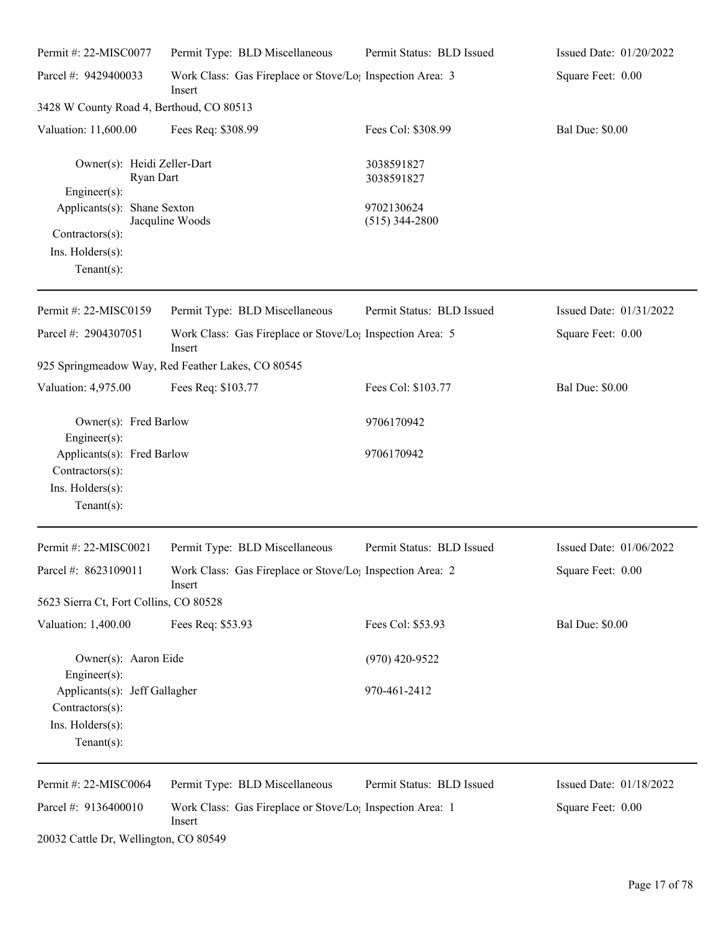| Permit #: 22-MISC0077                                                                                                                            | Permit Type: BLD Miscellaneous                                                                       | Permit Status: BLD Issued                                  | Issued Date: 01/20/2022 |
|--------------------------------------------------------------------------------------------------------------------------------------------------|------------------------------------------------------------------------------------------------------|------------------------------------------------------------|-------------------------|
| Parcel #: 9429400033                                                                                                                             | Work Class: Gas Fireplace or Stove/Lo <sub>1</sub> Inspection Area: 3<br>Insert                      |                                                            | Square Feet: 0.00       |
| 3428 W County Road 4, Berthoud, CO 80513                                                                                                         |                                                                                                      |                                                            |                         |
| Valuation: 11,600.00                                                                                                                             | Fees Req: \$308.99                                                                                   | Fees Col: \$308.99                                         | <b>Bal Due: \$0.00</b>  |
| Owner(s): Heidi Zeller-Dart<br>Ryan Dart<br>Engineer(s):<br>Applicants(s): Shane Sexton<br>Contractors(s):<br>Ins. Holders(s):<br>Tenant $(s)$ : | Jacquline Woods                                                                                      | 3038591827<br>3038591827<br>9702130624<br>$(515)$ 344-2800 |                         |
| Permit #: 22-MISC0159                                                                                                                            | Permit Type: BLD Miscellaneous                                                                       | Permit Status: BLD Issued                                  | Issued Date: 01/31/2022 |
| Parcel #: 2904307051                                                                                                                             | Work Class: Gas Fireplace or Stove/Lo <sub>1</sub> Inspection Area: 5<br>Insert                      |                                                            | Square Feet: 0.00       |
|                                                                                                                                                  | 925 Springmeadow Way, Red Feather Lakes, CO 80545                                                    |                                                            |                         |
| Valuation: 4,975.00                                                                                                                              | Fees Req: \$103.77                                                                                   | Fees Col: \$103.77                                         | <b>Bal Due: \$0.00</b>  |
| Owner(s): Fred Barlow<br>Engineer(s):                                                                                                            |                                                                                                      | 9706170942                                                 |                         |
| Applicants(s): Fred Barlow<br>Contractors(s):<br>Ins. Holders(s):<br>Tenant $(s)$ :                                                              |                                                                                                      | 9706170942                                                 |                         |
| Permit #: 22-MISC0021                                                                                                                            | Permit Type: BLD Miscellaneous                                                                       | Permit Status: BLD Issued                                  | Issued Date: 01/06/2022 |
|                                                                                                                                                  | Parcel #: 8623109011 Work Class: Gas Fireplace or Stove/Lo <sub>1</sub> Inspection Area: 2<br>Insert |                                                            | Square Feet: 0.00       |
| 5623 Sierra Ct, Fort Collins, CO 80528                                                                                                           |                                                                                                      |                                                            |                         |
| Valuation: 1,400.00                                                                                                                              | Fees Req: \$53.93                                                                                    | Fees Col: \$53.93                                          | <b>Bal Due: \$0.00</b>  |
| Owner(s): Aaron Eide<br>$Engineering(s)$ :                                                                                                       |                                                                                                      | $(970)$ 420-9522                                           |                         |
| Applicants(s): Jeff Gallagher<br>Contractors(s):<br>Ins. Holders(s):<br>Tenant $(s)$ :                                                           |                                                                                                      | 970-461-2412                                               |                         |
| Permit #: 22-MISC0064                                                                                                                            | Permit Type: BLD Miscellaneous                                                                       | Permit Status: BLD Issued                                  | Issued Date: 01/18/2022 |
| Parcel #: 9136400010                                                                                                                             | Work Class: Gas Fireplace or Stove/Lo <sub>1</sub> Inspection Area: 1<br>Insert                      |                                                            | Square Feet: 0.00       |
|                                                                                                                                                  |                                                                                                      |                                                            |                         |

20032 Cattle Dr, Wellington, CO 80549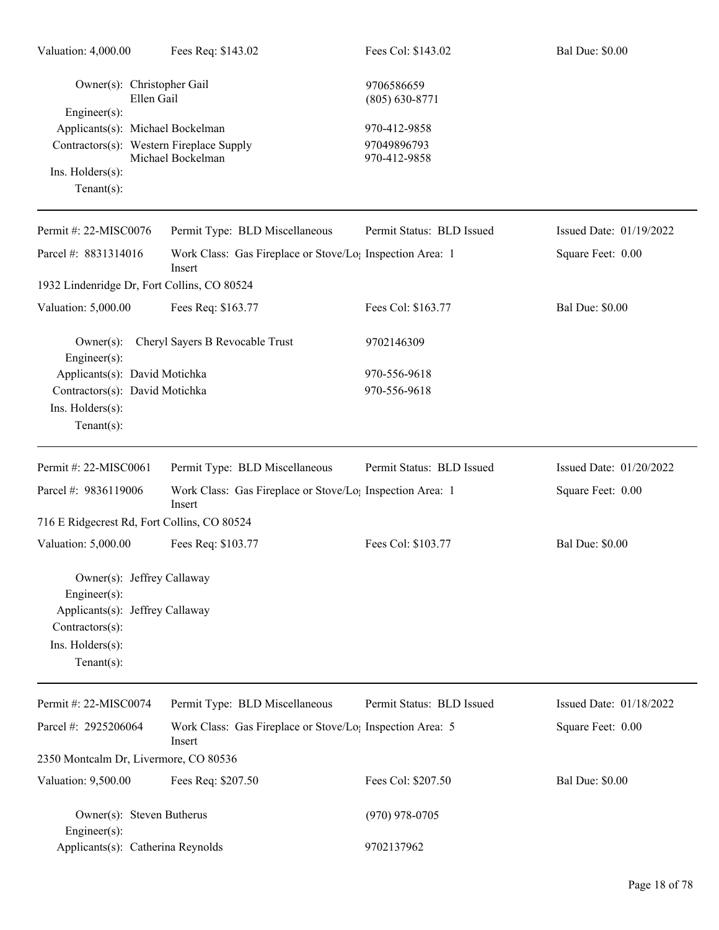| Valuation: 4,000.00                                            | Fees Req: \$143.02                                                              | Fees Col: \$143.02               | <b>Bal Due: \$0.00</b>    |
|----------------------------------------------------------------|---------------------------------------------------------------------------------|----------------------------------|---------------------------|
| Owner(s): Christopher Gail<br>Ellen Gail<br>$Engineering(s)$ : |                                                                                 | 9706586659<br>$(805) 630 - 8771$ |                           |
| Applicants(s): Michael Bockelman                               |                                                                                 | 970-412-9858                     |                           |
| Contractors(s): Western Fireplace Supply                       |                                                                                 | 97049896793                      |                           |
| Ins. Holders(s):                                               | Michael Bockelman                                                               | 970-412-9858                     |                           |
| Tenant $(s)$ :                                                 |                                                                                 |                                  |                           |
|                                                                |                                                                                 |                                  |                           |
| Permit #: 22-MISC0076                                          | Permit Type: BLD Miscellaneous                                                  | Permit Status: BLD Issued        | Issued Date: $01/19/2022$ |
| Parcel #: 8831314016                                           | Work Class: Gas Fireplace or Stove/Lo <sub>1</sub> Inspection Area: 1<br>Insert |                                  | Square Feet: 0.00         |
| 1932 Lindenridge Dr, Fort Collins, CO 80524                    |                                                                                 |                                  |                           |
| Valuation: 5,000.00                                            | Fees Req: \$163.77                                                              | Fees Col: \$163.77               | <b>Bal Due: \$0.00</b>    |
| $Owner(s)$ :<br>Engineer $(s)$ :                               | Cheryl Sayers B Revocable Trust                                                 | 9702146309                       |                           |
| Applicants(s): David Motichka                                  |                                                                                 | 970-556-9618                     |                           |
| Contractors(s): David Motichka                                 |                                                                                 | 970-556-9618                     |                           |
| Ins. Holders(s):                                               |                                                                                 |                                  |                           |
| Tenant $(s)$ :                                                 |                                                                                 |                                  |                           |
|                                                                |                                                                                 |                                  |                           |
| Permit #: 22-MISC0061                                          | Permit Type: BLD Miscellaneous                                                  | Permit Status: BLD Issued        | Issued Date: 01/20/2022   |
| Parcel #: 9836119006                                           | Work Class: Gas Fireplace or Stove/Lo <sub>1</sub> Inspection Area: 1<br>Insert |                                  | Square Feet: 0.00         |
| 716 E Ridgecrest Rd, Fort Collins, CO 80524                    |                                                                                 |                                  |                           |
| Valuation: 5,000.00                                            | Fees Req: \$103.77                                                              | Fees Col: \$103.77               | <b>Bal Due: \$0.00</b>    |
| Owner(s): Jeffrey Callaway                                     |                                                                                 |                                  |                           |
| $Engineering(s)$ :<br>Applicants(s): Jeffrey Callaway          |                                                                                 |                                  |                           |
| Contractors(s):                                                |                                                                                 |                                  |                           |
| Ins. Holders(s):                                               |                                                                                 |                                  |                           |
| Tenant $(s)$ :                                                 |                                                                                 |                                  |                           |
| Permit #: 22-MISC0074                                          | Permit Type: BLD Miscellaneous                                                  | Permit Status: BLD Issued        | Issued Date: 01/18/2022   |
| Parcel #: 2925206064                                           | Work Class: Gas Fireplace or Stove/Lo <sub>1</sub> Inspection Area: 5<br>Insert |                                  | Square Feet: 0.00         |
| 2350 Montcalm Dr, Livermore, CO 80536                          |                                                                                 |                                  |                           |
| Valuation: 9,500.00                                            | Fees Req: \$207.50                                                              | Fees Col: \$207.50               | <b>Bal Due: \$0.00</b>    |
| Owner(s): Steven Butherus<br>Engineer $(s)$ :                  |                                                                                 | $(970)$ 978-0705                 |                           |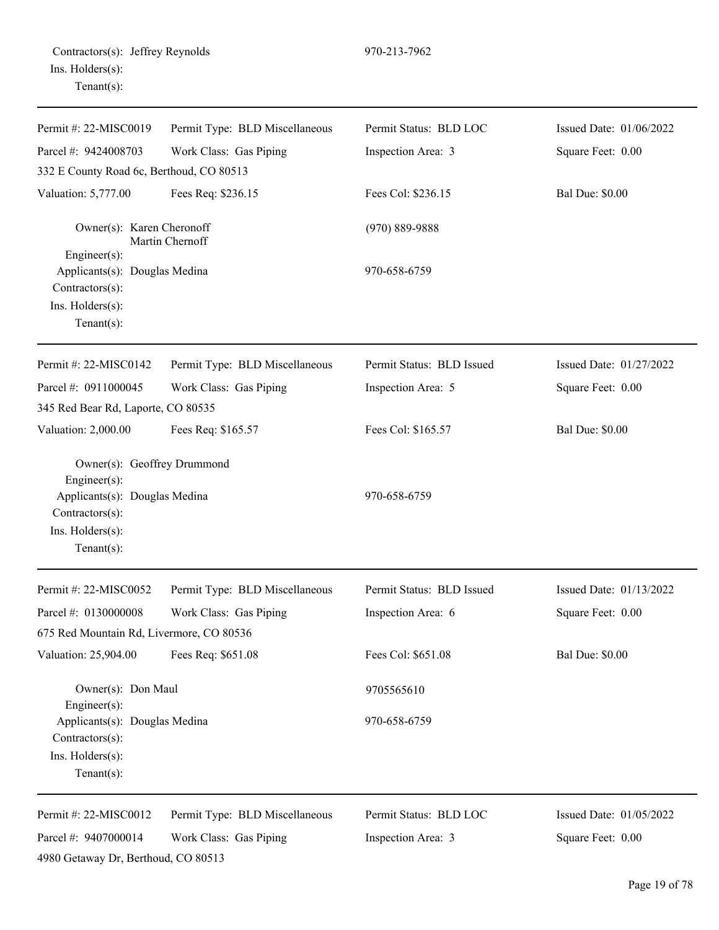|                  | Contractors(s): Jeffrey Reynolds |
|------------------|----------------------------------|
| Ins. Holders(s): |                                  |
| $Tenant(s)$ :    |                                  |

| Permit #: 22-MISC0019                                                                                                                       | Permit Type: BLD Miscellaneous | Permit Status: BLD LOC    | Issued Date: 01/06/2022 |
|---------------------------------------------------------------------------------------------------------------------------------------------|--------------------------------|---------------------------|-------------------------|
| Parcel #: 9424008703                                                                                                                        | Work Class: Gas Piping         | Inspection Area: 3        | Square Feet: 0.00       |
| 332 E County Road 6c, Berthoud, CO 80513                                                                                                    |                                |                           |                         |
| Valuation: 5,777.00                                                                                                                         | Fees Req: \$236.15             | Fees Col: \$236.15        | <b>Bal Due: \$0.00</b>  |
| Owner(s): Karen Cheronoff                                                                                                                   | Martin Chernoff                | $(970) 889 - 9888$        |                         |
| Engineer(s):<br>Applicants(s): Douglas Medina<br>Contractors(s):<br>Ins. Holders(s):<br>Tenant $(s)$ :                                      |                                | 970-658-6759              |                         |
| Permit #: 22-MISC0142                                                                                                                       | Permit Type: BLD Miscellaneous | Permit Status: BLD Issued | Issued Date: 01/27/2022 |
| Parcel #: 0911000045                                                                                                                        | Work Class: Gas Piping         | Inspection Area: 5        | Square Feet: 0.00       |
| 345 Red Bear Rd, Laporte, CO 80535                                                                                                          |                                |                           |                         |
| Valuation: 2,000.00                                                                                                                         | Fees Req: \$165.57             | Fees Col: \$165.57        | <b>Bal Due: \$0.00</b>  |
| Owner(s): Geoffrey Drummond<br>$Engineering(s)$ :<br>Applicants(s): Douglas Medina<br>Contractors(s):<br>Ins. Holders(s):<br>Tenant $(s)$ : |                                | 970-658-6759              |                         |
| Permit #: 22-MISC0052                                                                                                                       | Permit Type: BLD Miscellaneous | Permit Status: BLD Issued | Issued Date: 01/13/2022 |
| Parcel #: 0130000008                                                                                                                        | Work Class: Gas Piping         | Inspection Area: 6        | Square Feet: 0.00       |
| 675 Red Mountain Rd, Livermore, CO 80536                                                                                                    |                                |                           |                         |
| Valuation: 25,904.00                                                                                                                        | Fees Req: \$651.08             | Fees Col: \$651.08        | <b>Bal Due: \$0.00</b>  |
| Owner(s): Don Maul<br>$Engineering(s)$ :                                                                                                    |                                | 9705565610                |                         |
| Applicants(s): Douglas Medina<br>$Contractors(s)$ :<br>Ins. Holders(s):<br>Tenant $(s)$ :                                                   |                                | 970-658-6759              |                         |
| Permit #: 22-MISC0012                                                                                                                       | Permit Type: BLD Miscellaneous | Permit Status: BLD LOC    | Issued Date: 01/05/2022 |
| Parcel #: 9407000014<br>4980 Getaway Dr, Berthoud, CO 80513                                                                                 | Work Class: Gas Piping         | Inspection Area: 3        | Square Feet: 0.00       |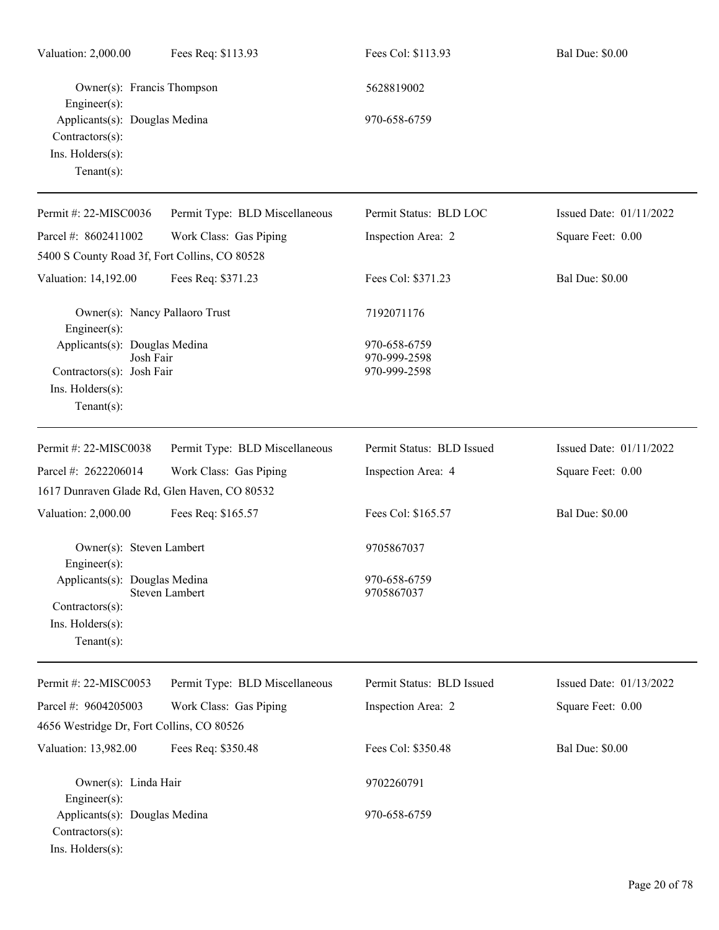| Valuation: 2,000.00                                                                                                                      | Fees Req: \$113.93             | Fees Col: \$113.93                           | <b>Bal Due: \$0.00</b>  |
|------------------------------------------------------------------------------------------------------------------------------------------|--------------------------------|----------------------------------------------|-------------------------|
| Owner(s): Francis Thompson<br>Engineer $(s)$ :<br>Applicants(s): Douglas Medina<br>Contractors(s):<br>Ins. Holders(s):<br>Tenant $(s)$ : |                                | 5628819002<br>970-658-6759                   |                         |
| Permit #: 22-MISC0036                                                                                                                    | Permit Type: BLD Miscellaneous | Permit Status: BLD LOC                       | Issued Date: 01/11/2022 |
| Parcel #: 8602411002                                                                                                                     | Work Class: Gas Piping         | Inspection Area: 2                           | Square Feet: 0.00       |
| 5400 S County Road 3f, Fort Collins, CO 80528                                                                                            |                                |                                              |                         |
| Valuation: 14,192.00                                                                                                                     | Fees Req: \$371.23             | Fees Col: \$371.23                           | <b>Bal Due: \$0.00</b>  |
| Owner(s): Nancy Pallaoro Trust<br>Engineer(s):                                                                                           |                                | 7192071176                                   |                         |
| Applicants(s): Douglas Medina<br>Josh Fair<br>Contractors(s): Josh Fair<br>Ins. Holders(s):<br>Tenant $(s)$ :                            |                                | 970-658-6759<br>970-999-2598<br>970-999-2598 |                         |
| Permit #: 22-MISC0038                                                                                                                    | Permit Type: BLD Miscellaneous | Permit Status: BLD Issued                    | Issued Date: 01/11/2022 |
| Parcel #: 2622206014                                                                                                                     | Work Class: Gas Piping         | Inspection Area: 4                           | Square Feet: 0.00       |
| 1617 Dunraven Glade Rd, Glen Haven, CO 80532                                                                                             |                                |                                              |                         |
| Valuation: 2,000.00                                                                                                                      | Fees Req: \$165.57             | Fees Col: \$165.57                           | <b>Bal Due: \$0.00</b>  |
| Owner(s): Steven Lambert<br>$Engineer(s)$ :                                                                                              |                                | 9705867037                                   |                         |
| Applicants(s): Douglas Medina<br>Contractors(s):<br>Ins. Holders(s):<br>Tenant $(s)$ :                                                   | Steven Lambert                 | 970-658-6759<br>9705867037                   |                         |
| Permit #: 22-MISC0053                                                                                                                    | Permit Type: BLD Miscellaneous | Permit Status: BLD Issued                    | Issued Date: 01/13/2022 |
| Parcel #: 9604205003<br>4656 Westridge Dr, Fort Collins, CO 80526                                                                        | Work Class: Gas Piping         | Inspection Area: 2                           | Square Feet: 0.00       |
| Valuation: 13,982.00                                                                                                                     | Fees Req: \$350.48             | Fees Col: \$350.48                           | <b>Bal Due: \$0.00</b>  |
| Owner(s): Linda Hair<br>$Engineering(s)$ :                                                                                               |                                | 9702260791                                   |                         |
| Applicants(s): Douglas Medina<br>Contractors(s):<br>Ins. Holders(s):                                                                     |                                | 970-658-6759                                 |                         |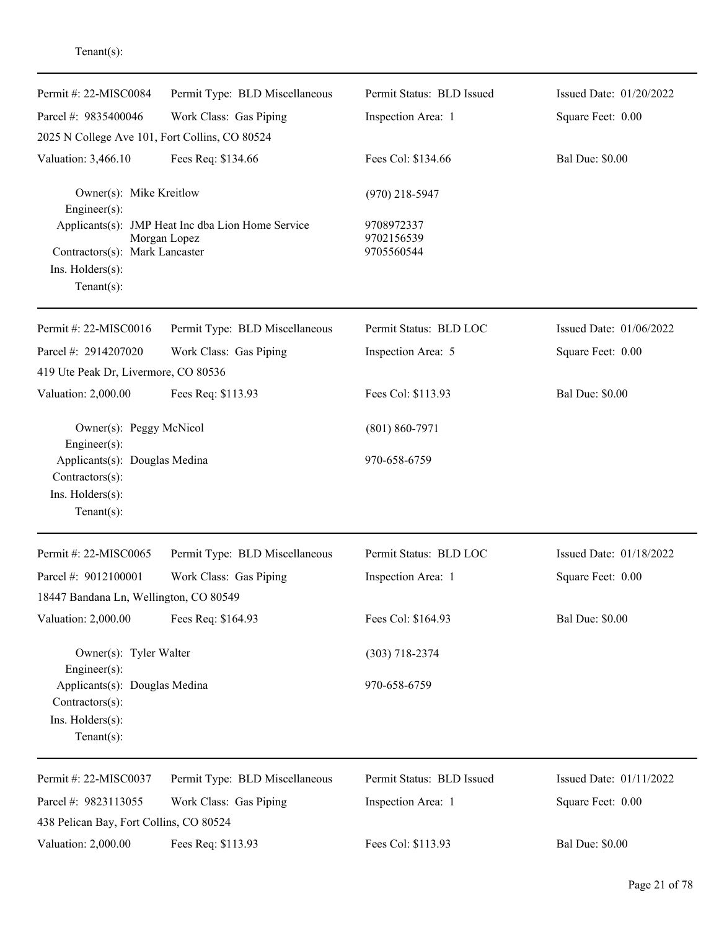| Permit #: 22-MISC0084                                                                  | Permit Type: BLD Miscellaneous                                    | Permit Status: BLD Issued              | Issued Date: 01/20/2022 |
|----------------------------------------------------------------------------------------|-------------------------------------------------------------------|----------------------------------------|-------------------------|
| Parcel #: 9835400046                                                                   | Work Class: Gas Piping                                            | Inspection Area: 1                     | Square Feet: 0.00       |
| 2025 N College Ave 101, Fort Collins, CO 80524                                         |                                                                   |                                        |                         |
| Valuation: 3,466.10                                                                    | Fees Req: \$134.66                                                | Fees Col: \$134.66                     | <b>Bal Due: \$0.00</b>  |
| Owner(s): Mike Kreitlow<br>$Engineer(s)$ :                                             |                                                                   | $(970)$ 218-5947                       |                         |
| Contractors(s): Mark Lancaster<br>Ins. Holders(s):<br>Tenant $(s)$ :                   | Applicants(s): JMP Heat Inc dba Lion Home Service<br>Morgan Lopez | 9708972337<br>9702156539<br>9705560544 |                         |
| Permit #: 22-MISC0016                                                                  | Permit Type: BLD Miscellaneous                                    | Permit Status: BLD LOC                 | Issued Date: 01/06/2022 |
| Parcel #: 2914207020<br>419 Ute Peak Dr, Livermore, CO 80536                           | Work Class: Gas Piping                                            | Inspection Area: 5                     | Square Feet: 0.00       |
| Valuation: 2,000.00                                                                    | Fees Req: \$113.93                                                | Fees Col: \$113.93                     | <b>Bal Due: \$0.00</b>  |
| Owner(s): Peggy McNicol<br>$Engineering(s)$ :                                          |                                                                   | $(801) 860 - 7971$                     |                         |
| Applicants(s): Douglas Medina<br>Contractors(s):<br>Ins. Holders(s):<br>Tenant $(s)$ : |                                                                   | 970-658-6759                           |                         |
| Permit #: 22-MISC0065                                                                  | Permit Type: BLD Miscellaneous                                    | Permit Status: BLD LOC                 | Issued Date: 01/18/2022 |
| Parcel #: 9012100001                                                                   | Work Class: Gas Piping                                            | Inspection Area: 1                     | Square Feet: 0.00       |
| 18447 Bandana Ln, Wellington, CO 80549                                                 |                                                                   |                                        |                         |
| Valuation: 2,000.00                                                                    | Fees Req: \$164.93                                                | Fees Col: \$164.93                     | <b>Bal Due: \$0.00</b>  |
| Owner(s): Tyler Walter<br>$Engineering(s)$ :                                           |                                                                   | $(303)$ 718-2374                       |                         |
| Applicants(s): Douglas Medina<br>Contractors(s):<br>Ins. Holders(s):<br>Tenant $(s)$ : |                                                                   | 970-658-6759                           |                         |
| Permit #: 22-MISC0037                                                                  | Permit Type: BLD Miscellaneous                                    | Permit Status: BLD Issued              | Issued Date: 01/11/2022 |
| Parcel #: 9823113055                                                                   | Work Class: Gas Piping                                            | Inspection Area: 1                     | Square Feet: 0.00       |
| 438 Pelican Bay, Fort Collins, CO 80524                                                |                                                                   |                                        |                         |
| Valuation: 2,000.00                                                                    | Fees Req: \$113.93                                                | Fees Col: \$113.93                     | <b>Bal Due: \$0.00</b>  |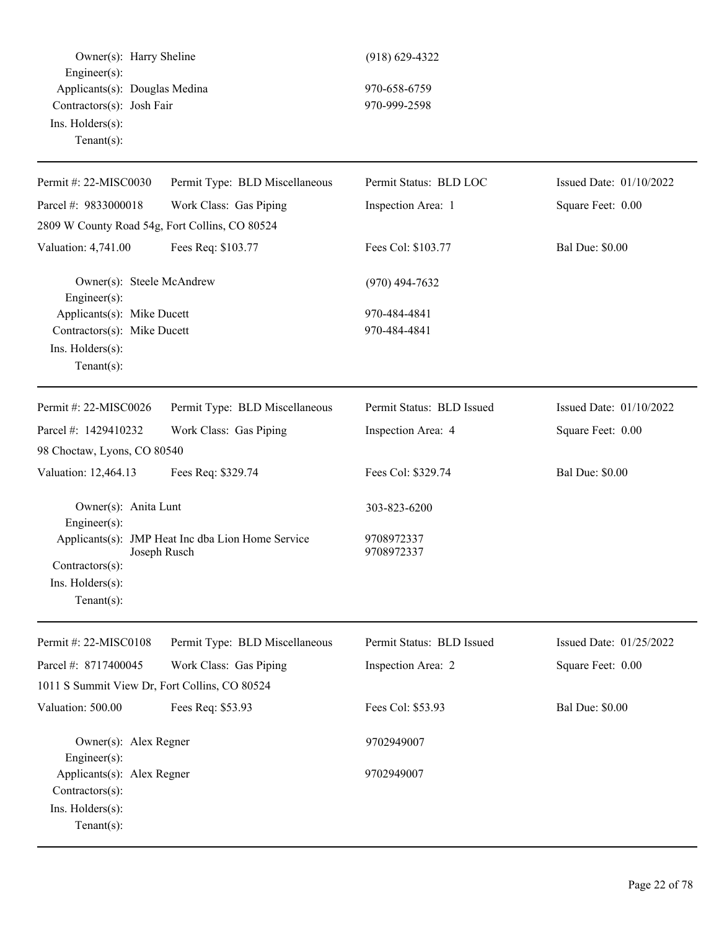Owner(s): Harry Sheline (918) 629-4322 Engineer(s): Applicants(s): Douglas Medina 970-658-6759 Contractors(s): Josh Fair 970-999-2598 Ins. Holders(s): Tenant(s):

| Permit #: 22-MISC0030                          | Permit Type: BLD Miscellaneous                                    | Permit Status: BLD LOC    | Issued Date: 01/10/2022 |
|------------------------------------------------|-------------------------------------------------------------------|---------------------------|-------------------------|
| Parcel #: 9833000018                           | Work Class: Gas Piping                                            | Inspection Area: 1        | Square Feet: 0.00       |
| 2809 W County Road 54g, Fort Collins, CO 80524 |                                                                   |                           |                         |
| Valuation: 4,741.00                            | Fees Req: \$103.77                                                | Fees Col: \$103.77        | <b>Bal Due: \$0.00</b>  |
| Owner(s): Steele McAndrew<br>Engineer(s):      |                                                                   | $(970)$ 494-7632          |                         |
| Applicants(s): Mike Ducett                     |                                                                   | 970-484-4841              |                         |
| Contractors(s): Mike Ducett                    |                                                                   | 970-484-4841              |                         |
| Ins. Holders(s):<br>Tenant $(s)$ :             |                                                                   |                           |                         |
| Permit #: 22-MISC0026                          | Permit Type: BLD Miscellaneous                                    | Permit Status: BLD Issued | Issued Date: 01/10/2022 |
| Parcel #: 1429410232                           | Work Class: Gas Piping                                            | Inspection Area: 4        | Square Feet: 0.00       |
| 98 Choctaw, Lyons, CO 80540                    |                                                                   |                           |                         |
| Valuation: 12,464.13                           | Fees Req: \$329.74                                                | Fees Col: \$329.74        | <b>Bal Due: \$0.00</b>  |
| Owner(s): Anita Lunt<br>Engineer(s):           |                                                                   | 303-823-6200              |                         |
| Contractors(s):                                | Applicants(s): JMP Heat Inc dba Lion Home Service<br>Joseph Rusch | 9708972337<br>9708972337  |                         |
| Ins. Holders(s):                               |                                                                   |                           |                         |
| Tenant $(s)$ :                                 |                                                                   |                           |                         |
| Permit #: 22-MISC0108                          | Permit Type: BLD Miscellaneous                                    | Permit Status: BLD Issued | Issued Date: 01/25/2022 |
| Parcel #: 8717400045                           | Work Class: Gas Piping                                            | Inspection Area: 2        | Square Feet: 0.00       |
| 1011 S Summit View Dr, Fort Collins, CO 80524  |                                                                   |                           |                         |
| Valuation: 500.00                              | Fees Req: \$53.93                                                 | Fees Col: \$53.93         | <b>Bal Due: \$0.00</b>  |
| Owner(s): Alex Regner<br>$Engineering(s)$ :    |                                                                   | 9702949007                |                         |
| Applicants(s): Alex Regner                     |                                                                   | 9702949007                |                         |
| Contractors(s):                                |                                                                   |                           |                         |
| Ins. Holders(s):                               |                                                                   |                           |                         |
| Tenant $(s)$ :                                 |                                                                   |                           |                         |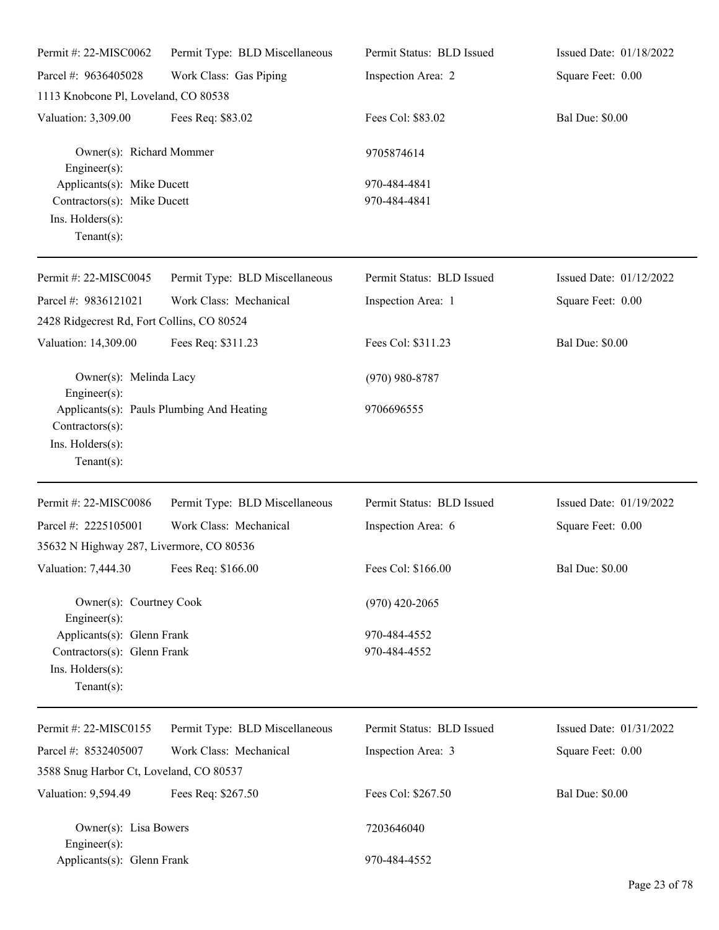| Permit #: 22-MISC0062                                                                           | Permit Type: BLD Miscellaneous            | Permit Status: BLD Issued    | Issued Date: 01/18/2022 |
|-------------------------------------------------------------------------------------------------|-------------------------------------------|------------------------------|-------------------------|
| Parcel #: 9636405028                                                                            | Work Class: Gas Piping                    | Inspection Area: 2           | Square Feet: 0.00       |
| 1113 Knobcone Pl, Loveland, CO 80538                                                            |                                           |                              |                         |
| Valuation: 3,309.00                                                                             | Fees Req: \$83.02                         | Fees Col: \$83.02            | <b>Bal Due: \$0.00</b>  |
| Owner(s): Richard Mommer<br>Engineer $(s)$ :                                                    |                                           | 9705874614                   |                         |
| Applicants(s): Mike Ducett<br>Contractors(s): Mike Ducett<br>Ins. Holders(s):<br>Tenant $(s)$ : |                                           | 970-484-4841<br>970-484-4841 |                         |
| Permit #: 22-MISC0045                                                                           | Permit Type: BLD Miscellaneous            | Permit Status: BLD Issued    | Issued Date: 01/12/2022 |
| Parcel #: 9836121021                                                                            | Work Class: Mechanical                    | Inspection Area: 1           | Square Feet: 0.00       |
| 2428 Ridgecrest Rd, Fort Collins, CO 80524                                                      |                                           |                              |                         |
| Valuation: 14,309.00                                                                            | Fees Req: \$311.23                        | Fees Col: \$311.23           | <b>Bal Due: \$0.00</b>  |
| Owner(s): Melinda Lacy<br>Engineer(s):                                                          |                                           | $(970)$ 980-8787             |                         |
| Contractors(s):<br>Ins. Holders(s):<br>Tenant $(s)$ :                                           | Applicants(s): Pauls Plumbing And Heating | 9706696555                   |                         |
| Permit #: 22-MISC0086                                                                           | Permit Type: BLD Miscellaneous            | Permit Status: BLD Issued    | Issued Date: 01/19/2022 |
| Parcel #: 2225105001<br>35632 N Highway 287, Livermore, CO 80536                                | Work Class: Mechanical                    | Inspection Area: 6           | Square Feet: 0.00       |
| Valuation: 7,444.30 Fees Req: \$166.00                                                          |                                           | Fees Col: \$166.00           | <b>Bal Due: \$0.00</b>  |
| Owner(s): Courtney Cook<br>$Engineering(s)$ :                                                   |                                           | $(970)$ 420-2065             |                         |
| Applicants(s): Glenn Frank<br>Contractors(s): Glenn Frank<br>Ins. Holders(s):<br>Tenant $(s)$ : |                                           | 970-484-4552<br>970-484-4552 |                         |
| Permit #: 22-MISC0155                                                                           | Permit Type: BLD Miscellaneous            | Permit Status: BLD Issued    | Issued Date: 01/31/2022 |
| Parcel #: 8532405007                                                                            | Work Class: Mechanical                    | Inspection Area: 3           | Square Feet: 0.00       |
| 3588 Snug Harbor Ct, Loveland, CO 80537                                                         |                                           |                              |                         |
| Valuation: 9,594.49                                                                             | Fees Req: \$267.50                        | Fees Col: \$267.50           | <b>Bal Due: \$0.00</b>  |
| Owner(s): Lisa Bowers<br>$Engineering(s)$ :                                                     |                                           | 7203646040                   |                         |
| Applicants(s): Glenn Frank                                                                      |                                           | 970-484-4552                 |                         |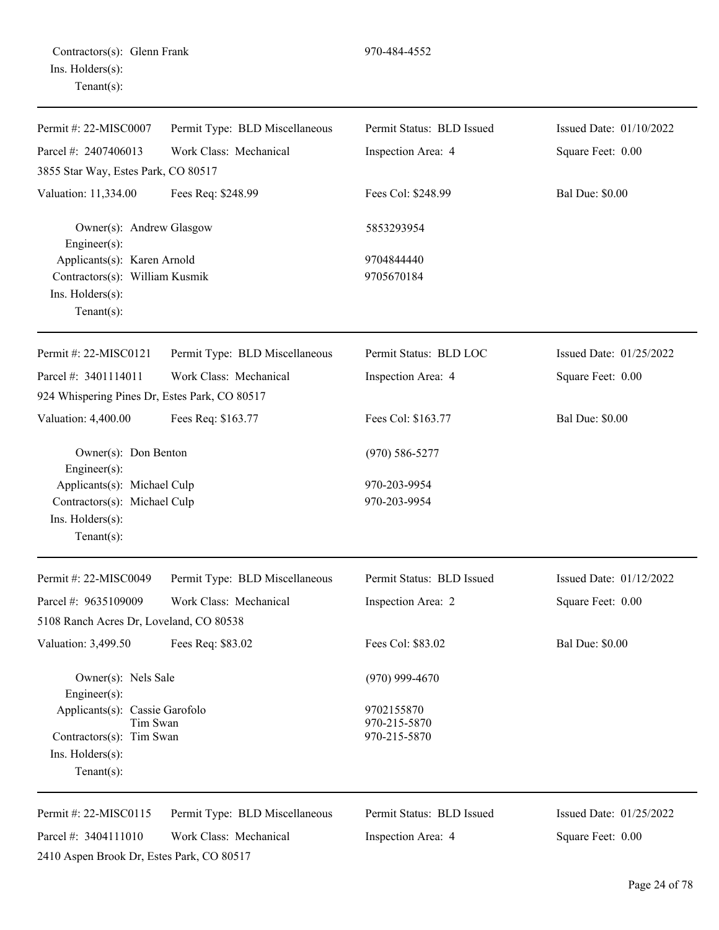| Permit #: 22-MISC0007                                                                            | Permit Type: BLD Miscellaneous | Permit Status: BLD Issued                  | Issued Date: 01/10/2022 |
|--------------------------------------------------------------------------------------------------|--------------------------------|--------------------------------------------|-------------------------|
| Parcel #: 2407406013                                                                             | Work Class: Mechanical         | Inspection Area: 4                         | Square Feet: 0.00       |
| 3855 Star Way, Estes Park, CO 80517                                                              |                                |                                            |                         |
| Valuation: 11,334.00                                                                             | Fees Req: \$248.99             | Fees Col: \$248.99                         | <b>Bal Due: \$0.00</b>  |
| Owner(s): Andrew Glasgow<br>Engineer $(s)$ :                                                     |                                | 5853293954                                 |                         |
| Applicants(s): Karen Arnold                                                                      |                                | 9704844440                                 |                         |
| Contractors(s): William Kusmik                                                                   |                                | 9705670184                                 |                         |
| Ins. Holders(s):<br>Tenant $(s)$ :                                                               |                                |                                            |                         |
| Permit #: 22-MISC0121                                                                            | Permit Type: BLD Miscellaneous | Permit Status: BLD LOC                     | Issued Date: 01/25/2022 |
| Parcel #: 3401114011                                                                             | Work Class: Mechanical         | Inspection Area: 4                         | Square Feet: 0.00       |
| 924 Whispering Pines Dr, Estes Park, CO 80517                                                    |                                |                                            |                         |
| Valuation: 4,400.00                                                                              | Fees Req: \$163.77             | Fees Col: \$163.77                         | <b>Bal Due: \$0.00</b>  |
| Owner(s): Don Benton<br>Engineer(s):                                                             |                                | $(970)$ 586-5277                           |                         |
| Applicants(s): Michael Culp<br>Contractors(s): Michael Culp<br>Ins. Holders(s):<br>$Tenant(s)$ : |                                | 970-203-9954<br>970-203-9954               |                         |
| Permit #: 22-MISC0049                                                                            | Permit Type: BLD Miscellaneous | Permit Status: BLD Issued                  | Issued Date: 01/12/2022 |
| Parcel #: 9635109009<br>5108 Ranch Acres Dr, Loveland, CO 80538                                  | Work Class: Mechanical         | Inspection Area: 2                         | Square Feet: 0.00       |
| Valuation: 3,499.50                                                                              | Fees Req: \$83.02              | Fees Col: \$83.02                          | <b>Bal Due: \$0.00</b>  |
| Owner(s): Nels Sale<br>Engineer(s):                                                              |                                | $(970)$ 999-4670                           |                         |
| Applicants(s): Cassie Garofolo<br>Tim Swan<br>Contractors(s): Tim Swan                           |                                | 9702155870<br>970-215-5870<br>970-215-5870 |                         |
| $Ins.$ Holders $(s)$ :<br>$Tenant(s)$ :                                                          |                                |                                            |                         |
| Permit #: 22-MISC0115                                                                            | Permit Type: BLD Miscellaneous | Permit Status: BLD Issued                  | Issued Date: 01/25/2022 |
| Parcel #: 3404111010                                                                             | Work Class: Mechanical         | Inspection Area: 4                         | Square Feet: 0.00       |
| 2410 Aspen Brook Dr, Estes Park, CO 80517                                                        |                                |                                            |                         |

# Page 24 of 78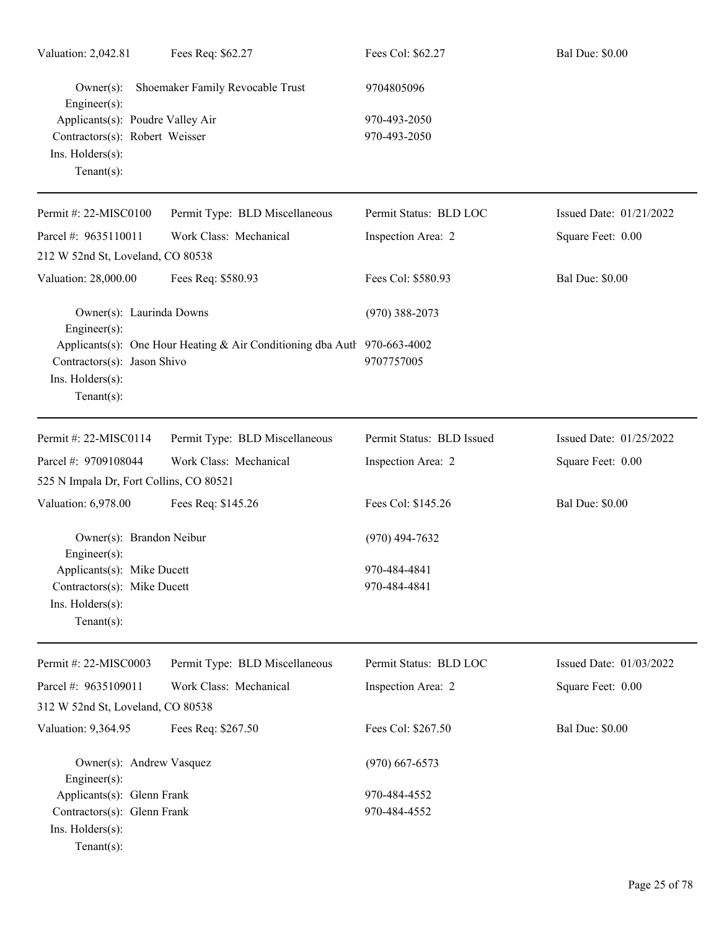| Valuation: 2,042.81                                                  | Fees Req: \$62.27                                                        | Fees Col: \$62.27         | <b>Bal Due: \$0.00</b>  |
|----------------------------------------------------------------------|--------------------------------------------------------------------------|---------------------------|-------------------------|
| $Owner(s)$ :<br>Engineer(s):                                         | Shoemaker Family Revocable Trust                                         | 9704805096                |                         |
| Applicants(s): Poudre Valley Air                                     |                                                                          | 970-493-2050              |                         |
| Contractors(s): Robert Weisser<br>Ins. Holders(s):<br>Tenant $(s)$ : |                                                                          | 970-493-2050              |                         |
| Permit #: 22-MISC0100                                                | Permit Type: BLD Miscellaneous                                           | Permit Status: BLD LOC    | Issued Date: 01/21/2022 |
| Parcel #: 9635110011                                                 | Work Class: Mechanical                                                   | Inspection Area: 2        | Square Feet: 0.00       |
| 212 W 52nd St, Loveland, CO 80538                                    |                                                                          |                           |                         |
| Valuation: 28,000.00                                                 | Fees Req: \$580.93                                                       | Fees Col: \$580.93        | <b>Bal Due: \$0.00</b>  |
| Owner(s): Laurinda Downs<br>Engineer(s):                             |                                                                          | $(970)$ 388-2073          |                         |
| Contractors(s): Jason Shivo<br>Ins. Holders(s):<br>$Tenant(s)$ :     | Applicants(s): One Hour Heating & Air Conditioning dba Autl 970-663-4002 | 9707757005                |                         |
| Permit #: 22-MISC0114                                                | Permit Type: BLD Miscellaneous                                           | Permit Status: BLD Issued | Issued Date: 01/25/2022 |
| Parcel #: 9709108044<br>525 N Impala Dr, Fort Collins, CO 80521      | Work Class: Mechanical                                                   | Inspection Area: 2        | Square Feet: 0.00       |
| Valuation: 6,978.00                                                  | Fees Req: \$145.26                                                       | Fees Col: \$145.26        | <b>Bal Due: \$0.00</b>  |
| Owner(s): Brandon Neibur<br>$Engineering(s)$ :                       |                                                                          | $(970)$ 494-7632          |                         |
| Applicants(s): Mike Ducett                                           |                                                                          | 970-484-4841              |                         |
| Contractors(s): Mike Ducett                                          |                                                                          | 970-484-4841              |                         |
| Ins. Holders(s):<br>Tenant $(s)$ :                                   |                                                                          |                           |                         |
| Permit #: 22-MISC0003                                                | Permit Type: BLD Miscellaneous                                           | Permit Status: BLD LOC    | Issued Date: 01/03/2022 |
| Parcel #: 9635109011                                                 | Work Class: Mechanical                                                   | Inspection Area: 2        | Square Feet: 0.00       |
| 312 W 52nd St, Loveland, CO 80538                                    |                                                                          |                           |                         |
| Valuation: 9,364.95                                                  | Fees Req: \$267.50                                                       | Fees Col: \$267.50        | <b>Bal Due: \$0.00</b>  |
| Owner(s): Andrew Vasquez<br>Engineer(s):                             |                                                                          | $(970)$ 667-6573          |                         |
| Applicants(s): Glenn Frank                                           |                                                                          | 970-484-4552              |                         |
| Contractors(s): Glenn Frank<br>Ins. Holders(s):<br>Tenant $(s)$ :    |                                                                          | 970-484-4552              |                         |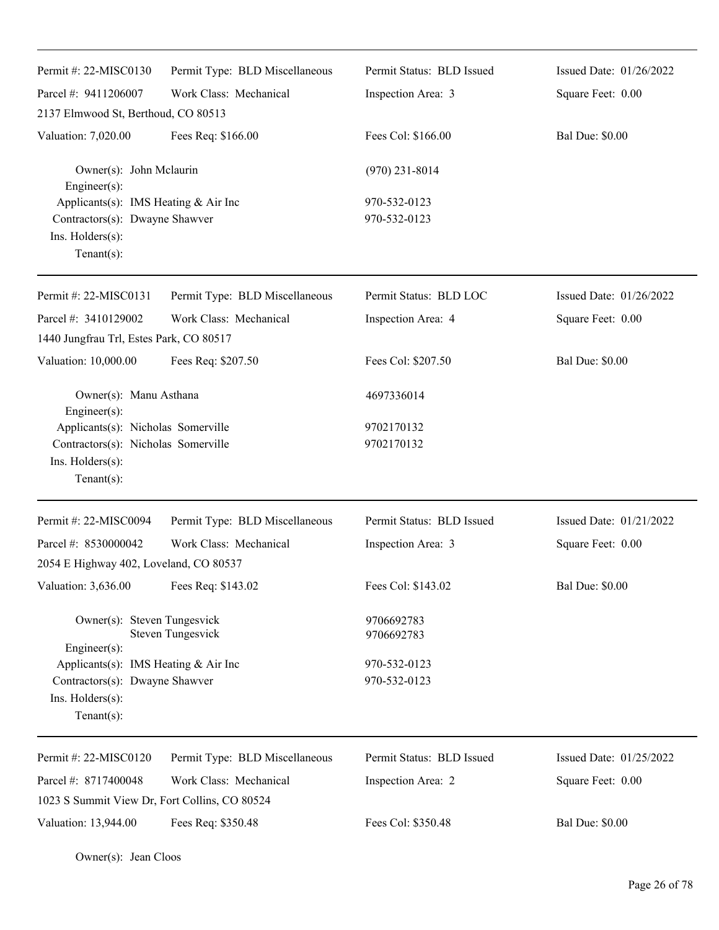| Permit #: $22-MISCO130$                                                                                      | Permit Type: BLD Miscellaneous | Permit Status: BLD Issued    | Issued Date: 01/26/2022 |
|--------------------------------------------------------------------------------------------------------------|--------------------------------|------------------------------|-------------------------|
| Parcel #: 9411206007                                                                                         | Work Class: Mechanical         | Inspection Area: 3           | Square Feet: 0.00       |
| 2137 Elmwood St, Berthoud, CO 80513                                                                          |                                |                              |                         |
| Valuation: 7,020.00                                                                                          | Fees Req: \$166.00             | Fees Col: \$166.00           | <b>Bal Due: \$0.00</b>  |
| Owner(s): John Mclaurin<br>Engineer $(s)$ :                                                                  |                                | $(970)$ 231-8014             |                         |
| Applicants(s): IMS Heating & Air Inc<br>Contractors(s): Dwayne Shawver<br>Ins. Holders(s):<br>Tenant $(s)$ : |                                | 970-532-0123<br>970-532-0123 |                         |
| Permit #: 22-MISC0131                                                                                        | Permit Type: BLD Miscellaneous | Permit Status: BLD LOC       | Issued Date: 01/26/2022 |
| Parcel #: 3410129002                                                                                         | Work Class: Mechanical         | Inspection Area: 4           | Square Feet: 0.00       |
| 1440 Jungfrau Trl, Estes Park, CO 80517                                                                      |                                |                              |                         |
| Valuation: 10,000.00                                                                                         | Fees Req: \$207.50             | Fees Col: \$207.50           | <b>Bal Due: \$0.00</b>  |
| Owner(s): Manu Asthana<br>Engineer(s):                                                                       |                                | 4697336014                   |                         |
| Applicants(s): Nicholas Somerville                                                                           |                                | 9702170132                   |                         |
| Contractors(s): Nicholas Somerville                                                                          |                                | 9702170132                   |                         |
| Ins. $H$ olders $(s)$ :<br>$Tenant(s)$ :                                                                     |                                |                              |                         |
| Permit #: 22-MISC0094                                                                                        | Permit Type: BLD Miscellaneous | Permit Status: BLD Issued    | Issued Date: 01/21/2022 |
| Parcel #: 8530000042                                                                                         | Work Class: Mechanical         | Inspection Area: 3           | Square Feet: 0.00       |
| 2054 E Highway 402, Loveland, CO 80537                                                                       |                                |                              |                         |
| Valuation: 3,636.00                                                                                          | Fees Req: \$143.02             | Fees Col: \$143.02           | <b>Bal Due: \$0.00</b>  |
| Owner(s): Steven Tungesvick                                                                                  | <b>Steven Tungesvick</b>       | 9706692783<br>9706692783     |                         |
| Engineer $(s)$ :                                                                                             |                                |                              |                         |
| Applicants(s): IMS Heating $& Air Inc$                                                                       |                                | 970-532-0123                 |                         |
| Contractors(s): Dwayne Shawver<br>Ins. Holders(s):<br>$Tenant(s)$ :                                          |                                | 970-532-0123                 |                         |
| Permit #: 22-MISC0120                                                                                        | Permit Type: BLD Miscellaneous | Permit Status: BLD Issued    | Issued Date: 01/25/2022 |
| Parcel #: 8717400048                                                                                         | Work Class: Mechanical         | Inspection Area: 2           | Square Feet: 0.00       |
| 1023 S Summit View Dr, Fort Collins, CO 80524                                                                |                                |                              |                         |
| Valuation: 13,944.00                                                                                         | Fees Req: \$350.48             | Fees Col: \$350.48           | <b>Bal Due: \$0.00</b>  |

Owner(s): Jean Cloos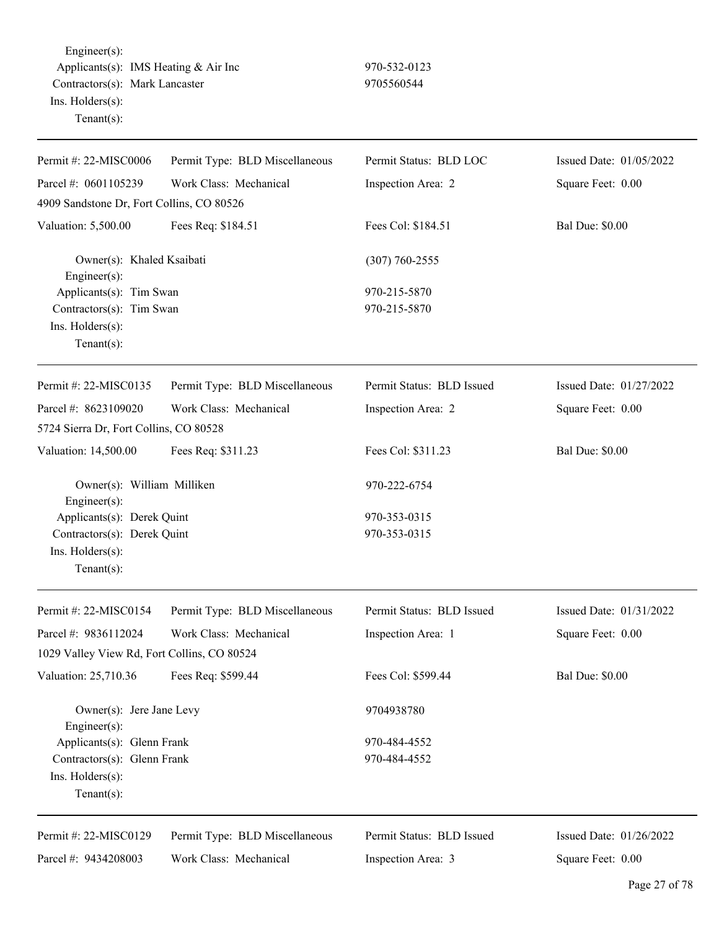Engineer(s): Applicants(s): IMS Heating & Air Inc 970-532-0123 Contractors(s): Mark Lancaster 9705560544 Ins. Holders(s): Tenant(s):

| Permit #: 22-MISC0006                                                                           | Permit Type: BLD Miscellaneous | Permit Status: BLD LOC       | Issued Date: 01/05/2022 |
|-------------------------------------------------------------------------------------------------|--------------------------------|------------------------------|-------------------------|
| Parcel #: 0601105239                                                                            | Work Class: Mechanical         | Inspection Area: 2           | Square Feet: 0.00       |
| 4909 Sandstone Dr, Fort Collins, CO 80526                                                       |                                |                              |                         |
| Valuation: 5,500.00                                                                             | Fees Req: \$184.51             | Fees Col: \$184.51           | <b>Bal Due: \$0.00</b>  |
| Owner(s): Khaled Ksaibati<br>Engineer(s):                                                       |                                | $(307) 760 - 2555$           |                         |
| Applicants(s): Tim Swan                                                                         |                                | 970-215-5870                 |                         |
| Contractors(s): Tim Swan                                                                        |                                | 970-215-5870                 |                         |
| Ins. Holders(s):<br>Tenant $(s)$ :                                                              |                                |                              |                         |
| Permit #: 22-MISC0135                                                                           | Permit Type: BLD Miscellaneous | Permit Status: BLD Issued    | Issued Date: 01/27/2022 |
| Parcel #: 8623109020                                                                            | Work Class: Mechanical         | Inspection Area: 2           | Square Feet: 0.00       |
| 5724 Sierra Dr, Fort Collins, CO 80528                                                          |                                |                              |                         |
| Valuation: 14,500.00                                                                            | Fees Req: \$311.23             | Fees Col: \$311.23           | <b>Bal Due: \$0.00</b>  |
| Owner(s): William Milliken<br>Engineer(s):                                                      |                                | 970-222-6754                 |                         |
| Applicants(s): Derek Quint<br>Contractors(s): Derek Quint<br>Ins. Holders(s):<br>Tenant $(s)$ : |                                | 970-353-0315<br>970-353-0315 |                         |
| Permit #: 22-MISC0154                                                                           | Permit Type: BLD Miscellaneous | Permit Status: BLD Issued    | Issued Date: 01/31/2022 |
| Parcel #: 9836112024                                                                            | Work Class: Mechanical         | Inspection Area: 1           | Square Feet: 0.00       |
| 1029 Valley View Rd, Fort Collins, CO 80524                                                     |                                |                              |                         |
| Valuation: 25,710.36                                                                            | Fees Req: \$599.44             | Fees Col: \$599.44           | <b>Bal Due: \$0.00</b>  |
| Owner(s): Jere Jane Levy<br>Engineer(s):                                                        |                                | 9704938780                   |                         |
| Applicants(s): Glenn Frank                                                                      |                                | 970-484-4552                 |                         |
| Contractors(s): Glenn Frank                                                                     |                                | 970-484-4552                 |                         |
| Ins. Holders(s):<br>Tenant $(s)$ :                                                              |                                |                              |                         |
| Permit #: 22-MISC0129                                                                           | Permit Type: BLD Miscellaneous | Permit Status: BLD Issued    | Issued Date: 01/26/2022 |
| Parcel #: 9434208003                                                                            | Work Class: Mechanical         | Inspection Area: 3           | Square Feet: 0.00       |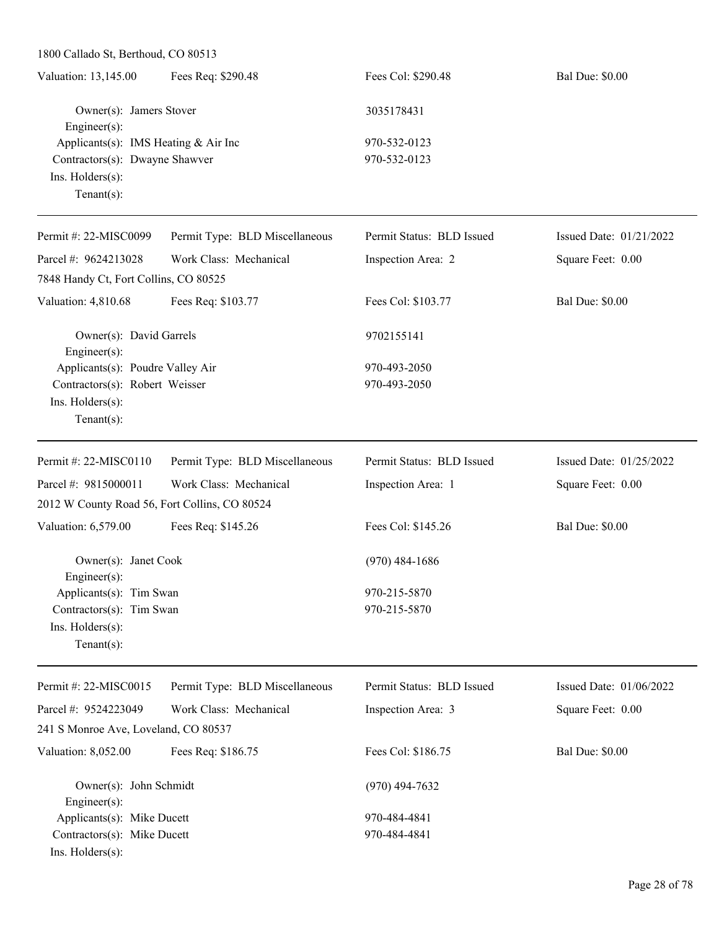1800 Callado St, Berthoud, CO 80513

| Valuation: 13,145.00                   | Fees Req: \$290.48 | Fees Col: \$290.48 | <b>Bal Due: \$0.00</b> |
|----------------------------------------|--------------------|--------------------|------------------------|
| Owner(s): Jamers Stover                |                    | 3035178431         |                        |
| $Engineering(s)$ :                     |                    |                    |                        |
| Applicants(s): IMS Heating $& Air Inc$ |                    | 970-532-0123       |                        |
| Contractors(s): Dwayne Shawver         |                    | 970-532-0123       |                        |
| Ins. $H$ olders $(s)$ :                |                    |                    |                        |
| Tenant $(s)$ :                         |                    |                    |                        |
|                                        |                    |                    |                        |

| Permit #: 22-MISC0099                                              | Permit Type: BLD Miscellaneous | Permit Status: BLD Issued | Issued Date: $01/21/2022$ |
|--------------------------------------------------------------------|--------------------------------|---------------------------|---------------------------|
| Parcel #: 9624213028                                               | Work Class: Mechanical         | Inspection Area: 2        | Square Feet: 0.00         |
| 7848 Handy Ct, Fort Collins, CO 80525                              |                                |                           |                           |
| Valuation: 4,810.68                                                | Fees Req: \$103.77             | Fees Col: \$103.77        | <b>Bal Due: \$0.00</b>    |
| Owner(s): David Garrels<br>Engineer $(s)$ :                        |                                | 9702155141                |                           |
| Applicants(s): Poudre Valley Air<br>Contractors(s): Robert Weisser |                                | 970-493-2050              |                           |
|                                                                    |                                | 970-493-2050              |                           |
| $Ins.$ Holders $(s)$ :                                             |                                |                           |                           |
| Tenant $(s)$ :                                                     |                                |                           |                           |
| Permit #: 22-MISC0110                                              | Permit Type: BLD Miscellaneous | Permit Status: BLD Issued | Issued Date: $01/25/2022$ |
| Parcel #: 9815000011                                               | Work Class: Mechanical         | Inspection Area: 1        | Square Feet: 0.00         |
| 2012 W County Road 56, Fort Collins, CO 80524                      |                                |                           |                           |
| Valuation: 6,579.00                                                | Fees Req: \$145.26             | Fees Col: \$145.26        | <b>Bal Due: \$0.00</b>    |
| Owner(s): Janet Cook                                               |                                | $(970)$ 484-1686          |                           |

Engineer(s): Applicants(s): Tim Swan 970-215-5870  $Contractors(s):$  Tim Swan 970-215-5870 Ins. Holders(s): Tenant(s):

Permit #: 22-MISC0015 Parcel #: 9524223049 Permit Type: BLD Miscellaneous Work Class: Mechanical Permit Status: BLD Issued Inspection Area: 3 Issued Date: 01/06/2022 Square Feet: 0.00 241 S Monroe Ave, Loveland, CO 80537 Valuation: 8,052.00 Fees Req: \$186.75 Fees Col: \$186.75 Bal Due: \$0.00 Owner(s): John Schmidt (970) 494-7632 Engineer(s): Applicants(s): Mike Ducett 970-484-4841 Contractors(s): Mike Ducett 970-484-4841 Ins. Holders(s):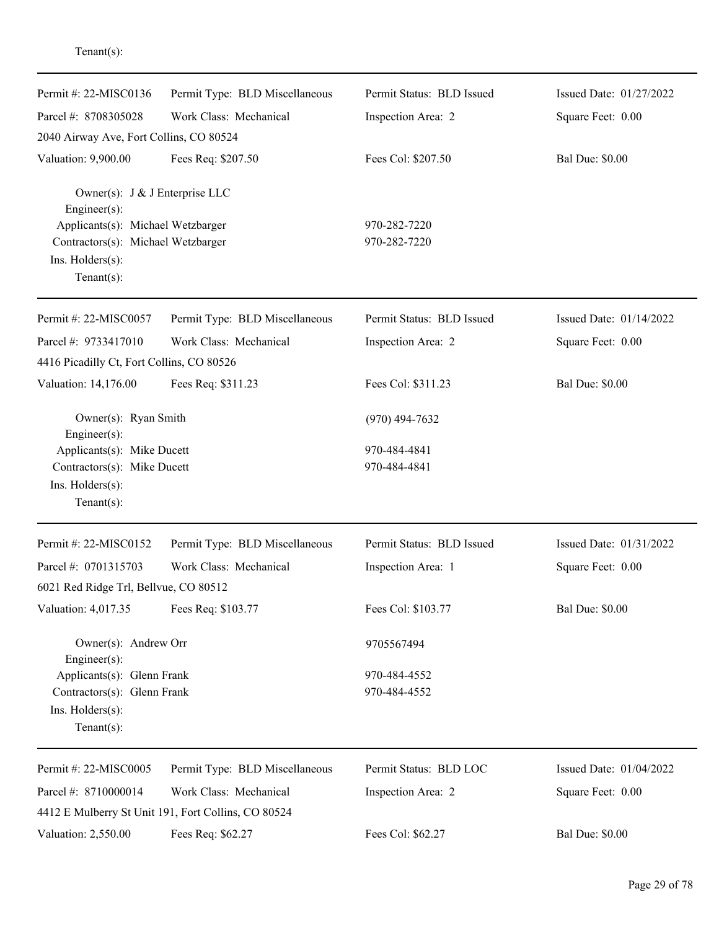| Permit #: 22-MISC0136                                | Permit Type: BLD Miscellaneous                      | Permit Status: BLD Issued | Issued Date: 01/27/2022 |
|------------------------------------------------------|-----------------------------------------------------|---------------------------|-------------------------|
| Parcel #: 8708305028                                 | Work Class: Mechanical                              | Inspection Area: 2        | Square Feet: 0.00       |
| 2040 Airway Ave, Fort Collins, CO 80524              |                                                     |                           |                         |
| Valuation: 9,900.00                                  | Fees Req: \$207.50                                  | Fees Col: \$207.50        | <b>Bal Due: \$0.00</b>  |
| Owner(s): J & J Enterprise LLC<br>$Engineering(s)$ : |                                                     |                           |                         |
| Applicants(s): Michael Wetzbarger                    |                                                     | 970-282-7220              |                         |
| Contractors(s): Michael Wetzbarger                   |                                                     | 970-282-7220              |                         |
| Ins. Holders(s):<br>Tenant $(s)$ :                   |                                                     |                           |                         |
| Permit #: 22-MISC0057                                | Permit Type: BLD Miscellaneous                      | Permit Status: BLD Issued | Issued Date: 01/14/2022 |
| Parcel #: 9733417010                                 | Work Class: Mechanical                              | Inspection Area: 2        | Square Feet: 0.00       |
| 4416 Picadilly Ct, Fort Collins, CO 80526            |                                                     |                           |                         |
| Valuation: 14,176.00                                 | Fees Req: \$311.23                                  | Fees Col: \$311.23        | <b>Bal Due: \$0.00</b>  |
| Owner(s): Ryan Smith<br>Engineer $(s)$ :             |                                                     | $(970)$ 494-7632          |                         |
| Applicants(s): Mike Ducett                           |                                                     | 970-484-4841              |                         |
| Contractors(s): Mike Ducett                          |                                                     | 970-484-4841              |                         |
| Ins. Holders(s):                                     |                                                     |                           |                         |
| Tenant $(s)$ :                                       |                                                     |                           |                         |
| Permit #: 22-MISC0152                                | Permit Type: BLD Miscellaneous                      | Permit Status: BLD Issued | Issued Date: 01/31/2022 |
| Parcel #: 0701315703                                 | Work Class: Mechanical                              | Inspection Area: 1        | Square Feet: 0.00       |
| 6021 Red Ridge Trl, Bellvue, CO 80512                |                                                     |                           |                         |
| Valuation: 4,017.35                                  | Fees Req: \$103.77                                  | Fees Col: \$103.77        | <b>Bal Due: \$0.00</b>  |
| Owner(s): Andrew Orr<br>$Engineering(s)$ :           |                                                     | 9705567494                |                         |
| Applicants(s): Glenn Frank                           |                                                     | 970-484-4552              |                         |
| Contractors(s): Glenn Frank                          |                                                     | 970-484-4552              |                         |
| Ins. Holders(s):                                     |                                                     |                           |                         |
| Tenant $(s)$ :                                       |                                                     |                           |                         |
| Permit #: 22-MISC0005                                | Permit Type: BLD Miscellaneous                      | Permit Status: BLD LOC    | Issued Date: 01/04/2022 |
| Parcel #: 8710000014                                 | Work Class: Mechanical                              | Inspection Area: 2        | Square Feet: 0.00       |
|                                                      | 4412 E Mulberry St Unit 191, Fort Collins, CO 80524 |                           |                         |
| Valuation: 2,550.00                                  | Fees Req: \$62.27                                   | Fees Col: \$62.27         | <b>Bal Due: \$0.00</b>  |
|                                                      |                                                     |                           |                         |

Tenant(s):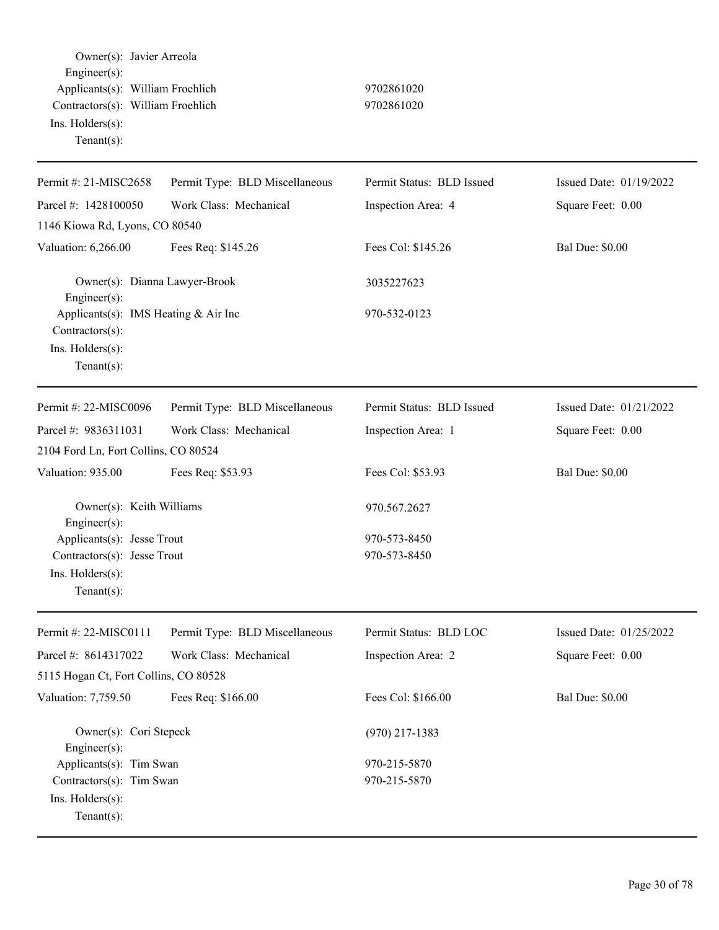Owner(s): Javier Arreola Engineer(s): Applicants(s): William Froehlich 9702861020 Contractors(s): William Froehlich 9702861020 Ins. Holders(s): Tenant(s): Permit #: 21-MISC2658 Parcel #: 1428100050 Permit Type: BLD Miscellaneous Work Class: Mechanical Permit Status: BLD Issued Inspection Area: 4 Issued Date: 01/19/2022 Square Feet: 0.00 1146 Kiowa Rd, Lyons, CO 80540 Valuation: 6,266.00 Fees Req: \$145.26 Fees Col: \$145.26 Bal Due: \$0.00 Owner(s): Dianna Lawyer-Brook 3035227623 Engineer(s): Applicants(s): IMS Heating & Air Inc 970-532-0123 Contractors(s): Ins. Holders(s): Tenant(s): Permit #: 22-MISC0096 Parcel #: 9836311031 Permit Type: BLD Miscellaneous Work Class: Mechanical Permit Status: BLD Issued Inspection Area: 1 Issued Date: 01/21/2022 Square Feet: 0.00 2104 Ford Ln, Fort Collins, CO 80524 Valuation: 935.00 Fees Req: \$53.93 Fees Col: \$53.93 Bal Due: \$0.00 Owner(s): Keith Williams 970.567.2627 Engineer(s): Applicants(s): Jesse Trout 970-573-8450 Contractors(s): Jesse Trout 970-573-8450 Ins. Holders(s): Tenant(s): Permit #: 22-MISC0111 Parcel #: 8614317022 Permit Type: BLD Miscellaneous Work Class: Mechanical Permit Status: BLD LOC Inspection Area: 2 Issued Date: 01/25/2022 Square Feet: 0.00 5115 Hogan Ct, Fort Collins, CO 80528 Valuation: 7,759.50 Fees Req: \$166.00 Fees Col: \$166.00 Bal Due: \$0.00 Owner(s): Cori Stepeck (970) 217-1383 Engineer(s): Applicants(s): Tim Swan 970-215-5870  $Contractors(s):$  Tim Swan 970-215-5870 Ins. Holders(s): Tenant(s):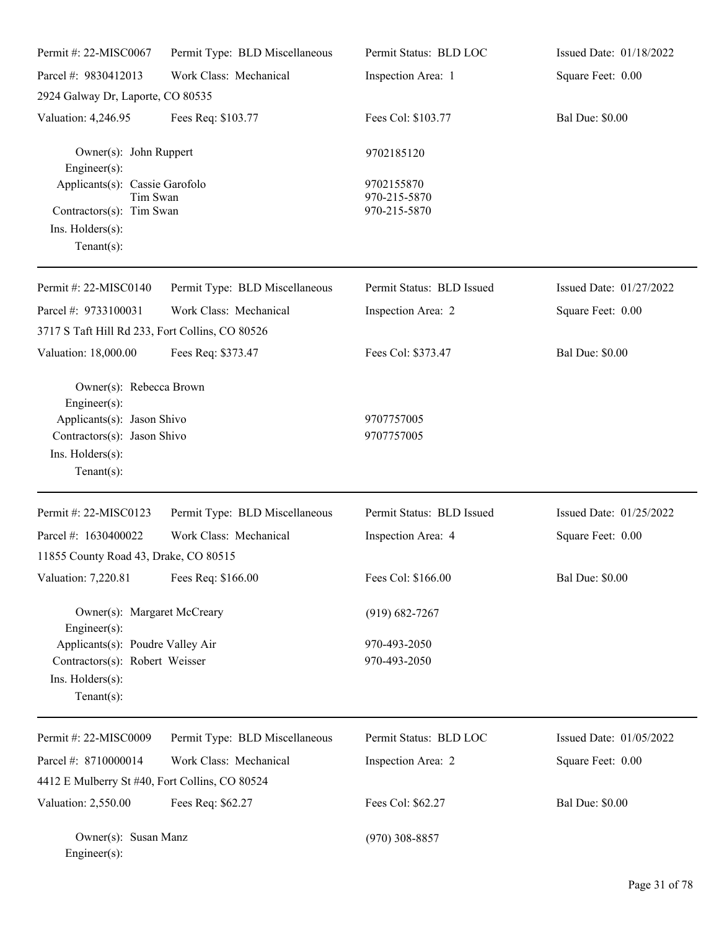| Permit #: 22-MISC0067                                                                                                                         | Permit Type: BLD Miscellaneous | Permit Status: BLD LOC                     | Issued Date: 01/18/2022 |
|-----------------------------------------------------------------------------------------------------------------------------------------------|--------------------------------|--------------------------------------------|-------------------------|
| Parcel #: 9830412013                                                                                                                          | Work Class: Mechanical         | Inspection Area: 1                         | Square Feet: 0.00       |
| 2924 Galway Dr, Laporte, CO 80535                                                                                                             |                                |                                            |                         |
| Valuation: 4,246.95                                                                                                                           | Fees Req: \$103.77             | Fees Col: \$103.77                         | <b>Bal Due: \$0.00</b>  |
| Owner(s): John Ruppert<br>Engineer(s):                                                                                                        |                                | 9702185120                                 |                         |
| Applicants(s): Cassie Garofolo<br>Tim Swan<br>Contractors(s): Tim Swan<br>$Ins.$ Holders $(s)$ :<br>Tenant $(s)$ :                            |                                | 9702155870<br>970-215-5870<br>970-215-5870 |                         |
| Permit #: 22-MISC0140                                                                                                                         | Permit Type: BLD Miscellaneous | Permit Status: BLD Issued                  | Issued Date: 01/27/2022 |
| Parcel #: 9733100031<br>3717 S Taft Hill Rd 233, Fort Collins, CO 80526                                                                       | Work Class: Mechanical         | Inspection Area: 2                         | Square Feet: 0.00       |
| Valuation: 18,000.00                                                                                                                          | Fees Req: \$373.47             | Fees Col: \$373.47                         | <b>Bal Due: \$0.00</b>  |
| Owner(s): Rebecca Brown<br>$Engineer(s)$ :<br>Applicants(s): Jason Shivo<br>Contractors(s): Jason Shivo<br>Ins. Holders(s):<br>Tenant $(s)$ : |                                | 9707757005<br>9707757005                   |                         |
| Permit #: 22-MISC0123                                                                                                                         | Permit Type: BLD Miscellaneous | Permit Status: BLD Issued                  | Issued Date: 01/25/2022 |
| Parcel #: 1630400022<br>11855 County Road 43, Drake, CO 80515                                                                                 | Work Class: Mechanical         | Inspection Area: 4                         | Square Feet: 0.00       |
| Valuation: 7,220.81                                                                                                                           | Fees Req: \$166.00             | Fees Col: \$166.00                         | <b>Bal Due: \$0.00</b>  |
| Owner(s): Margaret McCreary<br>Engineer(s):                                                                                                   |                                | $(919) 682 - 7267$                         |                         |
| Applicants(s): Poudre Valley Air<br>Contractors(s): Robert Weisser<br>Ins. Holders(s):<br>Tenant $(s)$ :                                      |                                | 970-493-2050<br>970-493-2050               |                         |
| Permit #: 22-MISC0009                                                                                                                         | Permit Type: BLD Miscellaneous | Permit Status: BLD LOC                     | Issued Date: 01/05/2022 |
| Parcel #: 8710000014                                                                                                                          | Work Class: Mechanical         | Inspection Area: 2                         | Square Feet: 0.00       |
| 4412 E Mulberry St #40, Fort Collins, CO 80524                                                                                                |                                |                                            |                         |
| Valuation: 2,550.00                                                                                                                           | Fees Req: \$62.27              | Fees Col: \$62.27                          | <b>Bal Due: \$0.00</b>  |
| Owner(s): Susan Manz<br>Engineer(s):                                                                                                          |                                | $(970)$ 308-8857                           |                         |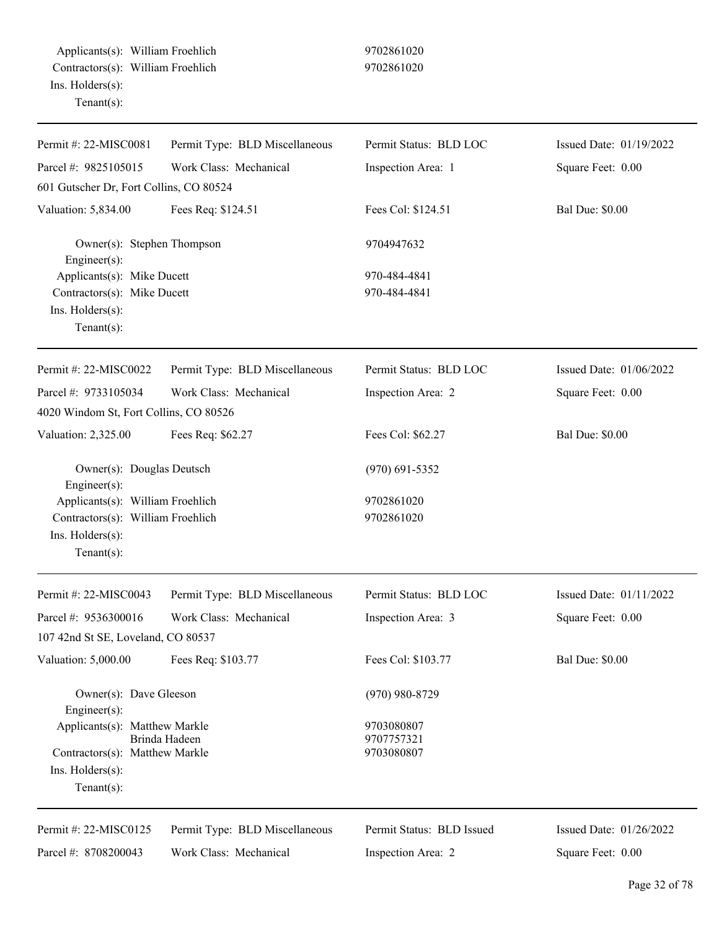| Permit #: 22-MISC0081                          | Permit Type: BLD Miscellaneous | Permit Status: BLD LOC    | Issued Date: 01/19/2022 |
|------------------------------------------------|--------------------------------|---------------------------|-------------------------|
| Parcel #: 9825105015                           | Work Class: Mechanical         | Inspection Area: 1        | Square Feet: 0.00       |
| 601 Gutscher Dr, Fort Collins, CO 80524        |                                |                           |                         |
| Valuation: 5,834.00                            | Fees Req: \$124.51             | Fees Col: \$124.51        | <b>Bal Due: \$0.00</b>  |
| Owner(s): Stephen Thompson<br>Engineer(s):     |                                | 9704947632                |                         |
| Applicants(s): Mike Ducett                     |                                | 970-484-4841              |                         |
| Contractors(s): Mike Ducett                    |                                | 970-484-4841              |                         |
| Ins. Holders(s):                               |                                |                           |                         |
| $Tenant(s)$ :                                  |                                |                           |                         |
| Permit #: 22-MISC0022                          | Permit Type: BLD Miscellaneous | Permit Status: BLD LOC    | Issued Date: 01/06/2022 |
| Parcel #: 9733105034                           | Work Class: Mechanical         | Inspection Area: 2        | Square Feet: 0.00       |
| 4020 Windom St, Fort Collins, CO 80526         |                                |                           |                         |
| Valuation: 2,325.00                            | Fees Req: \$62.27              | Fees Col: \$62.27         | <b>Bal Due: \$0.00</b>  |
| Owner(s): Douglas Deutsch<br>Engineer(s):      |                                | $(970)$ 691-5352          |                         |
| Applicants(s): William Froehlich               |                                | 9702861020                |                         |
| Contractors(s): William Froehlich              |                                | 9702861020                |                         |
| Ins. Holders(s):                               |                                |                           |                         |
| $Tenant(s)$ :                                  |                                |                           |                         |
| Permit #: 22-MISC0043                          | Permit Type: BLD Miscellaneous | Permit Status: BLD LOC    | Issued Date: 01/11/2022 |
| Parcel #: 9536300016                           | Work Class: Mechanical         | Inspection Area: 3        | Square Feet: 0.00       |
| 107 42nd St SE, Loveland, CO 80537             |                                |                           |                         |
| Valuation: 5,000.00                            | Fees Req: \$103.77             | Fees Col: \$103.77        | <b>Bal Due: \$0.00</b>  |
| Owner(s): Dave Gleeson                         |                                | $(970)$ 980-8729          |                         |
| $Engineering(s)$ :                             |                                |                           |                         |
| Applicants(s): Matthew Markle<br>Brinda Hadeen |                                | 9703080807<br>9707757321  |                         |
| Contractors(s): Matthew Markle                 |                                | 9703080807                |                         |
| Ins. Holders(s):                               |                                |                           |                         |
| $Tenant(s)$ :                                  |                                |                           |                         |
| Permit #: 22-MISC0125                          | Permit Type: BLD Miscellaneous | Permit Status: BLD Issued | Issued Date: 01/26/2022 |
| Parcel #: 8708200043                           | Work Class: Mechanical         | Inspection Area: 2        | Square Feet: 0.00       |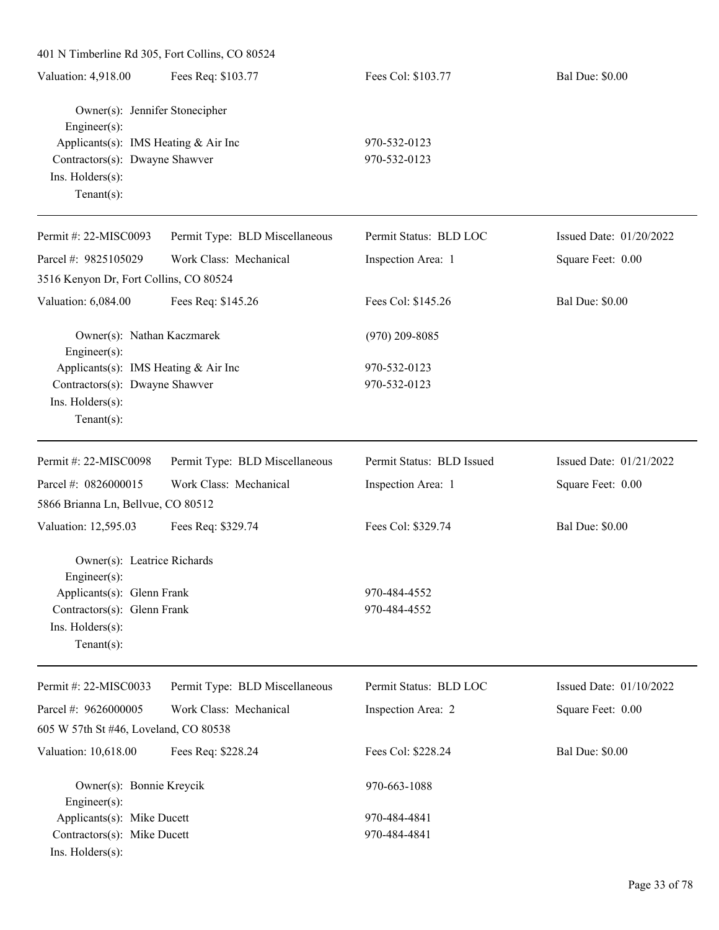| 401 N Timberline Rd 305, Fort Collins, CO 80524                                                                                                                |                                |                              |                         |
|----------------------------------------------------------------------------------------------------------------------------------------------------------------|--------------------------------|------------------------------|-------------------------|
| Valuation: 4,918.00                                                                                                                                            | Fees Req: \$103.77             | Fees Col: \$103.77           | <b>Bal Due: \$0.00</b>  |
| Owner(s): Jennifer Stonecipher<br>Engineer(s):<br>Applicants(s): IMS Heating & Air Inc<br>Contractors(s): Dwayne Shawver<br>Ins. Holders(s):<br>Tenant $(s)$ : |                                | 970-532-0123<br>970-532-0123 |                         |
| Permit #: 22-MISC0093                                                                                                                                          | Permit Type: BLD Miscellaneous | Permit Status: BLD LOC       | Issued Date: 01/20/2022 |
| Parcel #: 9825105029                                                                                                                                           | Work Class: Mechanical         | Inspection Area: 1           | Square Feet: 0.00       |
| 3516 Kenyon Dr, Fort Collins, CO 80524                                                                                                                         |                                |                              |                         |
| Valuation: 6,084.00                                                                                                                                            | Fees Req: \$145.26             | Fees Col: \$145.26           | <b>Bal Due: \$0.00</b>  |
| Owner(s): Nathan Kaczmarek<br>Engineer(s):                                                                                                                     |                                | $(970)$ 209-8085             |                         |
| Applicants(s): IMS Heating & Air Inc<br>Contractors(s): Dwayne Shawver<br>Ins. Holders(s):<br>Tenant $(s)$ :                                                   |                                | 970-532-0123<br>970-532-0123 |                         |
| Permit #: 22-MISC0098                                                                                                                                          | Permit Type: BLD Miscellaneous | Permit Status: BLD Issued    | Issued Date: 01/21/2022 |
| Parcel #: 0826000015<br>5866 Brianna Ln, Bellvue, CO 80512                                                                                                     | Work Class: Mechanical         | Inspection Area: 1           | Square Feet: 0.00       |
| Valuation: 12,595.03                                                                                                                                           | Fees Req: \$329.74             | Fees Col: \$329.74           | <b>Bal Due: \$0.00</b>  |
| Owner(s): Leatrice Richards<br>Engineer(s):<br>Applicants(s): Glenn Frank<br>Contractors(s): Glenn Frank<br>Ins. $H$ olders $(s)$ :<br>Tenant $(s)$ :          |                                | 970-484-4552<br>970-484-4552 |                         |
| Permit #: 22-MISC0033                                                                                                                                          | Permit Type: BLD Miscellaneous | Permit Status: BLD LOC       | Issued Date: 01/10/2022 |
| Parcel #: 9626000005<br>605 W 57th St #46, Loveland, CO 80538                                                                                                  | Work Class: Mechanical         | Inspection Area: 2           | Square Feet: 0.00       |
| Valuation: 10,618.00                                                                                                                                           | Fees Req: \$228.24             | Fees Col: \$228.24           | <b>Bal Due: \$0.00</b>  |
| Owner(s): Bonnie Kreycik<br>Engineer(s):                                                                                                                       |                                | 970-663-1088                 |                         |
| Applicants(s): Mike Ducett<br>Contractors(s): Mike Ducett<br>Ins. Holders(s):                                                                                  |                                | 970-484-4841<br>970-484-4841 |                         |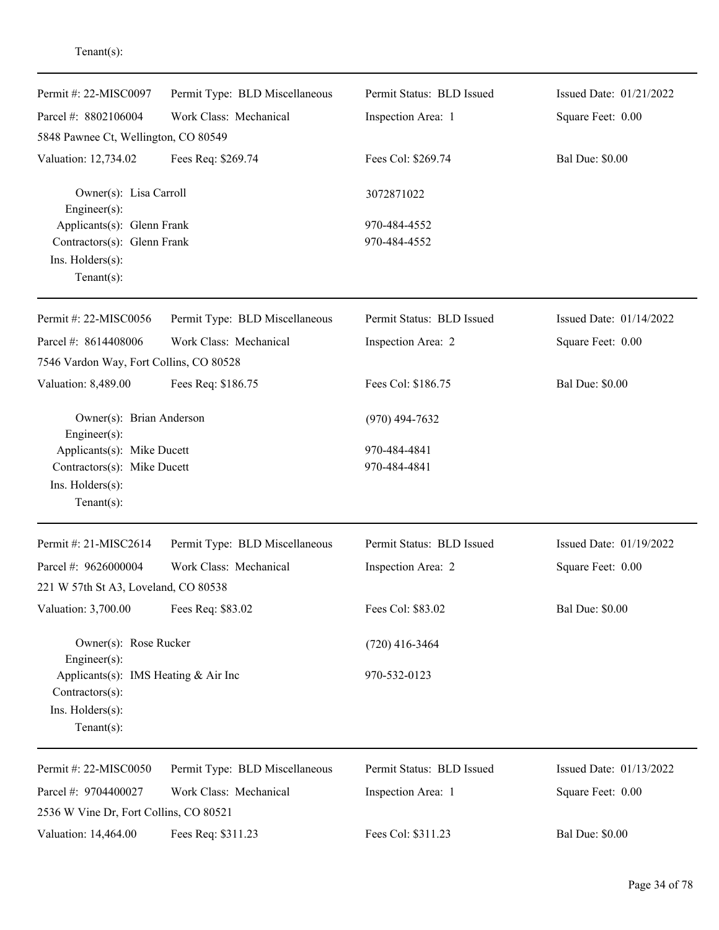| Permit #: 22-MISC0097                          | Permit Type: BLD Miscellaneous | Permit Status: BLD Issued | Issued Date: 01/21/2022 |
|------------------------------------------------|--------------------------------|---------------------------|-------------------------|
| Parcel #: 8802106004                           | Work Class: Mechanical         | Inspection Area: 1        | Square Feet: 0.00       |
| 5848 Pawnee Ct, Wellington, CO 80549           |                                |                           |                         |
| Valuation: 12,734.02                           | Fees Req: \$269.74             | Fees Col: \$269.74        | <b>Bal Due: \$0.00</b>  |
| Owner(s): Lisa Carroll<br>Engineer $(s)$ :     |                                | 3072871022                |                         |
| Applicants(s): Glenn Frank                     |                                | 970-484-4552              |                         |
| Contractors(s): Glenn Frank                    |                                | 970-484-4552              |                         |
| Ins. Holders(s):<br>$Tenant(s)$ :              |                                |                           |                         |
| Permit #: 22-MISC0056                          | Permit Type: BLD Miscellaneous | Permit Status: BLD Issued | Issued Date: 01/14/2022 |
| Parcel #: 8614408006                           | Work Class: Mechanical         | Inspection Area: 2        | Square Feet: 0.00       |
| 7546 Vardon Way, Fort Collins, CO 80528        |                                |                           |                         |
| Valuation: 8,489.00                            | Fees Req: \$186.75             | Fees Col: \$186.75        | <b>Bal Due: \$0.00</b>  |
| Owner(s): Brian Anderson<br>$Engineering(s)$ : |                                | $(970)$ 494-7632          |                         |
| Applicants(s): Mike Ducett                     |                                | 970-484-4841              |                         |
| Contractors(s): Mike Ducett                    |                                | 970-484-4841              |                         |
| Ins. Holders(s):                               |                                |                           |                         |
| Tenant $(s)$ :                                 |                                |                           |                         |
| Permit #: 21-MISC2614                          | Permit Type: BLD Miscellaneous | Permit Status: BLD Issued | Issued Date: 01/19/2022 |
| Parcel #: 9626000004                           | Work Class: Mechanical         | Inspection Area: 2        | Square Feet: 0.00       |
| 221 W 57th St A3, Loveland, CO 80538           |                                |                           |                         |
| Valuation: 3,700.00                            | Fees Req: \$83.02              | Fees Col: \$83.02         | <b>Bal Due: \$0.00</b>  |
| Owner(s): Rose Rucker<br>$Engineering(s)$ :    |                                | $(720)$ 416-3464          |                         |
| Applicants(s): IMS Heating & Air Inc           |                                | 970-532-0123              |                         |
| Contractors(s):                                |                                |                           |                         |
| Ins. Holders(s):<br>Tenant $(s)$ :             |                                |                           |                         |
| Permit #: 22-MISC0050                          | Permit Type: BLD Miscellaneous | Permit Status: BLD Issued | Issued Date: 01/13/2022 |
| Parcel #: 9704400027                           | Work Class: Mechanical         | Inspection Area: 1        | Square Feet: 0.00       |
| 2536 W Vine Dr, Fort Collins, CO 80521         |                                |                           |                         |
| Valuation: 14,464.00                           | Fees Req: \$311.23             | Fees Col: \$311.23        | <b>Bal Due: \$0.00</b>  |
|                                                |                                |                           |                         |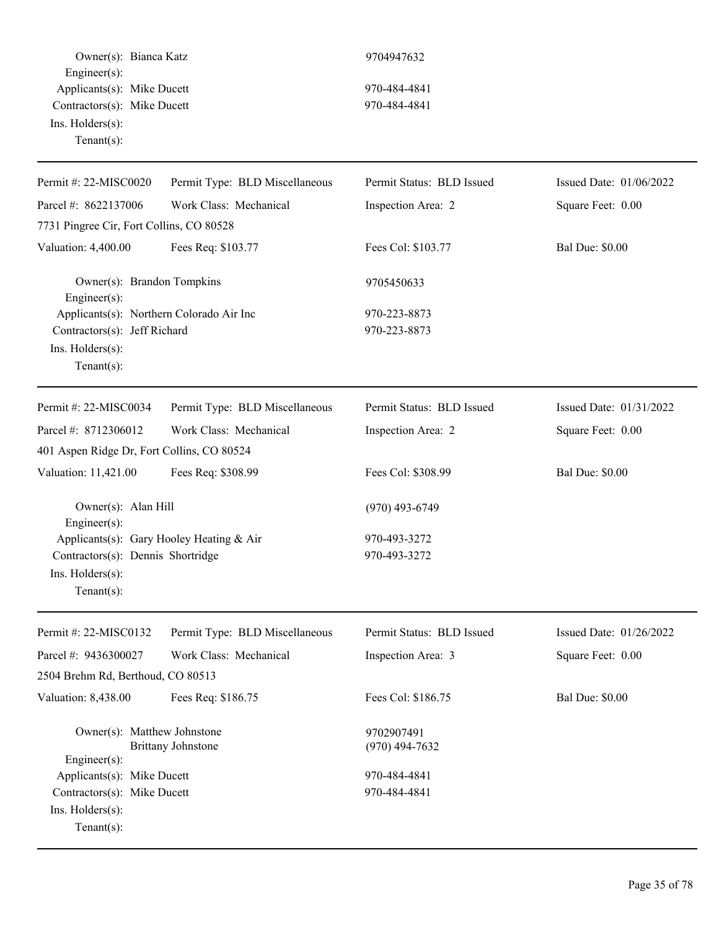Owner(s): Bianca Katz 9704947632 Engineer(s): Applicants(s): Mike Ducett 970-484-4841 Contractors(s): Mike Ducett 970-484-4841 Ins. Holders(s): Tenant(s):

| Permit #: 22-MISC0020                      | Permit Type: BLD Miscellaneous | Permit Status: BLD Issued | Issued Date: 01/06/2022 |
|--------------------------------------------|--------------------------------|---------------------------|-------------------------|
| Parcel #: 8622137006                       | Work Class: Mechanical         | Inspection Area: 2        | Square Feet: 0.00       |
| 7731 Pingree Cir, Fort Collins, CO 80528   |                                |                           |                         |
| Valuation: 4,400.00                        | Fees Req: \$103.77             | Fees Col: \$103.77        | <b>Bal Due: \$0.00</b>  |
| Owner(s): Brandon Tompkins<br>Engineer(s): |                                | 9705450633                |                         |
| Applicants(s): Northern Colorado Air Inc   |                                | 970-223-8873              |                         |
| Contractors(s): Jeff Richard               |                                | 970-223-8873              |                         |
| Ins. Holders(s):<br>Tenant $(s)$ :         |                                |                           |                         |
|                                            |                                |                           |                         |
| Permit #: 22-MISC0034                      | Permit Type: BLD Miscellaneous | Permit Status: BLD Issued | Issued Date: 01/31/2022 |
| Parcel #: 8712306012                       | Work Class: Mechanical         | Inspection Area: 2        | Square Feet: 0.00       |
| 401 Aspen Ridge Dr, Fort Collins, CO 80524 |                                |                           |                         |
| Valuation: 11,421.00                       | Fees Req: \$308.99             | Fees Col: \$308.99        | <b>Bal Due: \$0.00</b>  |
| Owner(s): Alan Hill<br>Engineer(s):        |                                | $(970)$ 493-6749          |                         |
| Applicants(s): Gary Hooley Heating & Air   |                                | 970-493-3272              |                         |
| Contractors(s): Dennis Shortridge          |                                | 970-493-3272              |                         |
| Ins. Holders(s):<br>Tenant $(s)$ :         |                                |                           |                         |
| Permit #: 22-MISC0132                      | Permit Type: BLD Miscellaneous | Permit Status: BLD Issued | Issued Date: 01/26/2022 |
| Parcel #: 9436300027                       | Work Class: Mechanical         | Inspection Area: 3        | Square Feet: 0.00       |
| 2504 Brehm Rd, Berthoud, CO 80513          |                                |                           |                         |
| Valuation: 8,438.00                        | Fees Req: \$186.75             | Fees Col: \$186.75        | <b>Bal Due: \$0.00</b>  |
|                                            |                                |                           |                         |
| Owner(s): Matthew Johnstone                |                                | 9702907491                |                         |
| $Engineering(s)$ :                         | <b>Brittany Johnstone</b>      | $(970)$ 494-7632          |                         |
| Applicants(s): Mike Ducett                 |                                | 970-484-4841              |                         |
| Contractors(s): Mike Ducett                |                                | 970-484-4841              |                         |
| Ins. Holders(s):                           |                                |                           |                         |
| Tenant $(s)$ :                             |                                |                           |                         |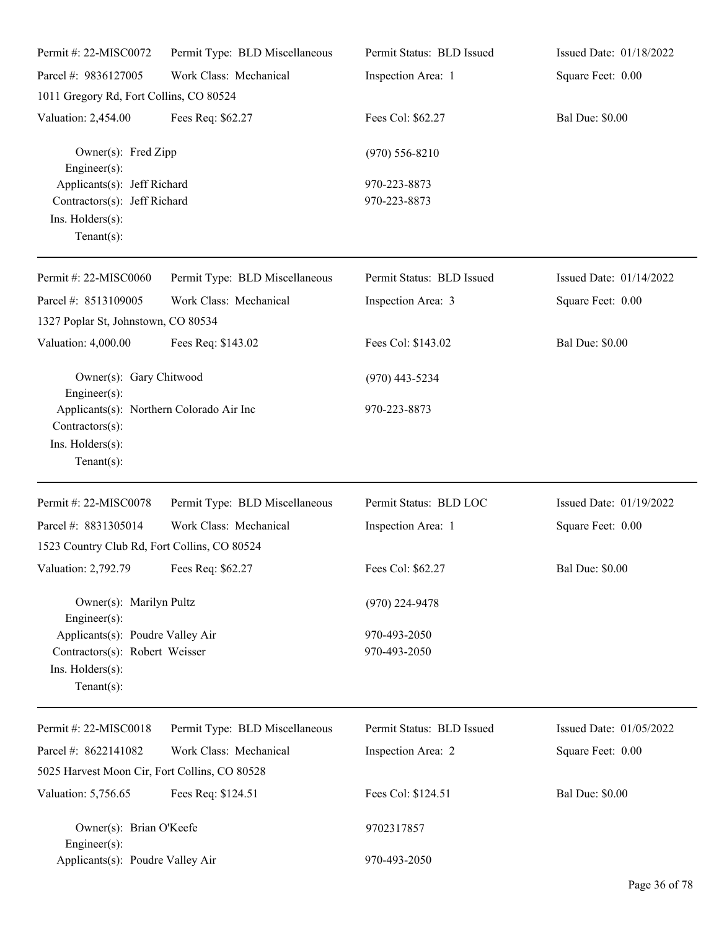| Permit #: 22-MISC0072                                                                                    | Permit Type: BLD Miscellaneous | Permit Status: BLD Issued    | Issued Date: 01/18/2022 |
|----------------------------------------------------------------------------------------------------------|--------------------------------|------------------------------|-------------------------|
| Parcel #: 9836127005                                                                                     | Work Class: Mechanical         | Inspection Area: 1           | Square Feet: 0.00       |
| 1011 Gregory Rd, Fort Collins, CO 80524                                                                  |                                |                              |                         |
| Valuation: 2,454.00                                                                                      | Fees Req: \$62.27              | Fees Col: \$62.27            | <b>Bal Due: \$0.00</b>  |
| Owner(s): Fred Zipp<br>Engineer(s):                                                                      |                                | $(970) 556 - 8210$           |                         |
| Applicants(s): Jeff Richard<br>Contractors(s): Jeff Richard<br>Ins. Holders(s):<br>Tenant $(s)$ :        |                                | 970-223-8873<br>970-223-8873 |                         |
| Permit #: 22-MISC0060                                                                                    | Permit Type: BLD Miscellaneous | Permit Status: BLD Issued    | Issued Date: 01/14/2022 |
| Parcel #: 8513109005<br>1327 Poplar St, Johnstown, CO 80534                                              | Work Class: Mechanical         | Inspection Area: 3           | Square Feet: 0.00       |
| Valuation: 4,000.00                                                                                      | Fees Req: \$143.02             | Fees Col: \$143.02           | <b>Bal Due: \$0.00</b>  |
| Owner(s): Gary Chitwood<br>Engineer(s):                                                                  |                                | $(970)$ 443-5234             |                         |
| Applicants(s): Northern Colorado Air Inc<br>Contractors(s):<br>Ins. Holders(s):<br>Tenant $(s)$ :        |                                | 970-223-8873                 |                         |
| Permit #: 22-MISC0078                                                                                    | Permit Type: BLD Miscellaneous | Permit Status: BLD LOC       | Issued Date: 01/19/2022 |
| Parcel #: 8831305014<br>1523 Country Club Rd, Fort Collins, CO 80524                                     | Work Class: Mechanical         | Inspection Area: 1           | Square Feet: 0.00       |
| Valuation: 2,792.79 Fees Req: \$62.27                                                                    |                                | Fees Col: \$62.27            | <b>Bal Due: \$0.00</b>  |
| Owner(s): Marilyn Pultz<br>Engineer $(s)$ :                                                              |                                | $(970)$ 224-9478             |                         |
| Applicants(s): Poudre Valley Air<br>Contractors(s): Robert Weisser<br>Ins. Holders(s):<br>Tenant $(s)$ : |                                | 970-493-2050<br>970-493-2050 |                         |
| Permit #: 22-MISC0018                                                                                    | Permit Type: BLD Miscellaneous | Permit Status: BLD Issued    | Issued Date: 01/05/2022 |
| Parcel #: 8622141082                                                                                     | Work Class: Mechanical         | Inspection Area: 2           | Square Feet: 0.00       |
| 5025 Harvest Moon Cir, Fort Collins, CO 80528                                                            |                                |                              |                         |
| Valuation: 5,756.65                                                                                      | Fees Req: \$124.51             | Fees Col: \$124.51           | <b>Bal Due: \$0.00</b>  |
| Owner(s): Brian O'Keefe<br>Engineer $(s)$ :                                                              |                                | 9702317857                   |                         |
| Applicants(s): Poudre Valley Air                                                                         |                                | 970-493-2050                 |                         |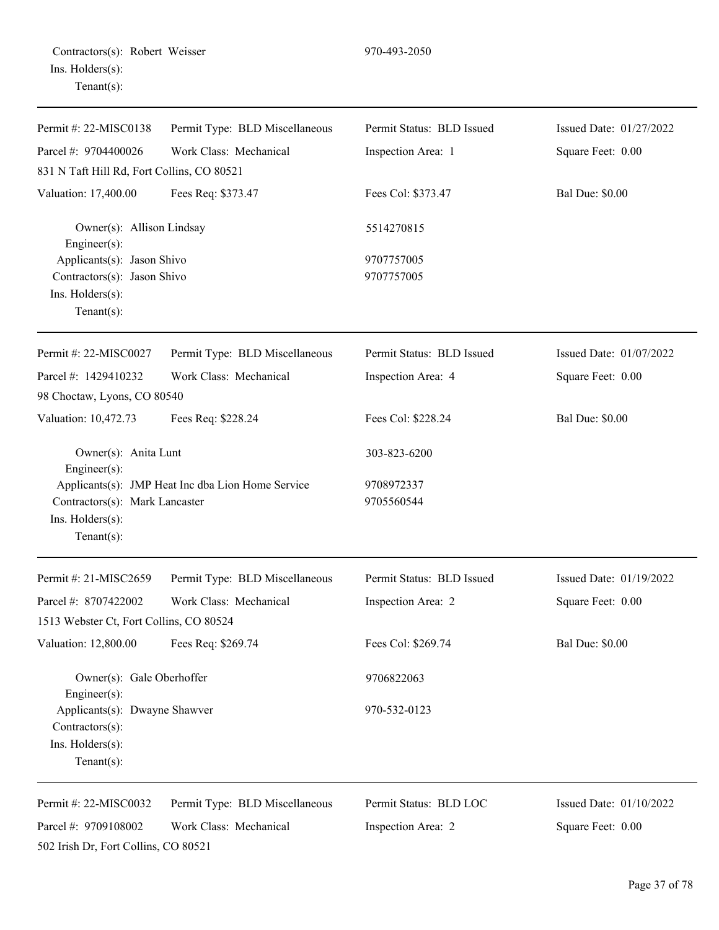| Contractors(s): Robert Weisser |  |
|--------------------------------|--|
| Ins. Holders(s):               |  |
| Tenant $(s)$ :                 |  |

| Permit#: 22-MISC0138                                                                      | Permit Type: BLD Miscellaneous                    | Permit Status: BLD Issued | Issued Date: 01/27/2022 |
|-------------------------------------------------------------------------------------------|---------------------------------------------------|---------------------------|-------------------------|
| Parcel #: 9704400026                                                                      | Work Class: Mechanical                            | Inspection Area: 1        | Square Feet: 0.00       |
| 831 N Taft Hill Rd, Fort Collins, CO 80521                                                |                                                   |                           |                         |
| Valuation: 17,400.00                                                                      | Fees Req: \$373.47                                | Fees Col: \$373.47        | <b>Bal Due: \$0.00</b>  |
| Owner(s): Allison Lindsay<br>Engineer(s):                                                 |                                                   | 5514270815                |                         |
| Applicants(s): Jason Shivo                                                                |                                                   | 9707757005                |                         |
| Contractors(s): Jason Shivo                                                               |                                                   | 9707757005                |                         |
| Ins. Holders(s):<br>Tenant $(s)$ :                                                        |                                                   |                           |                         |
| Permit #: 22-MISC0027                                                                     | Permit Type: BLD Miscellaneous                    | Permit Status: BLD Issued | Issued Date: 01/07/2022 |
| Parcel #: 1429410232                                                                      | Work Class: Mechanical                            | Inspection Area: 4        | Square Feet: 0.00       |
| 98 Choctaw, Lyons, CO 80540                                                               |                                                   |                           |                         |
| Valuation: 10,472.73                                                                      | Fees Req: \$228.24                                | Fees Col: \$228.24        | <b>Bal Due: \$0.00</b>  |
| Owner(s): Anita Lunt<br>$Engineering(s)$ :                                                |                                                   | 303-823-6200              |                         |
| Contractors(s): Mark Lancaster<br>Ins. Holders(s):<br>Tenant $(s)$ :                      | Applicants(s): JMP Heat Inc dba Lion Home Service | 9708972337<br>9705560544  |                         |
| Permit #: 21-MISC2659                                                                     | Permit Type: BLD Miscellaneous                    | Permit Status: BLD Issued | Issued Date: 01/19/2022 |
| Parcel #: 8707422002                                                                      | Work Class: Mechanical                            | Inspection Area: 2        | Square Feet: 0.00       |
| 1513 Webster Ct, Fort Collins, CO 80524                                                   |                                                   |                           |                         |
| Valuation: 12,800.00                                                                      | Fees Req: \$269.74                                | Fees Col: \$269.74        | <b>Bal Due: \$0.00</b>  |
| Owner(s): Gale Oberhoffer<br>$Engineering(s)$ :                                           |                                                   | 9706822063                |                         |
| Applicants(s): Dwayne Shawver<br>$Contractors(s)$ :<br>Ins. Holders(s):<br>Tenant $(s)$ : |                                                   | 970-532-0123              |                         |
| Permit #: 22-MISC0032                                                                     | Permit Type: BLD Miscellaneous                    | Permit Status: BLD LOC    | Issued Date: 01/10/2022 |
| Parcel #: 9709108002                                                                      | Work Class: Mechanical                            | Inspection Area: 2        | Square Feet: 0.00       |
| 502 Irish Dr, Fort Collins, CO 80521                                                      |                                                   |                           |                         |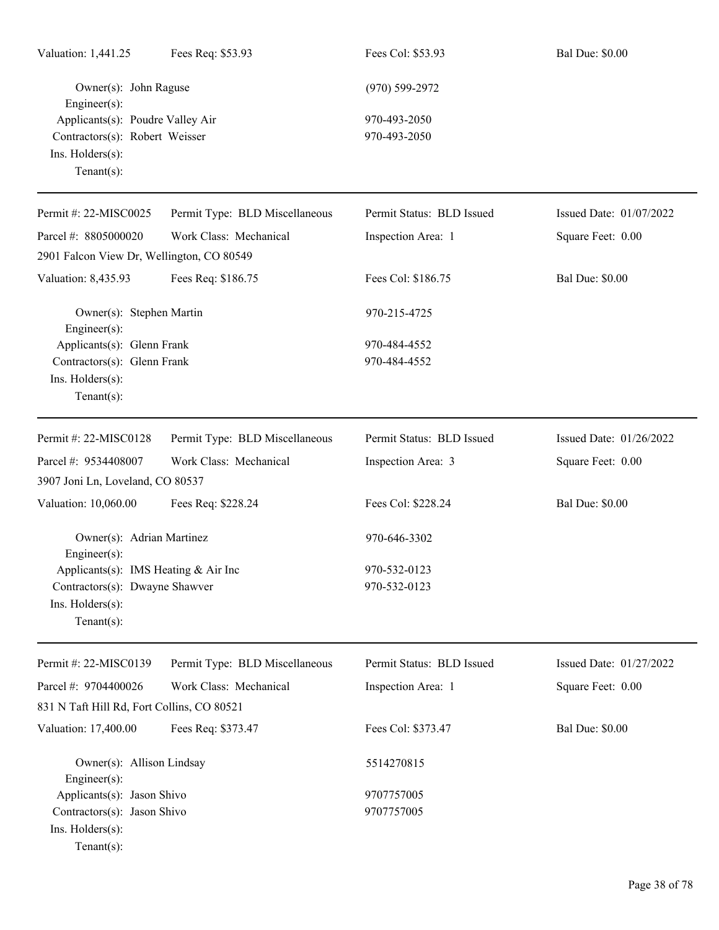| Valuation: 1,441.25                                                                                      | Fees Req: \$53.93              | Fees Col: \$53.93            | <b>Bal Due: \$0.00</b>  |
|----------------------------------------------------------------------------------------------------------|--------------------------------|------------------------------|-------------------------|
| Owner(s): John Raguse<br>Engineer(s):                                                                    |                                | $(970) 599 - 2972$           |                         |
| Applicants(s): Poudre Valley Air<br>Contractors(s): Robert Weisser<br>Ins. Holders(s):<br>Tenant $(s)$ : |                                | 970-493-2050<br>970-493-2050 |                         |
| Permit #: 22-MISC0025                                                                                    | Permit Type: BLD Miscellaneous | Permit Status: BLD Issued    | Issued Date: 01/07/2022 |
| Parcel #: 8805000020                                                                                     | Work Class: Mechanical         | Inspection Area: 1           | Square Feet: 0.00       |
| 2901 Falcon View Dr, Wellington, CO 80549                                                                |                                |                              |                         |
| Valuation: 8,435.93                                                                                      | Fees Req: \$186.75             | Fees Col: \$186.75           | <b>Bal Due: \$0.00</b>  |
| Owner(s): Stephen Martin<br>Engineer(s):                                                                 |                                | 970-215-4725                 |                         |
| Applicants(s): Glenn Frank                                                                               |                                | 970-484-4552                 |                         |
| Contractors(s): Glenn Frank<br>Ins. Holders(s):<br>Tenant $(s)$ :                                        |                                | 970-484-4552                 |                         |
| Permit #: 22-MISC0128                                                                                    | Permit Type: BLD Miscellaneous | Permit Status: BLD Issued    | Issued Date: 01/26/2022 |
| Parcel #: 9534408007                                                                                     | Work Class: Mechanical         | Inspection Area: 3           | Square Feet: 0.00       |
| 3907 Joni Ln, Loveland, CO 80537                                                                         |                                |                              |                         |
| Valuation: 10,060.00                                                                                     | Fees Req: \$228.24             | Fees Col: \$228.24           | <b>Bal Due: \$0.00</b>  |
| Owner(s): Adrian Martinez<br>$Engineering(s)$ :                                                          |                                | 970-646-3302                 |                         |
| Applicants(s): IMS Heating & Air Inc                                                                     |                                | 970-532-0123                 |                         |
| Contractors(s): Dwayne Shawver<br>Ins. Holders(s):<br>Tenant $(s)$ :                                     |                                | 970-532-0123                 |                         |
| Permit #: 22-MISC0139                                                                                    | Permit Type: BLD Miscellaneous | Permit Status: BLD Issued    | Issued Date: 01/27/2022 |
| Parcel #: 9704400026                                                                                     | Work Class: Mechanical         | Inspection Area: 1           | Square Feet: 0.00       |
| 831 N Taft Hill Rd, Fort Collins, CO 80521                                                               |                                |                              |                         |
| Valuation: 17,400.00                                                                                     | Fees Req: \$373.47             | Fees Col: \$373.47           | <b>Bal Due: \$0.00</b>  |
| Owner(s): Allison Lindsay<br>Engineer(s):                                                                |                                | 5514270815                   |                         |
| Applicants(s): Jason Shivo                                                                               |                                | 9707757005                   |                         |
| Contractors(s): Jason Shivo<br>Ins. Holders(s):<br>Tenant $(s)$ :                                        |                                | 9707757005                   |                         |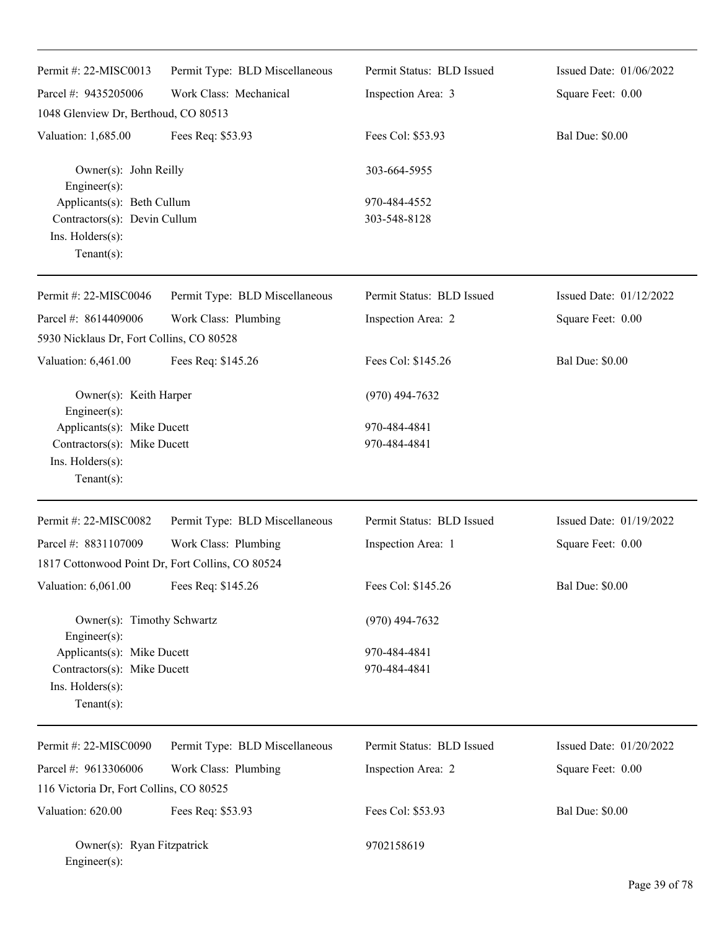| Permit #: 22-MISC0013                                                                                 | Permit Type: BLD Miscellaneous | Permit Status: BLD Issued    | Issued Date: 01/06/2022 |
|-------------------------------------------------------------------------------------------------------|--------------------------------|------------------------------|-------------------------|
| Parcel #: 9435205006                                                                                  | Work Class: Mechanical         | Inspection Area: 3           | Square Feet: 0.00       |
| 1048 Glenview Dr, Berthoud, CO 80513                                                                  |                                |                              |                         |
| Valuation: 1,685.00                                                                                   | Fees Req: \$53.93              | Fees Col: \$53.93            | <b>Bal Due: \$0.00</b>  |
| Owner(s): John Reilly<br>Engineer(s):                                                                 |                                | 303-664-5955                 |                         |
| Applicants(s): Beth Cullum<br>Contractors(s): Devin Cullum<br>Ins. Holders(s):<br>$Tenant(s)$ :       |                                | 970-484-4552<br>303-548-8128 |                         |
| Permit #: 22-MISC0046                                                                                 | Permit Type: BLD Miscellaneous | Permit Status: BLD Issued    | Issued Date: 01/12/2022 |
| Parcel #: 8614409006                                                                                  | Work Class: Plumbing           | Inspection Area: 2           | Square Feet: 0.00       |
| 5930 Nicklaus Dr, Fort Collins, CO 80528                                                              |                                |                              |                         |
| Valuation: 6,461.00                                                                                   | Fees Req: \$145.26             | Fees Col: \$145.26           | <b>Bal Due: \$0.00</b>  |
| Owner(s): Keith Harper<br>Engineer(s):                                                                |                                | $(970)$ 494-7632             |                         |
| Applicants(s): Mike Ducett<br>Contractors(s): Mike Ducett<br>Ins. $H$ olders $(s)$ :<br>$Tenant(s)$ : |                                | 970-484-4841<br>970-484-4841 |                         |
| Permit #: 22-MISC0082                                                                                 | Permit Type: BLD Miscellaneous | Permit Status: BLD Issued    | Issued Date: 01/19/2022 |
| Parcel #: 8831107009                                                                                  | Work Class: Plumbing           | Inspection Area: 1           | Square Feet: 0.00       |
| 1817 Cottonwood Point Dr, Fort Collins, CO 80524                                                      |                                |                              |                         |
| Valuation: 6,061.00                                                                                   | Fees Req: \$145.26             | Fees Col: \$145.26           | <b>Bal Due: \$0.00</b>  |
| Owner(s): Timothy Schwartz<br>Engineer(s):                                                            |                                | $(970)$ 494-7632             |                         |
| Applicants(s): Mike Ducett<br>Contractors(s): Mike Ducett<br>Ins. Holders(s):<br>$Tenant(s)$ :        |                                | 970-484-4841<br>970-484-4841 |                         |
| Permit #: 22-MISC0090                                                                                 | Permit Type: BLD Miscellaneous | Permit Status: BLD Issued    | Issued Date: 01/20/2022 |
| Parcel #: 9613306006                                                                                  | Work Class: Plumbing           | Inspection Area: 2           | Square Feet: 0.00       |
| 116 Victoria Dr, Fort Collins, CO 80525                                                               |                                |                              |                         |
| Valuation: 620.00                                                                                     | Fees Req: \$53.93              | Fees Col: \$53.93            | <b>Bal Due: \$0.00</b>  |
| Owner(s): Ryan Fitzpatrick<br>Engineer(s):                                                            |                                | 9702158619                   |                         |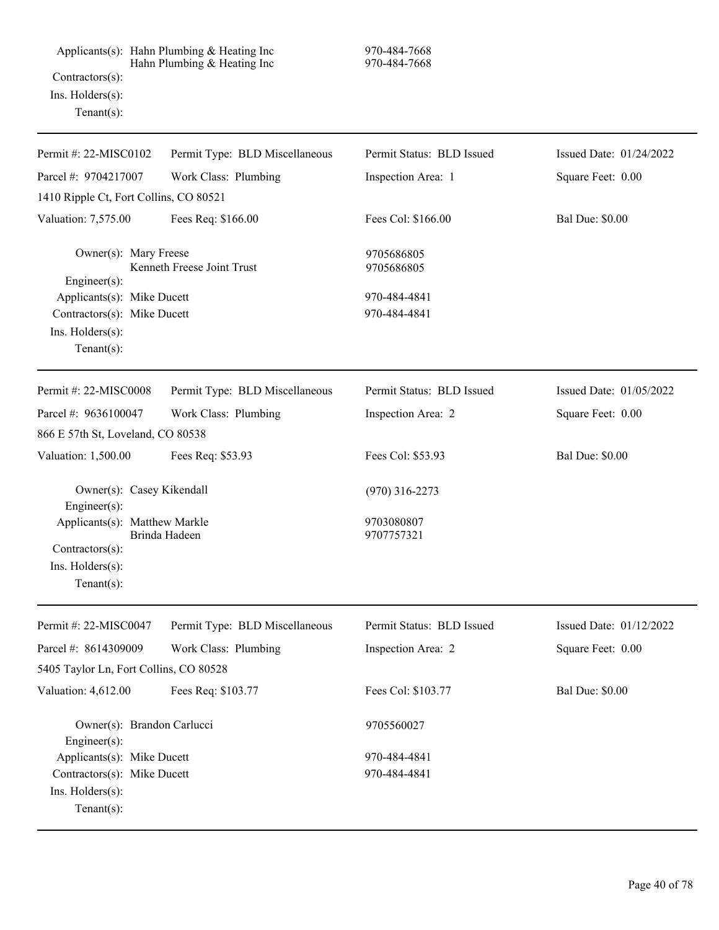Applicants(s): Hahn Plumbing & Heating Inc 970-484-7668 Hahn Plumbing & Heating Inc 970-484-7668 Contractors(s): Ins. Holders(s): Tenant(s):

| Permit #: 22-MISC0102                      | Permit Type: BLD Miscellaneous | Permit Status: BLD Issued | Issued Date: 01/24/2022 |
|--------------------------------------------|--------------------------------|---------------------------|-------------------------|
| Parcel #: 9704217007                       | Work Class: Plumbing           | Inspection Area: 1        | Square Feet: 0.00       |
| 1410 Ripple Ct, Fort Collins, CO 80521     |                                |                           |                         |
| Valuation: 7,575.00                        | Fees Req: \$166.00             | Fees Col: \$166.00        | <b>Bal Due: \$0.00</b>  |
| Owner(s): Mary Freese                      | Kenneth Freese Joint Trust     | 9705686805                |                         |
| Engineer(s):                               |                                | 9705686805                |                         |
| Applicants(s): Mike Ducett                 |                                | 970-484-4841              |                         |
| Contractors(s): Mike Ducett                |                                | 970-484-4841              |                         |
| Ins. Holders(s):                           |                                |                           |                         |
| Tenant $(s)$ :                             |                                |                           |                         |
| Permit #: 22-MISC0008                      | Permit Type: BLD Miscellaneous | Permit Status: BLD Issued | Issued Date: 01/05/2022 |
| Parcel #: 9636100047                       | Work Class: Plumbing           | Inspection Area: 2        | Square Feet: 0.00       |
| 866 E 57th St, Loveland, CO 80538          |                                |                           |                         |
| Valuation: 1,500.00                        | Fees Req: \$53.93              | Fees Col: \$53.93         | <b>Bal Due: \$0.00</b>  |
| Owner(s): Casey Kikendall<br>Engineer(s):  |                                | $(970)$ 316-2273          |                         |
| Applicants(s): Matthew Markle              | Brinda Hadeen                  | 9703080807<br>9707757321  |                         |
| Contractors(s):<br>Ins. Holders(s):        |                                |                           |                         |
| Tenant $(s)$ :                             |                                |                           |                         |
|                                            |                                |                           |                         |
| Permit #: 22-MISC0047                      | Permit Type: BLD Miscellaneous | Permit Status: BLD Issued | Issued Date: 01/12/2022 |
| Parcel #: 8614309009                       | Work Class: Plumbing           | Inspection Area: 2        | Square Feet: 0.00       |
| 5405 Taylor Ln, Fort Collins, CO 80528     |                                |                           |                         |
| Valuation: 4,612.00                        | Fees Req: \$103.77             | Fees Col: \$103.77        | <b>Bal Due: \$0.00</b>  |
| Owner(s): Brandon Carlucci<br>Engineer(s): |                                | 9705560027                |                         |
| Applicants(s): Mike Ducett                 |                                | 970-484-4841              |                         |
| Contractors(s): Mike Ducett                |                                | 970-484-4841              |                         |
| Ins. Holders(s):                           |                                |                           |                         |
| Tenant $(s)$ :                             |                                |                           |                         |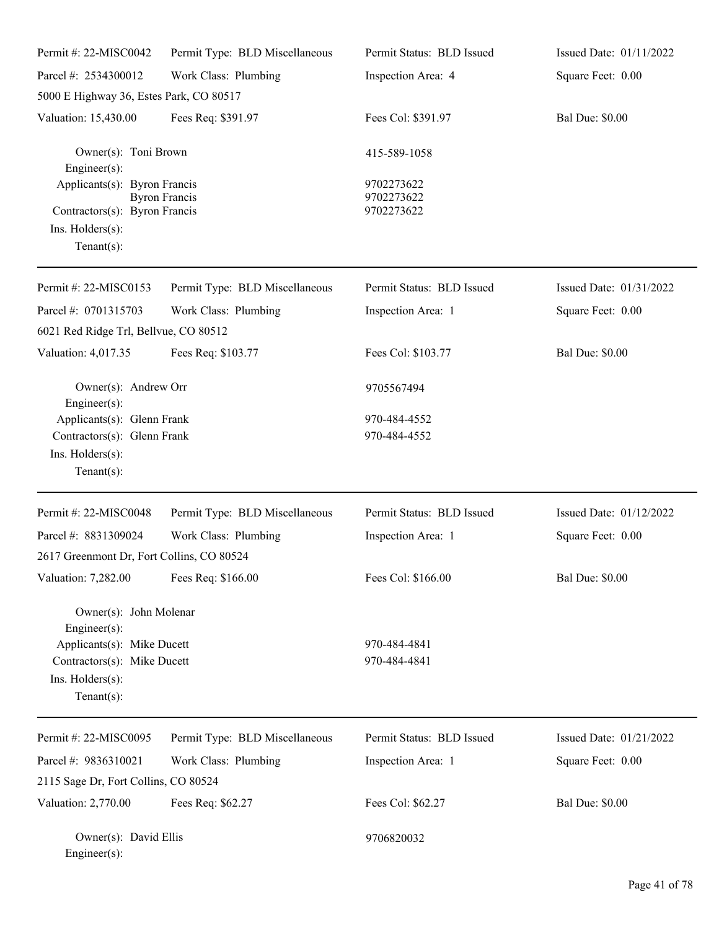| Permit #: 22-MISC0042                                                                                                                    | Permit Type: BLD Miscellaneous | Permit Status: BLD Issued              | Issued Date: 01/11/2022 |
|------------------------------------------------------------------------------------------------------------------------------------------|--------------------------------|----------------------------------------|-------------------------|
| Parcel #: 2534300012                                                                                                                     | Work Class: Plumbing           | Inspection Area: 4                     | Square Feet: 0.00       |
| 5000 E Highway 36, Estes Park, CO 80517                                                                                                  |                                |                                        |                         |
| Valuation: 15,430.00                                                                                                                     | Fees Req: \$391.97             | Fees Col: \$391.97                     | <b>Bal Due: \$0.00</b>  |
| Owner(s): Toni Brown<br>Engineer(s):                                                                                                     |                                | 415-589-1058                           |                         |
| Applicants(s): Byron Francis<br>Contractors(s): Byron Francis<br>Ins. Holders(s):<br>Tenant $(s)$ :                                      | <b>Byron Francis</b>           | 9702273622<br>9702273622<br>9702273622 |                         |
| Permit #: 22-MISC0153                                                                                                                    | Permit Type: BLD Miscellaneous | Permit Status: BLD Issued              | Issued Date: 01/31/2022 |
| Parcel #: 0701315703                                                                                                                     | Work Class: Plumbing           | Inspection Area: 1                     | Square Feet: 0.00       |
| 6021 Red Ridge Trl, Bellvue, CO 80512                                                                                                    |                                |                                        |                         |
| Valuation: 4,017.35                                                                                                                      | Fees Req: \$103.77             | Fees Col: \$103.77                     | <b>Bal Due: \$0.00</b>  |
| Owner(s): Andrew Orr<br>Engineer(s):                                                                                                     |                                | 9705567494                             |                         |
| Applicants(s): Glenn Frank                                                                                                               |                                | 970-484-4552                           |                         |
| Contractors(s): Glenn Frank<br>Ins. Holders(s):<br>Tenant $(s)$ :                                                                        |                                | 970-484-4552                           |                         |
| Permit #: 22-MISC0048                                                                                                                    | Permit Type: BLD Miscellaneous | Permit Status: BLD Issued              | Issued Date: 01/12/2022 |
| Parcel #: 8831309024                                                                                                                     | Work Class: Plumbing           | Inspection Area: 1                     | Square Feet: 0.00       |
| 2617 Greenmont Dr, Fort Collins, CO 80524                                                                                                |                                |                                        |                         |
| Valuation: 7,282.00                                                                                                                      | Fees Req: \$166.00             | Fees Col: \$166.00                     | <b>Bal Due: \$0.00</b>  |
| Owner(s): John Molenar<br>Engineer(s):<br>Applicants(s): Mike Ducett<br>Contractors(s): Mike Ducett<br>Ins. Holders(s):<br>$Tenant(s)$ : |                                | 970-484-4841<br>970-484-4841           |                         |
| Permit #: 22-MISC0095                                                                                                                    | Permit Type: BLD Miscellaneous | Permit Status: BLD Issued              | Issued Date: 01/21/2022 |
| Parcel #: 9836310021                                                                                                                     | Work Class: Plumbing           | Inspection Area: 1                     | Square Feet: 0.00       |
| 2115 Sage Dr, Fort Collins, CO 80524                                                                                                     |                                |                                        |                         |
| Valuation: 2,770.00                                                                                                                      | Fees Req: \$62.27              | Fees Col: \$62.27                      | <b>Bal Due: \$0.00</b>  |
| Owner(s): David Ellis<br>Engineer(s):                                                                                                    |                                | 9706820032                             |                         |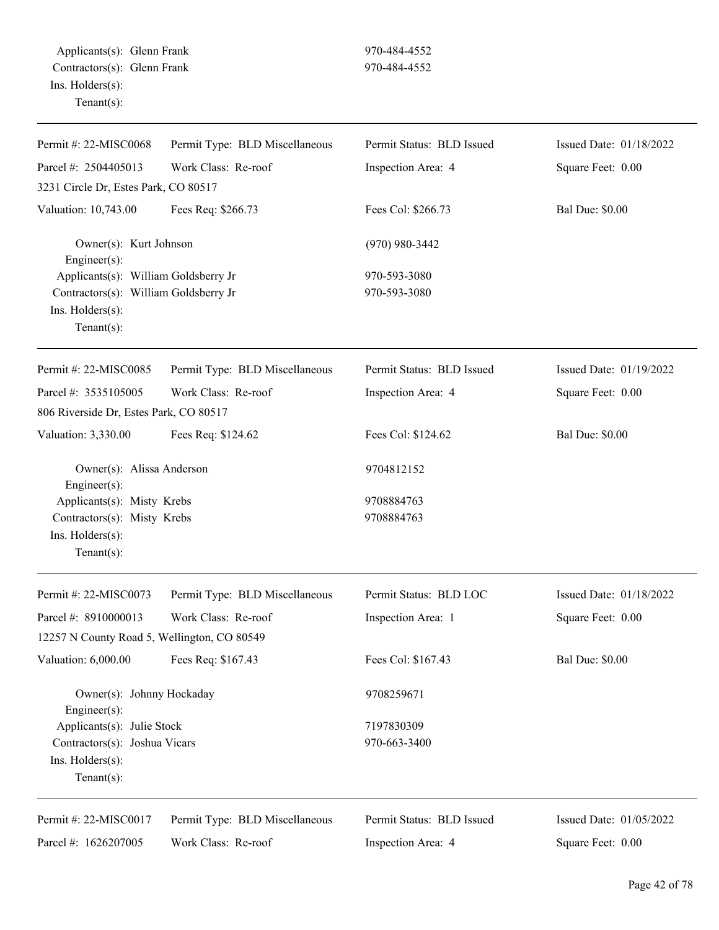| Permit #: 22-MISC0068                       | Permit Type: BLD Miscellaneous | Permit Status: BLD Issued | Issued Date: 01/18/2022 |
|---------------------------------------------|--------------------------------|---------------------------|-------------------------|
| Parcel #: 2504405013                        | Work Class: Re-roof            | Inspection Area: 4        | Square Feet: 0.00       |
| 3231 Circle Dr, Estes Park, CO 80517        |                                |                           |                         |
| Valuation: 10,743.00                        | Fees Req: \$266.73             | Fees Col: \$266.73        | <b>Bal Due: \$0.00</b>  |
| Owner(s): Kurt Johnson<br>Engineer(s):      |                                | $(970)$ 980-3442          |                         |
| Applicants(s): William Goldsberry Jr        |                                | 970-593-3080              |                         |
| Contractors(s): William Goldsberry Jr       |                                | 970-593-3080              |                         |
| Ins. Holders(s):                            |                                |                           |                         |
| $Tenant(s)$ :                               |                                |                           |                         |
| Permit #: 22-MISC0085                       | Permit Type: BLD Miscellaneous | Permit Status: BLD Issued | Issued Date: 01/19/2022 |
| Parcel #: 3535105005                        | Work Class: Re-roof            | Inspection Area: 4        | Square Feet: 0.00       |
| 806 Riverside Dr, Estes Park, CO 80517      |                                |                           |                         |
| Valuation: 3,330.00                         | Fees Req: \$124.62             | Fees Col: \$124.62        | <b>Bal Due: \$0.00</b>  |
| Owner(s): Alissa Anderson<br>Engineer(s):   |                                | 9704812152                |                         |
| Applicants(s): Misty Krebs                  |                                | 9708884763                |                         |
| Contractors(s): Misty Krebs                 |                                | 9708884763                |                         |
| Ins. Holders(s):                            |                                |                           |                         |
| $Tenant(s)$ :                               |                                |                           |                         |
| Permit #: 22-MISC0073                       | Permit Type: BLD Miscellaneous | Permit Status: BLD LOC    | Issued Date: 01/18/2022 |
| Parcel #: 8910000013                        | Work Class: Re-roof            | Inspection Area: 1        | Square Feet: 0.00       |
| 12257 N County Road 5, Wellington, CO 80549 |                                |                           |                         |
| Valuation: 6,000.00                         | Fees Req: \$167.43             | Fees Col: \$167.43        | <b>Bal Due: \$0.00</b>  |
| Owner(s): Johnny Hockaday<br>Engineer(s):   |                                | 9708259671                |                         |
| Applicants(s): Julie Stock                  |                                | 7197830309                |                         |
| Contractors(s): Joshua Vicars               |                                | 970-663-3400              |                         |
| Ins. Holders(s):                            |                                |                           |                         |
| Tenant $(s)$ :                              |                                |                           |                         |
| Permit #: 22-MISC0017                       | Permit Type: BLD Miscellaneous | Permit Status: BLD Issued | Issued Date: 01/05/2022 |
| Parcel #: 1626207005                        | Work Class: Re-roof            | Inspection Area: 4        | Square Feet: 0.00       |
|                                             |                                |                           |                         |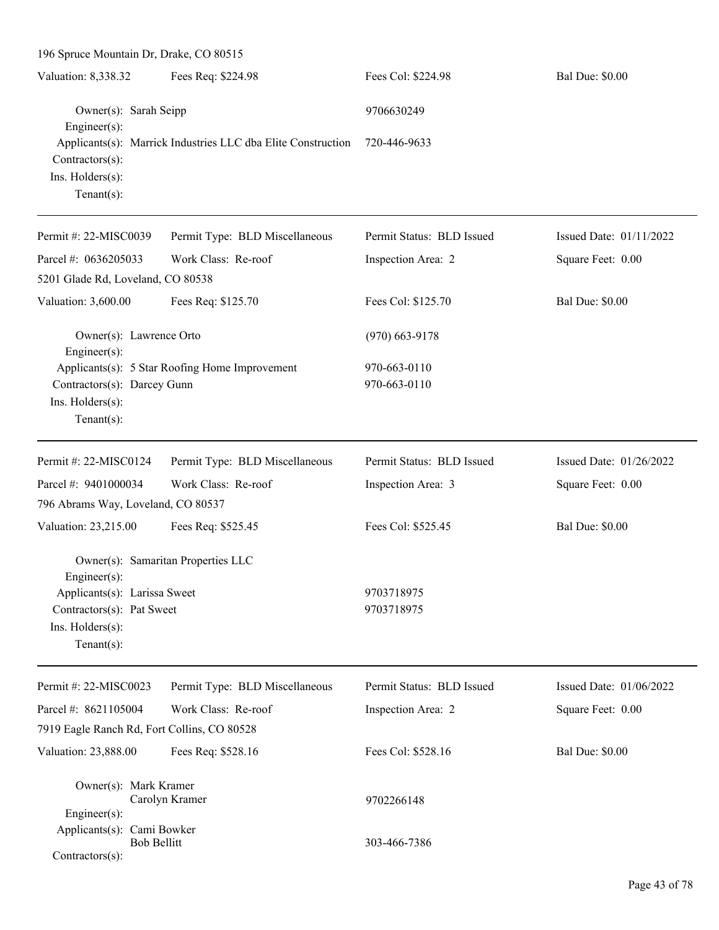| 196 Spruce Mountain Dr, Drake, CO 80515                                                         |                                                              |                              |                         |
|-------------------------------------------------------------------------------------------------|--------------------------------------------------------------|------------------------------|-------------------------|
| Valuation: 8,338.32                                                                             | Fees Req: \$224.98                                           | Fees Col: \$224.98           | <b>Bal Due: \$0.00</b>  |
| Owner(s): Sarah Seipp<br>Engineer(s):                                                           |                                                              | 9706630249                   |                         |
| Contractors(s):<br>Ins. Holders(s):<br>Tenant $(s)$ :                                           | Applicants(s): Marrick Industries LLC dba Elite Construction | 720-446-9633                 |                         |
| Permit #: 22-MISC0039                                                                           | Permit Type: BLD Miscellaneous                               | Permit Status: BLD Issued    | Issued Date: 01/11/2022 |
| Parcel #: 0636205033                                                                            | Work Class: Re-roof                                          | Inspection Area: 2           | Square Feet: 0.00       |
| 5201 Glade Rd, Loveland, CO 80538                                                               |                                                              |                              |                         |
| Valuation: 3,600.00                                                                             | Fees Req: \$125.70                                           | Fees Col: \$125.70           | <b>Bal Due: \$0.00</b>  |
| Owner(s): Lawrence Orto<br>Engineer(s):                                                         |                                                              | $(970)$ 663-9178             |                         |
| Contractors(s): Darcey Gunn<br>Ins. Holders(s):<br>$Tenant(s)$ :                                | Applicants(s): 5 Star Roofing Home Improvement               | 970-663-0110<br>970-663-0110 |                         |
| Permit #: 22-MISC0124                                                                           | Permit Type: BLD Miscellaneous                               | Permit Status: BLD Issued    | Issued Date: 01/26/2022 |
| Parcel #: 9401000034                                                                            | Work Class: Re-roof                                          | Inspection Area: 3           | Square Feet: 0.00       |
| 796 Abrams Way, Loveland, CO 80537                                                              |                                                              |                              |                         |
| Valuation: 23,215.00                                                                            | Fees Req: \$525.45                                           | Fees Col: \$525.45           | <b>Bal Due: \$0.00</b>  |
| $Engineering(s)$ :                                                                              | Owner(s): Samaritan Properties LLC                           |                              |                         |
| Applicants(s): Larissa Sweet<br>Contractors(s): Pat Sweet<br>Ins. Holders(s):<br>Tenant $(s)$ : |                                                              | 9703718975<br>9703718975     |                         |
| Permit #: 22-MISC0023                                                                           | Permit Type: BLD Miscellaneous                               | Permit Status: BLD Issued    | Issued Date: 01/06/2022 |
| Parcel #: 8621105004                                                                            | Work Class: Re-roof                                          | Inspection Area: 2           | Square Feet: 0.00       |
| 7919 Eagle Ranch Rd, Fort Collins, CO 80528                                                     |                                                              |                              |                         |
| Valuation: 23,888.00                                                                            | Fees Req: \$528.16                                           | Fees Col: \$528.16           | <b>Bal Due: \$0.00</b>  |
| Owner(s): Mark Kramer<br>Engineer(s):                                                           | Carolyn Kramer                                               | 9702266148                   |                         |
| Applicants(s): Cami Bowker<br><b>Bob Bellitt</b><br>Contractors(s):                             |                                                              | 303-466-7386                 |                         |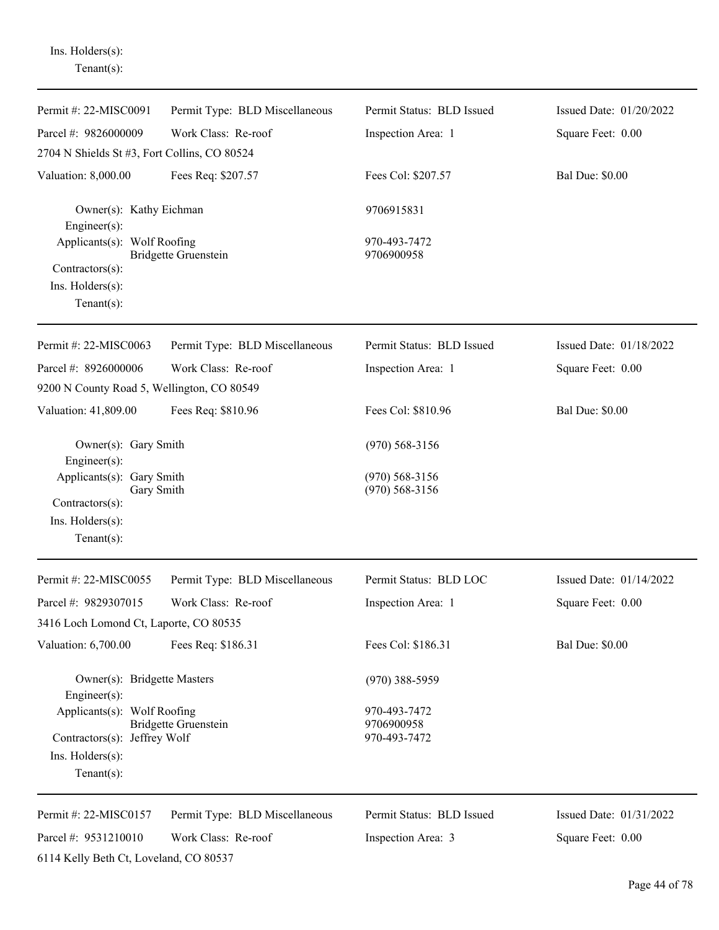Ins. Holders(s): Tenant(s):

| Permit #: 22-MISC0091                                                                             | Permit Type: BLD Miscellaneous | Permit Status: BLD Issued                  | Issued Date: 01/20/2022 |
|---------------------------------------------------------------------------------------------------|--------------------------------|--------------------------------------------|-------------------------|
| Parcel #: 9826000009                                                                              | Work Class: Re-roof            | Inspection Area: 1                         | Square Feet: 0.00       |
| 2704 N Shields St #3, Fort Collins, CO 80524                                                      |                                |                                            |                         |
| Valuation: 8,000.00                                                                               | Fees Req: \$207.57             | Fees Col: \$207.57                         | <b>Bal Due: \$0.00</b>  |
| Owner(s): Kathy Eichman<br>Engineer $(s)$ :                                                       |                                | 9706915831                                 |                         |
| Applicants(s): Wolf Roofing<br>Contractors(s):<br>Ins. Holders(s):<br>Tenant $(s)$ :              | <b>Bridgette Gruenstein</b>    | 970-493-7472<br>9706900958                 |                         |
| Permit #: 22-MISC0063                                                                             | Permit Type: BLD Miscellaneous | Permit Status: BLD Issued                  | Issued Date: 01/18/2022 |
| Parcel #: 8926000006<br>9200 N County Road 5, Wellington, CO 80549                                | Work Class: Re-roof            | Inspection Area: 1                         | Square Feet: 0.00       |
| Valuation: 41,809.00                                                                              | Fees Req: \$810.96             | Fees Col: \$810.96                         | <b>Bal Due: \$0.00</b>  |
| Owner(s): Gary Smith<br>Engineer $(s)$ :                                                          |                                | $(970)$ 568-3156                           |                         |
| Applicants(s): Gary Smith<br>Gary Smith<br>Contractors(s):<br>Ins. Holders(s):<br>Tenant $(s)$ :  |                                | $(970)$ 568-3156<br>$(970)$ 568-3156       |                         |
| Permit #: 22-MISC0055                                                                             | Permit Type: BLD Miscellaneous | Permit Status: BLD LOC                     | Issued Date: 01/14/2022 |
| Parcel #: 9829307015                                                                              | Work Class: Re-roof            | Inspection Area: 1                         | Square Feet: 0.00       |
| 3416 Loch Lomond Ct, Laporte, CO 80535                                                            |                                |                                            |                         |
| Valuation: 6,700.00                                                                               | Fees Req: \$186.31             | Fees Col: \$186.31                         | <b>Bal Due: \$0.00</b>  |
| Owner(s): Bridgette Masters<br>Engineer(s):                                                       |                                | $(970)$ 388-5959                           |                         |
| Applicants(s): Wolf Roofing<br>Contractors(s): Jeffrey Wolf<br>Ins. Holders(s):<br>Tenant $(s)$ : | <b>Bridgette Gruenstein</b>    | 970-493-7472<br>9706900958<br>970-493-7472 |                         |
| Permit #: 22-MISC0157                                                                             | Permit Type: BLD Miscellaneous | Permit Status: BLD Issued                  | Issued Date: 01/31/2022 |
| Parcel #: 9531210010                                                                              | Work Class: Re-roof            | Inspection Area: 3                         | Square Feet: 0.00       |
| 6114 Kelly Beth Ct, Loveland, CO 80537                                                            |                                |                                            |                         |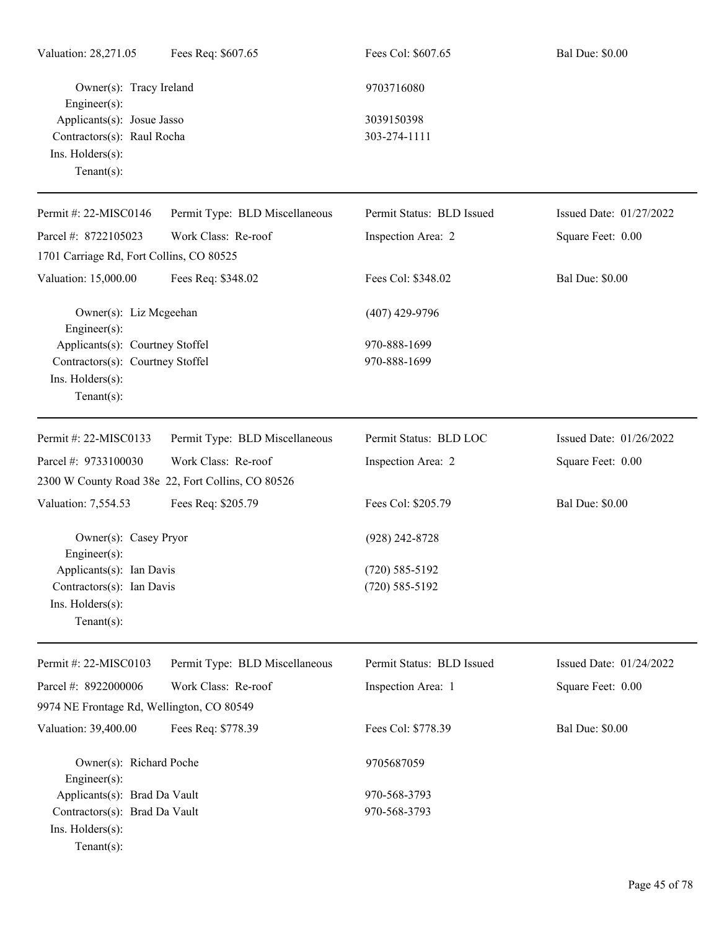| Valuation: 28,271.05                          | Fees Req: \$607.65                                | Fees Col: \$607.65        | <b>Bal Due: \$0.00</b>  |
|-----------------------------------------------|---------------------------------------------------|---------------------------|-------------------------|
| Owner(s): Tracy Ireland<br>Engineer(s):       |                                                   | 9703716080                |                         |
| Applicants(s): Josue Jasso                    |                                                   | 3039150398                |                         |
| Contractors(s): Raul Rocha                    |                                                   | 303-274-1111              |                         |
| Ins. Holders(s):                              |                                                   |                           |                         |
| Tenant $(s)$ :                                |                                                   |                           |                         |
| Permit #: 22-MISC0146                         | Permit Type: BLD Miscellaneous                    | Permit Status: BLD Issued | Issued Date: 01/27/2022 |
| Parcel #: 8722105023                          | Work Class: Re-roof                               | Inspection Area: 2        | Square Feet: 0.00       |
| 1701 Carriage Rd, Fort Collins, CO 80525      |                                                   |                           |                         |
| Valuation: 15,000.00                          | Fees Req: \$348.02                                | Fees Col: \$348.02        | <b>Bal Due: \$0.00</b>  |
| Owner(s): Liz Mcgeehan<br>Engineer $(s)$ :    |                                                   | $(407)$ 429-9796          |                         |
| Applicants(s): Courtney Stoffel               |                                                   | 970-888-1699              |                         |
| Contractors(s): Courtney Stoffel              |                                                   | 970-888-1699              |                         |
| Ins. Holders(s):<br>Tenant $(s)$ :            |                                                   |                           |                         |
|                                               |                                                   |                           |                         |
| Permit #: 22-MISC0133                         | Permit Type: BLD Miscellaneous                    | Permit Status: BLD LOC    | Issued Date: 01/26/2022 |
| Parcel #: 9733100030                          | Work Class: Re-roof                               | Inspection Area: 2        | Square Feet: 0.00       |
|                                               | 2300 W County Road 38e 22, Fort Collins, CO 80526 |                           |                         |
| Valuation: 7,554.53                           | Fees Req: \$205.79                                | Fees Col: \$205.79        | <b>Bal Due: \$0.00</b>  |
| Owner(s): Casey Pryor                         |                                                   | $(928)$ 242-8728          |                         |
| $Engineer(s)$ :<br>Applicants(s): Ian Davis   |                                                   | $(720) 585 - 5192$        |                         |
| Contractors(s): Ian Davis                     |                                                   | $(720) 585 - 5192$        |                         |
| Ins. Holders(s):                              |                                                   |                           |                         |
| Tenant $(s)$ :                                |                                                   |                           |                         |
| Permit #: 22-MISC0103                         | Permit Type: BLD Miscellaneous                    | Permit Status: BLD Issued | Issued Date: 01/24/2022 |
| Parcel #: 8922000006                          | Work Class: Re-roof                               | Inspection Area: 1        | Square Feet: 0.00       |
| 9974 NE Frontage Rd, Wellington, CO 80549     |                                                   |                           |                         |
| Valuation: 39,400.00                          | Fees Req: \$778.39                                | Fees Col: \$778.39        | <b>Bal Due: \$0.00</b>  |
| Owner(s): Richard Poche<br>$Engineering(s)$ : |                                                   | 9705687059                |                         |
| Applicants(s): Brad Da Vault                  |                                                   | 970-568-3793              |                         |
| Contractors(s): Brad Da Vault                 |                                                   | 970-568-3793              |                         |
| Ins. Holders(s):                              |                                                   |                           |                         |
| Tenant $(s)$ :                                |                                                   |                           |                         |
|                                               |                                                   |                           |                         |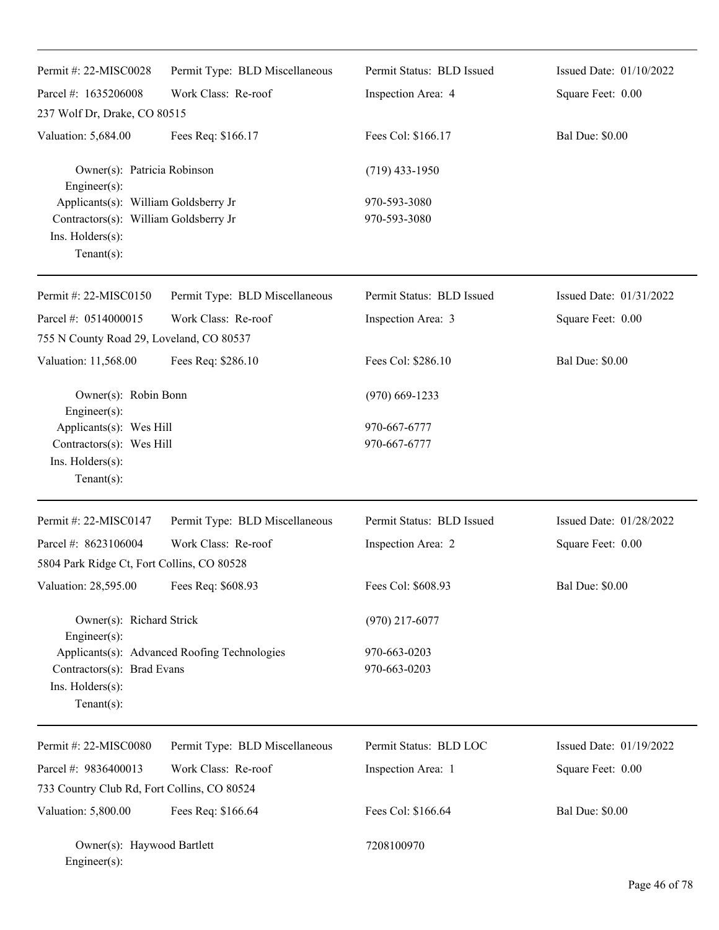| Permit #: 22-MISC0028                                                                                              | Permit Type: BLD Miscellaneous               | Permit Status: BLD Issued    | Issued Date: 01/10/2022 |
|--------------------------------------------------------------------------------------------------------------------|----------------------------------------------|------------------------------|-------------------------|
| Parcel #: 1635206008                                                                                               | Work Class: Re-roof                          | Inspection Area: 4           | Square Feet: 0.00       |
| 237 Wolf Dr, Drake, CO 80515                                                                                       |                                              |                              |                         |
| Valuation: 5,684.00                                                                                                | Fees Req: \$166.17                           | Fees Col: \$166.17           | <b>Bal Due: \$0.00</b>  |
| Owner(s): Patricia Robinson<br>Engineer(s):                                                                        |                                              | $(719)$ 433-1950             |                         |
| Applicants(s): William Goldsberry Jr<br>Contractors(s): William Goldsberry Jr<br>Ins. Holders(s):<br>$Tenant(s)$ : |                                              | 970-593-3080<br>970-593-3080 |                         |
| Permit #: 22-MISC0150                                                                                              | Permit Type: BLD Miscellaneous               | Permit Status: BLD Issued    | Issued Date: 01/31/2022 |
| Parcel #: 0514000015                                                                                               | Work Class: Re-roof                          | Inspection Area: 3           | Square Feet: 0.00       |
| 755 N County Road 29, Loveland, CO 80537                                                                           |                                              |                              |                         |
| Valuation: 11,568.00                                                                                               | Fees Req: \$286.10                           | Fees Col: \$286.10           | <b>Bal Due: \$0.00</b>  |
| Owner(s): Robin Bonn<br>Engineer(s):                                                                               |                                              | $(970)$ 669-1233             |                         |
| Applicants(s): Wes Hill<br>Contractors(s): Wes Hill<br>Ins. Holders(s):<br>$Tenant(s)$ :                           |                                              | 970-667-6777<br>970-667-6777 |                         |
| Permit #: 22-MISC0147                                                                                              | Permit Type: BLD Miscellaneous               | Permit Status: BLD Issued    | Issued Date: 01/28/2022 |
| Parcel #: 8623106004                                                                                               | Work Class: Re-roof                          | Inspection Area: 2           | Square Feet: 0.00       |
| 5804 Park Ridge Ct, Fort Collins, CO 80528                                                                         |                                              |                              |                         |
| Valuation: 28,595.00                                                                                               | Fees Req: \$608.93                           | Fees Col: \$608.93           | <b>Bal Due: \$0.00</b>  |
| Owner(s): Richard Strick<br>Engineer(s):                                                                           |                                              | $(970)$ 217-6077             |                         |
| Contractors(s): Brad Evans<br>Ins. Holders(s):<br>Tenant $(s)$ :                                                   | Applicants(s): Advanced Roofing Technologies | 970-663-0203<br>970-663-0203 |                         |
| Permit #: 22-MISC0080                                                                                              | Permit Type: BLD Miscellaneous               | Permit Status: BLD LOC       | Issued Date: 01/19/2022 |
| Parcel #: 9836400013                                                                                               | Work Class: Re-roof                          | Inspection Area: 1           | Square Feet: 0.00       |
| 733 Country Club Rd, Fort Collins, CO 80524                                                                        |                                              |                              |                         |
| Valuation: 5,800.00                                                                                                | Fees Req: \$166.64                           | Fees Col: \$166.64           | <b>Bal Due: \$0.00</b>  |
| Owner(s): Haywood Bartlett<br>Engineer(s):                                                                         |                                              | 7208100970                   |                         |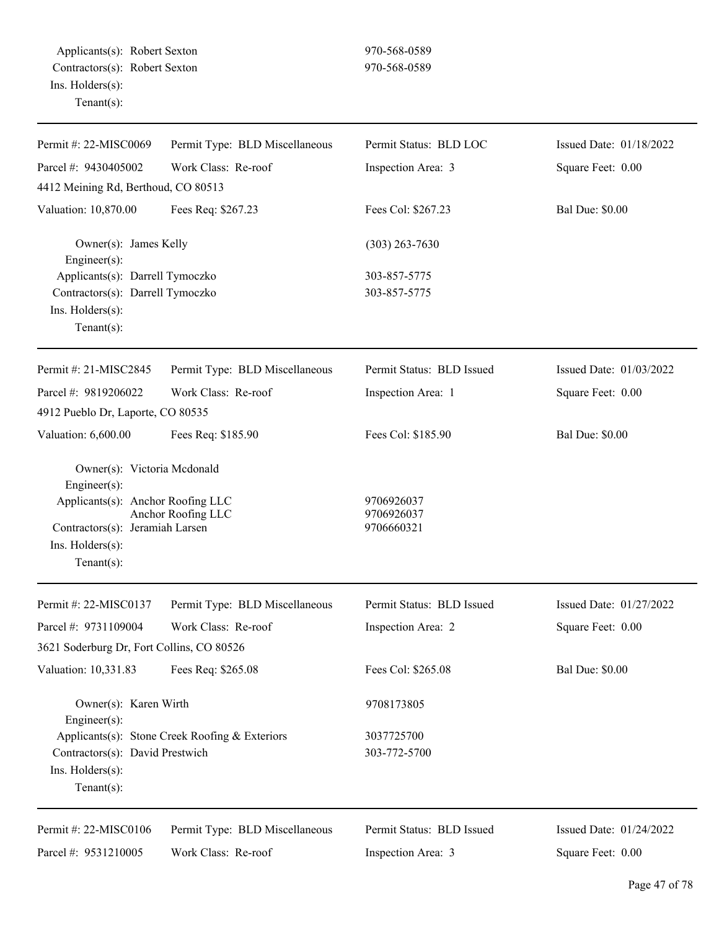| Permit #: 22-MISC0069                                                                                                                                            | Permit Type: BLD Miscellaneous                 | Permit Status: BLD LOC                 | Issued Date: 01/18/2022 |
|------------------------------------------------------------------------------------------------------------------------------------------------------------------|------------------------------------------------|----------------------------------------|-------------------------|
| Parcel #: 9430405002                                                                                                                                             | Work Class: Re-roof                            | Inspection Area: 3                     | Square Feet: 0.00       |
| 4412 Meining Rd, Berthoud, CO 80513                                                                                                                              |                                                |                                        |                         |
| Valuation: 10,870.00                                                                                                                                             | Fees Req: \$267.23                             | Fees Col: \$267.23                     | <b>Bal Due: \$0.00</b>  |
| Owner(s): James Kelly<br>Engineer(s):                                                                                                                            |                                                | $(303)$ 263-7630                       |                         |
| Applicants(s): Darrell Tymoczko                                                                                                                                  |                                                | 303-857-5775                           |                         |
| Contractors(s): Darrell Tymoczko<br>Ins. Holders(s):<br>Tenant $(s)$ :                                                                                           |                                                | 303-857-5775                           |                         |
| Permit #: 21-MISC2845                                                                                                                                            | Permit Type: BLD Miscellaneous                 | Permit Status: BLD Issued              | Issued Date: 01/03/2022 |
| Parcel #: 9819206022                                                                                                                                             | Work Class: Re-roof                            | Inspection Area: 1                     | Square Feet: 0.00       |
| 4912 Pueblo Dr, Laporte, CO 80535                                                                                                                                |                                                |                                        |                         |
| Valuation: 6,600.00                                                                                                                                              | Fees Req: \$185.90                             | Fees Col: \$185.90                     | <b>Bal Due: \$0.00</b>  |
| Owner(s): Victoria Mcdonald<br>Engineer(s):<br>Applicants(s): Anchor Roofing LLC<br>Contractors(s): Jeramiah Larsen<br>Ins. $H$ olders $(s)$ :<br>Tenant $(s)$ : | Anchor Roofing LLC                             | 9706926037<br>9706926037<br>9706660321 |                         |
| Permit #: 22-MISC0137                                                                                                                                            | Permit Type: BLD Miscellaneous                 | Permit Status: BLD Issued              | Issued Date: 01/27/2022 |
| Parcel #: 9731109004                                                                                                                                             | Work Class: Re-roof                            | Inspection Area: 2                     | Square Feet: 0.00       |
| 3621 Soderburg Dr, Fort Collins, CO 80526                                                                                                                        |                                                |                                        |                         |
| Valuation: 10,331.83                                                                                                                                             | Fees Req: \$265.08                             | Fees Col: \$265.08                     | <b>Bal Due: \$0.00</b>  |
| Owner(s): Karen Wirth<br>Engineer(s):                                                                                                                            |                                                | 9708173805                             |                         |
| Contractors(s): David Prestwich<br>Ins. Holders(s):<br>Tenant $(s)$ :                                                                                            | Applicants(s): Stone Creek Roofing & Exteriors | 3037725700<br>303-772-5700             |                         |
| Permit #: 22-MISC0106                                                                                                                                            | Permit Type: BLD Miscellaneous                 | Permit Status: BLD Issued              | Issued Date: 01/24/2022 |
| Parcel #: 9531210005                                                                                                                                             | Work Class: Re-roof                            | Inspection Area: 3                     | Square Feet: 0.00       |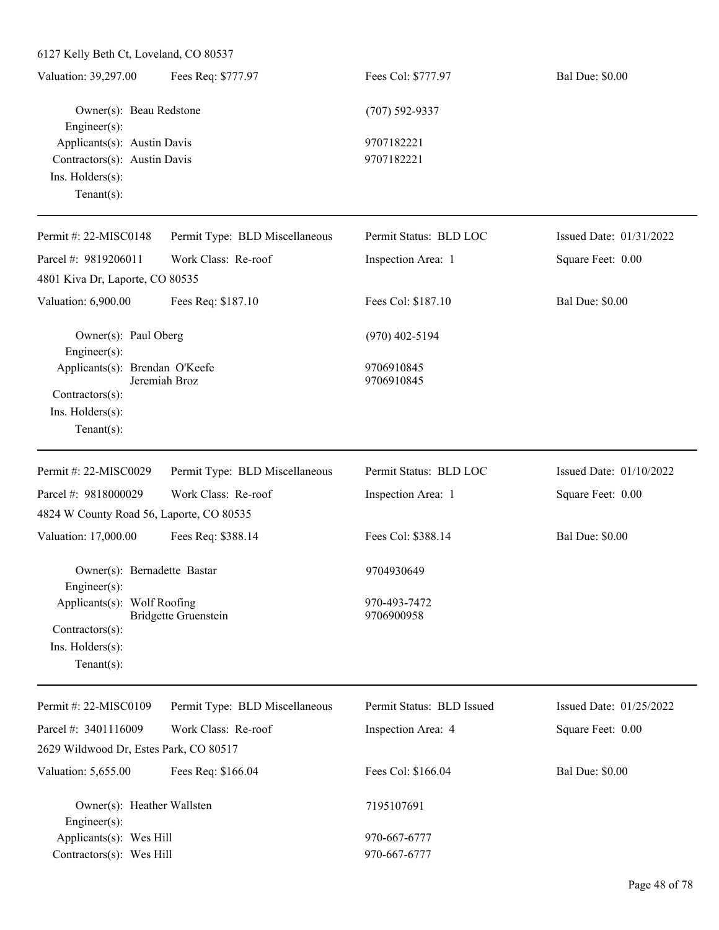6127 Kelly Beth Ct, Loveland, CO 80537

| Valuation: 39,297.00         | Fees Req: \$777.97 | Fees Col: \$777.97 | <b>Bal Due: \$0.00</b> |
|------------------------------|--------------------|--------------------|------------------------|
| Owner(s): Beau Redstone      |                    | $(707)$ 592-9337   |                        |
| Engineer $(s)$ :             |                    |                    |                        |
| Applicants(s): Austin Davis  |                    | 9707182221         |                        |
| Contractors(s): Austin Davis |                    | 9707182221         |                        |
| $Ins.$ Holders $(s)$ :       |                    |                    |                        |
| Tenant $(s)$ :               |                    |                    |                        |
|                              |                    |                    |                        |

| Permit #: 22-MISC0148                                                 | Permit Type: BLD Miscellaneous | Permit Status: BLD LOC     | Issued Date: 01/31/2022 |
|-----------------------------------------------------------------------|--------------------------------|----------------------------|-------------------------|
| Parcel #: 9819206011                                                  | Work Class: Re-roof            | Inspection Area: 1         | Square Feet: 0.00       |
| 4801 Kiva Dr, Laporte, CO 80535                                       |                                |                            |                         |
| Valuation: 6,900.00                                                   | Fees Req: \$187.10             | Fees Col: \$187.10         | <b>Bal Due: \$0.00</b>  |
| Owner(s): Paul Oberg<br>Engineer(s):                                  |                                | $(970)$ 402-5194           |                         |
| Applicants(s): Brendan O'Keefe<br>Contractors(s):<br>Ins. Holders(s): | Jeremiah Broz                  | 9706910845<br>9706910845   |                         |
| Tenant $(s)$ :                                                        |                                |                            |                         |
| Permit #: 22-MISC0029                                                 | Permit Type: BLD Miscellaneous | Permit Status: BLD LOC     | Issued Date: 01/10/2022 |
| Parcel #: 9818000029                                                  | Work Class: Re-roof            | Inspection Area: 1         | Square Feet: 0.00       |
| 4824 W County Road 56, Laporte, CO 80535                              |                                |                            |                         |
| Valuation: 17,000.00                                                  | Fees Req: \$388.14             | Fees Col: \$388.14         | <b>Bal Due: \$0.00</b>  |
| Owner(s): Bernadette Bastar<br>$Engineering(s)$ :                     |                                | 9704930649                 |                         |
| Applicants(s): Wolf Roofing                                           | <b>Bridgette Gruenstein</b>    | 970-493-7472<br>9706900958 |                         |
| Contractors(s):                                                       |                                |                            |                         |
| Ins. Holders(s):<br>Tenant $(s)$ :                                    |                                |                            |                         |
| Permit #: 22-MISC0109                                                 | Permit Type: BLD Miscellaneous | Permit Status: BLD Issued  | Issued Date: 01/25/2022 |

| Permit #: 22-MISC0109                  | Permit Type: BLD Miscellaneous | Permit Status: BLD Issued | Issued Date: $01/25/2022$ |
|----------------------------------------|--------------------------------|---------------------------|---------------------------|
| Parcel #: $3401116009$                 | Work Class: Re-roof            | Inspection Area: 4        | Square Feet: 0.00         |
| 2629 Wildwood Dr, Estes Park, CO 80517 |                                |                           |                           |
| Valuation: 5,655.00                    | Fees Req: \$166.04             | Fees Col: \$166.04        | <b>Bal Due: \$0.00</b>    |
| Owner(s): Heather Wallsten             |                                | 7195107691                |                           |
| Engineer $(s)$ :                       |                                |                           |                           |
| Applicants $(s)$ : Wes Hill            |                                | 970-667-6777              |                           |
| Contractors $(s)$ : Wes Hill           |                                | 970-667-6777              |                           |
|                                        |                                |                           |                           |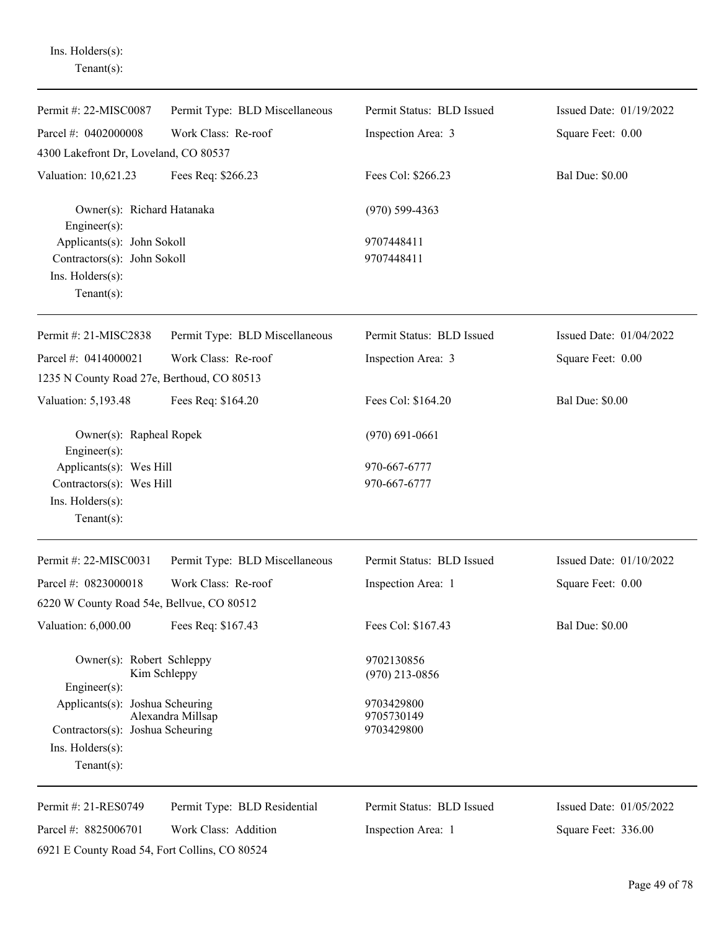Tenant(s): Permit #: 22-MISC0087 Parcel #: 0402000008 Permit Type: BLD Miscellaneous Work Class: Re-roof Permit Status: BLD Issued Inspection Area: 3 Issued Date: 01/19/2022 Square Feet: 0.00 4300 Lakefront Dr, Loveland, CO 80537 Valuation: 10,621.23 Fees Req: \$266.23 Fees Col: \$266.23 Bal Due: \$0.00 Owner(s): Richard Hatanaka (970) 599-4363 Engineer(s): Applicants(s): John Sokoll 9707448411 Contractors(s): John Sokoll 9707448411 Ins. Holders(s): Tenant(s): Permit #: 21-MISC2838 Parcel #: 0414000021 Permit Type: BLD Miscellaneous Work Class: Re-roof Permit Status: BLD Issued Inspection Area: 3 Issued Date: 01/04/2022 Square Feet: 0.00 1235 N County Road 27e, Berthoud, CO 80513 Valuation: 5,193.48 Fees Req: \$164.20 Fees Col: \$164.20 Bal Due: \$0.00 Owner(s): Rapheal Ropek (970) 691-0661 Engineer(s): Applicants(s): Wes Hill 970-667-6777  $Contractors(s):$  Wes Hill 970-667-6777 Ins. Holders(s): Tenant(s): Permit #: 22-MISC0031 Parcel #: 0823000018 Permit Type: BLD Miscellaneous Work Class: Re-roof Permit Status: BLD Issued Inspection Area: 1 Issued Date: 01/10/2022 Square Feet: 0.00 6220 W County Road 54e, Bellvue, CO 80512 Valuation: 6,000.00 Fees Req: \$167.43 Fees Col: \$167.43 Bal Due: \$0.00 Owner(s): Robert Schleppy 9702130856 Kim Schleppy (970) 213-0856 Engineer(s): Applicants(s): Joshua Scheuring 9703429800 Alexandra Millsap 9705730149 Contractors(s): Joshua Scheuring 9703429800 Ins. Holders(s): Tenant(s): Permit #: 21-RES0749 Parcel #: 8825006701 Permit Type: BLD Residential Work Class: Addition Permit Status: BLD Issued Inspection Area: 1 Issued Date: 01/05/2022 Square Feet: 336.00

Ins. Holders(s):

6921 E County Road 54, Fort Collins, CO 80524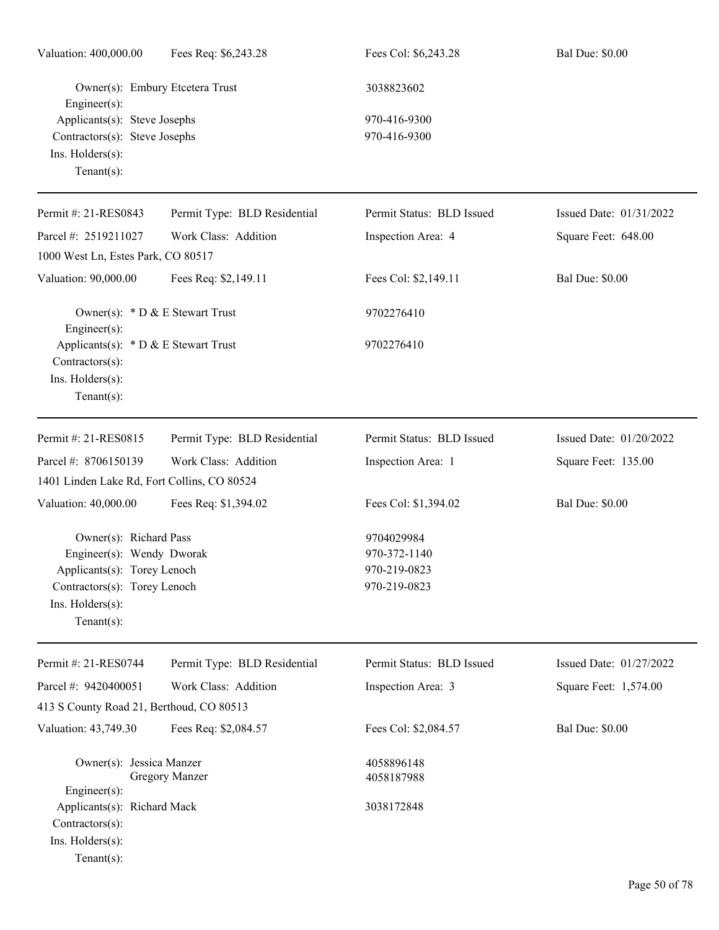| Valuation: 400,000.00                                                                                                                                    | Fees Req: \$6,243.28            | Fees Col: \$6,243.28                                       | <b>Bal Due: \$0.00</b>  |
|----------------------------------------------------------------------------------------------------------------------------------------------------------|---------------------------------|------------------------------------------------------------|-------------------------|
| Engineer $(s)$ :                                                                                                                                         | Owner(s): Embury Etcetera Trust | 3038823602                                                 |                         |
| Applicants(s): Steve Josephs<br>Contractors(s): Steve Josephs<br>Ins. Holders(s):<br>Tenant $(s)$ :                                                      |                                 | 970-416-9300<br>970-416-9300                               |                         |
| Permit #: 21-RES0843                                                                                                                                     | Permit Type: BLD Residential    | Permit Status: BLD Issued                                  | Issued Date: 01/31/2022 |
| Parcel #: 2519211027<br>1000 West Ln, Estes Park, CO 80517                                                                                               | Work Class: Addition            | Inspection Area: 4                                         | Square Feet: 648.00     |
| Valuation: 90,000.00                                                                                                                                     | Fees Req: \$2,149.11            | Fees Col: \$2,149.11                                       | <b>Bal Due: \$0.00</b>  |
| Owner(s): * D & E Stewart Trust<br>Engineer $(s)$ :                                                                                                      |                                 | 9702276410                                                 |                         |
| Applicants(s): $*$ D & E Stewart Trust<br>Contractors(s):<br>Ins. Holders(s):<br>Tenant $(s)$ :                                                          |                                 | 9702276410                                                 |                         |
| Permit #: 21-RES0815                                                                                                                                     | Permit Type: BLD Residential    | Permit Status: BLD Issued                                  | Issued Date: 01/20/2022 |
| Parcel #: 8706150139                                                                                                                                     | Work Class: Addition            | Inspection Area: 1                                         | Square Feet: 135.00     |
| 1401 Linden Lake Rd, Fort Collins, CO 80524                                                                                                              |                                 |                                                            |                         |
| Valuation: 40,000.00                                                                                                                                     | Fees Req: \$1,394.02            | Fees Col: \$1,394.02                                       | <b>Bal Due: \$0.00</b>  |
| Owner(s): Richard Pass<br>Engineer(s): Wendy Dworak<br>Applicants(s): Torey Lenoch<br>Contractors(s): Torey Lenoch<br>Ins. Holders(s):<br>Tenant $(s)$ : |                                 | 9704029984<br>970-372-1140<br>970-219-0823<br>970-219-0823 |                         |
| Permit #: 21-RES0744                                                                                                                                     | Permit Type: BLD Residential    | Permit Status: BLD Issued                                  | Issued Date: 01/27/2022 |
| Parcel #: 9420400051                                                                                                                                     | Work Class: Addition            | Inspection Area: 3                                         | Square Feet: 1,574.00   |
| 413 S County Road 21, Berthoud, CO 80513                                                                                                                 |                                 |                                                            |                         |
| Valuation: 43,749.30                                                                                                                                     | Fees Req: \$2,084.57            | Fees Col: \$2,084.57                                       | <b>Bal Due: \$0.00</b>  |
| Owner(s): Jessica Manzer<br>$Engineering(s)$ :                                                                                                           | <b>Gregory Manzer</b>           | 4058896148<br>4058187988                                   |                         |
| Applicants(s): Richard Mack<br>Contractors(s):<br>Ins. Holders(s):<br>Tenant $(s)$ :                                                                     |                                 | 3038172848                                                 |                         |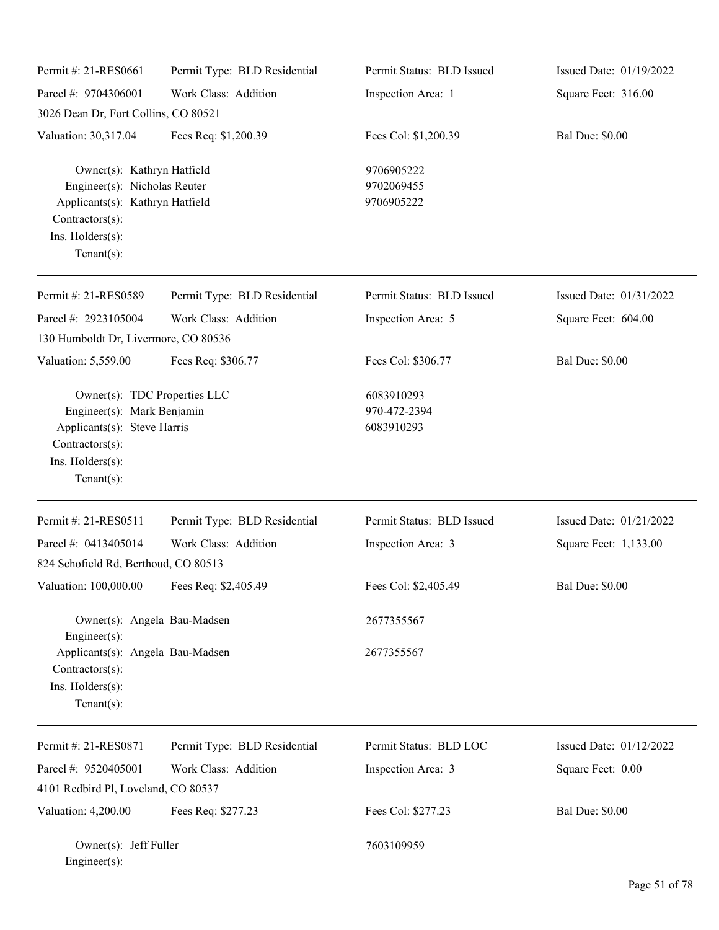| Permit #: 21-RES0661                                                                                                                                   | Permit Type: BLD Residential | Permit Status: BLD Issued                | Issued Date: 01/19/2022 |
|--------------------------------------------------------------------------------------------------------------------------------------------------------|------------------------------|------------------------------------------|-------------------------|
| Parcel #: 9704306001                                                                                                                                   | Work Class: Addition         | Inspection Area: 1                       | Square Feet: 316.00     |
| 3026 Dean Dr, Fort Collins, CO 80521                                                                                                                   |                              |                                          |                         |
| Valuation: 30,317.04                                                                                                                                   | Fees Req: \$1,200.39         | Fees Col: \$1,200.39                     | <b>Bal Due: \$0.00</b>  |
| Owner(s): Kathryn Hatfield<br>Engineer(s): Nicholas Reuter<br>Applicants(s): Kathryn Hatfield<br>Contractors(s):<br>Ins. Holders(s):<br>Tenant $(s)$ : |                              | 9706905222<br>9702069455<br>9706905222   |                         |
| Permit #: 21-RES0589                                                                                                                                   | Permit Type: BLD Residential | Permit Status: BLD Issued                | Issued Date: 01/31/2022 |
| Parcel #: 2923105004                                                                                                                                   | Work Class: Addition         | Inspection Area: 5                       | Square Feet: 604.00     |
| 130 Humboldt Dr, Livermore, CO 80536                                                                                                                   |                              |                                          |                         |
| Valuation: 5,559.00                                                                                                                                    | Fees Req: \$306.77           | Fees Col: \$306.77                       | <b>Bal Due: \$0.00</b>  |
| Owner(s): TDC Properties LLC<br>Engineer(s): Mark Benjamin<br>Applicants(s): Steve Harris<br>Contractors(s):<br>Ins. Holders(s):<br>Tenant $(s)$ :     |                              | 6083910293<br>970-472-2394<br>6083910293 |                         |
| Permit #: 21-RES0511                                                                                                                                   | Permit Type: BLD Residential | Permit Status: BLD Issued                | Issued Date: 01/21/2022 |
| Parcel #: 0413405014                                                                                                                                   | Work Class: Addition         | Inspection Area: 3                       | Square Feet: 1,133.00   |
| 824 Schofield Rd, Berthoud, CO 80513                                                                                                                   |                              |                                          |                         |
| Valuation: 100,000.00                                                                                                                                  | Fees Req: \$2,405.49         | Fees Col: \$2,405.49                     | <b>Bal Due: \$0.00</b>  |
| Owner(s): Angela Bau-Madsen<br>Engineer(s):                                                                                                            |                              | 2677355567                               |                         |
| Applicants(s): Angela Bau-Madsen<br>Contractors(s):<br>Ins. Holders(s):<br>Tenant $(s)$ :                                                              |                              | 2677355567                               |                         |
| Permit #: 21-RES0871                                                                                                                                   | Permit Type: BLD Residential | Permit Status: BLD LOC                   | Issued Date: 01/12/2022 |
| Parcel #: 9520405001                                                                                                                                   | Work Class: Addition         | Inspection Area: 3                       | Square Feet: 0.00       |
| 4101 Redbird Pl, Loveland, CO 80537                                                                                                                    |                              |                                          |                         |
| Valuation: 4,200.00                                                                                                                                    | Fees Req: \$277.23           | Fees Col: \$277.23                       | <b>Bal Due: \$0.00</b>  |
| Owner(s): Jeff Fuller<br>Engineer(s):                                                                                                                  |                              | 7603109959                               |                         |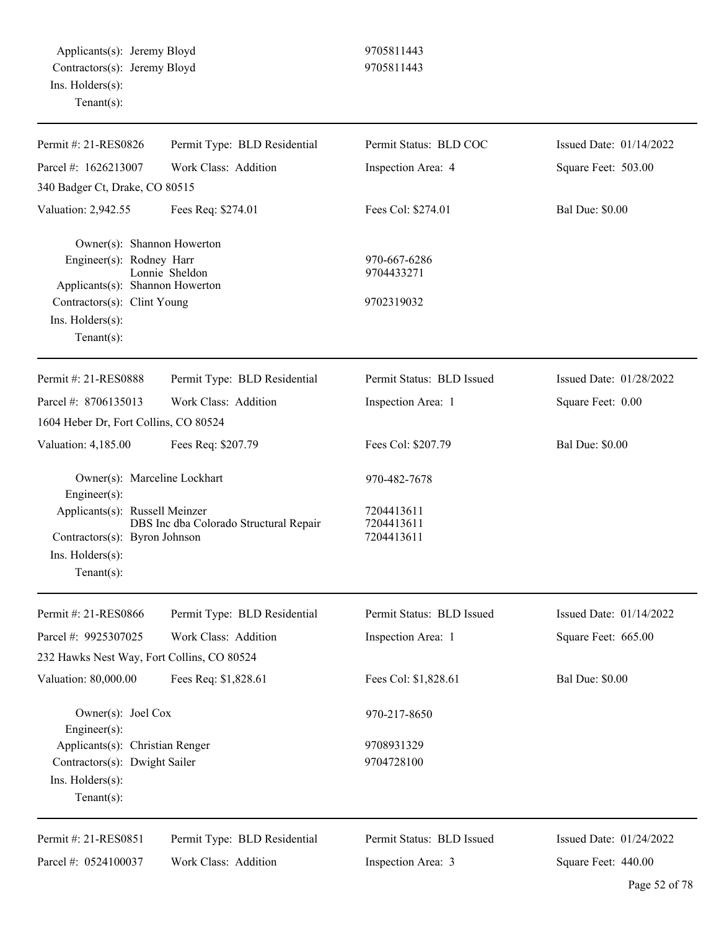| Permit #: 21-RES0826                              | Permit Type: BLD Residential | Permit Status: BLD COC    | Issued Date: 01/14/2022   |
|---------------------------------------------------|------------------------------|---------------------------|---------------------------|
| Parcel #: 1626213007                              | Work Class: Addition         | Inspection Area: 4        | Square Feet: 503.00       |
| 340 Badger Ct, Drake, CO 80515                    |                              |                           |                           |
| Valuation: 2,942.55                               | Fees Req: \$274.01           | Fees Col: \$274.01        | <b>Bal Due: \$0.00</b>    |
| Owner(s): Shannon Howerton                        |                              |                           |                           |
| Engineer(s): Rodney Harr                          |                              | 970-667-6286              |                           |
| Applicants(s): Shannon Howerton                   | Lonnie Sheldon               | 9704433271                |                           |
| Contractors(s): Clint Young                       |                              | 9702319032                |                           |
| Ins. Holders(s):                                  |                              |                           |                           |
| Tenant $(s)$ :                                    |                              |                           |                           |
| Permit #: 21-RES0888                              | Permit Type: BLD Residential | Permit Status: BLD Issued | Issued Date: $01/28/2022$ |
| Parcel #: 8706135013                              | Work Class: Addition         | Inspection Area: 1        | Square Feet: 0.00         |
| 1604 Heber Dr, Fort Collins, CO 80524             |                              |                           |                           |
| Valuation: 4,185.00                               | Fees Req: \$207.79           | Fees Col: \$207.79        | <b>Bal Due: \$0.00</b>    |
| Owner(s): Marceline Lockhart<br>Engineer(s):      |                              | 970-482-7678              |                           |
| Applicants(s): Russell Meinzer                    |                              | 7204413611                |                           |
| DBS Inc dba Colorado Structural Repair            |                              | 7204413611                |                           |
| Contractors(s): Byron Johnson<br>Ins. Holders(s): |                              | 7204413611                |                           |
| $Tenant(s)$ :                                     |                              |                           |                           |
|                                                   |                              |                           |                           |
| Permit #: 21-RES0866                              | Permit Type: BLD Residential | Permit Status: BLD Issued | Issued Date: 01/14/2022   |
| Parcel #: 9925307025                              | Work Class: Addition         | Inspection Area: 1        | Square Feet: 665.00       |
| 232 Hawks Nest Way, Fort Collins, CO 80524        |                              |                           |                           |
| Valuation: 80,000.00                              | Fees Req: \$1,828.61         | Fees Col: \$1,828.61      | <b>Bal Due: \$0.00</b>    |
| Owner(s): Joel Cox<br>Engineer(s):                |                              | 970-217-8650              |                           |
| Applicants(s): Christian Renger                   |                              | 9708931329                |                           |
| Contractors(s): Dwight Sailer                     |                              | 9704728100                |                           |
| Ins. Holders(s):                                  |                              |                           |                           |
| Tenant $(s)$ :                                    |                              |                           |                           |
| Permit #: 21-RES0851                              | Permit Type: BLD Residential | Permit Status: BLD Issued | Issued Date: 01/24/2022   |
| Parcel #: 0524100037                              | Work Class: Addition         | Inspection Area: 3        | Square Feet: 440.00       |
|                                                   |                              |                           |                           |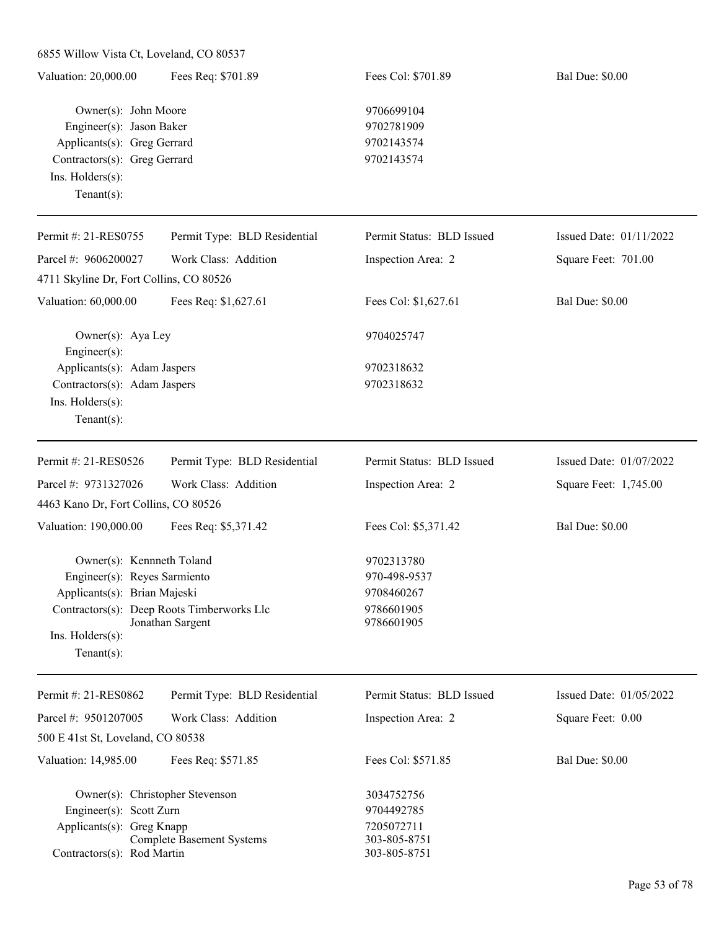| 6855 Willow Vista Ct, Loveland, CO 80537                                                                                                                     |                                                                |                                                                        |                         |
|--------------------------------------------------------------------------------------------------------------------------------------------------------------|----------------------------------------------------------------|------------------------------------------------------------------------|-------------------------|
| Valuation: 20,000.00                                                                                                                                         | Fees Req: \$701.89                                             | Fees Col: \$701.89                                                     | <b>Bal Due: \$0.00</b>  |
| Owner(s): John Moore<br>Engineer(s): Jason Baker<br>Applicants(s): Greg Gerrard<br>Contractors(s): Greg Gerrard<br>Ins. $H$ olders $(s)$ :<br>Tenant $(s)$ : |                                                                | 9706699104<br>9702781909<br>9702143574<br>9702143574                   |                         |
|                                                                                                                                                              |                                                                |                                                                        |                         |
| Permit #: 21-RES0755                                                                                                                                         | Permit Type: BLD Residential                                   | Permit Status: BLD Issued                                              | Issued Date: 01/11/2022 |
| Parcel #: 9606200027                                                                                                                                         | Work Class: Addition                                           | Inspection Area: 2                                                     | Square Feet: 701.00     |
| 4711 Skyline Dr, Fort Collins, CO 80526                                                                                                                      |                                                                |                                                                        |                         |
| Valuation: 60,000.00                                                                                                                                         | Fees Req: \$1,627.61                                           | Fees Col: \$1,627.61                                                   | <b>Bal Due: \$0.00</b>  |
| Owner(s): Aya Ley<br>Engineer(s):                                                                                                                            |                                                                | 9704025747                                                             |                         |
| Applicants(s): Adam Jaspers<br>Contractors(s): Adam Jaspers<br>Ins. Holders(s):<br>Tenant $(s)$ :                                                            |                                                                | 9702318632<br>9702318632                                               |                         |
| Permit #: 21-RES0526                                                                                                                                         | Permit Type: BLD Residential                                   | Permit Status: BLD Issued                                              | Issued Date: 01/07/2022 |
| Parcel #: 9731327026                                                                                                                                         | Work Class: Addition                                           | Inspection Area: 2                                                     | Square Feet: 1,745.00   |
| 4463 Kano Dr, Fort Collins, CO 80526                                                                                                                         |                                                                |                                                                        |                         |
| Valuation: 190,000.00                                                                                                                                        | Fees Req: \$5,371.42                                           | Fees Col: \$5,371.42                                                   | <b>Bal Due: \$0.00</b>  |
| Owner(s): Kennneth Toland<br>Engineer(s): Reyes Sarmiento<br>Applicants(s): Brian Majeski<br>$Ins.$ Holders $(s)$ :<br>Tenant $(s)$ :                        | Contractors(s): Deep Roots Timberworks Llc<br>Jonathan Sargent | 9702313780<br>970-498-9537<br>9708460267<br>9786601905<br>9786601905   |                         |
| Permit #: 21-RES0862                                                                                                                                         | Permit Type: BLD Residential                                   | Permit Status: BLD Issued                                              | Issued Date: 01/05/2022 |
| Parcel #: 9501207005                                                                                                                                         | Work Class: Addition                                           | Inspection Area: 2                                                     | Square Feet: 0.00       |
| 500 E 41st St, Loveland, CO 80538                                                                                                                            |                                                                |                                                                        |                         |
| Valuation: 14,985.00                                                                                                                                         | Fees Req: \$571.85                                             | Fees Col: \$571.85                                                     | <b>Bal Due: \$0.00</b>  |
| Owner(s): Christopher Stevenson<br>Engineer(s): Scott Zurn<br>Applicants(s): Greg Knapp<br><b>Complete Basement Systems</b><br>Contractors(s): Rod Martin    |                                                                | 3034752756<br>9704492785<br>7205072711<br>303-805-8751<br>303-805-8751 |                         |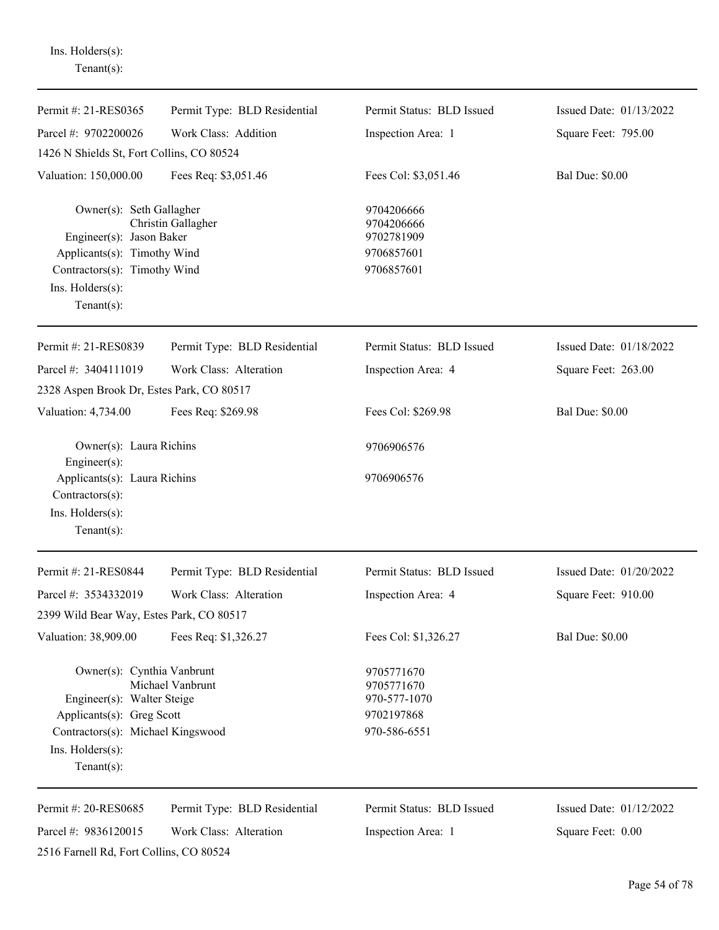Ins. Holders(s): Tenant(s):

| Permit #: 21-RES0365                                                                                                                                             | Permit Type: BLD Residential                           | Permit Status: BLD Issued                                              | Issued Date: 01/13/2022                      |
|------------------------------------------------------------------------------------------------------------------------------------------------------------------|--------------------------------------------------------|------------------------------------------------------------------------|----------------------------------------------|
| Parcel #: 9702200026                                                                                                                                             | Work Class: Addition                                   | Inspection Area: 1                                                     | Square Feet: 795.00                          |
| 1426 N Shields St, Fort Collins, CO 80524                                                                                                                        |                                                        |                                                                        |                                              |
| Valuation: 150,000.00                                                                                                                                            | Fees Req: \$3,051.46                                   | Fees Col: \$3,051.46                                                   | <b>Bal Due: \$0.00</b>                       |
| Owner(s): Seth Gallagher<br>Engineer(s): Jason Baker<br>Applicants(s): Timothy Wind<br>Contractors(s): Timothy Wind<br>Ins. $H$ olders $(s)$ :<br>Tenant $(s)$ : | Christin Gallagher                                     | 9704206666<br>9704206666<br>9702781909<br>9706857601<br>9706857601     |                                              |
| Permit #: 21-RES0839                                                                                                                                             | Permit Type: BLD Residential                           | Permit Status: BLD Issued                                              | Issued Date: 01/18/2022                      |
| Parcel #: 3404111019                                                                                                                                             | Work Class: Alteration                                 | Inspection Area: 4                                                     | Square Feet: 263.00                          |
| 2328 Aspen Brook Dr, Estes Park, CO 80517                                                                                                                        |                                                        |                                                                        |                                              |
| Valuation: 4,734.00                                                                                                                                              | Fees Req: \$269.98                                     | Fees Col: \$269.98                                                     | <b>Bal Due: \$0.00</b>                       |
| Owner(s): Laura Richins<br>$Engineering(s)$ :                                                                                                                    |                                                        | 9706906576                                                             |                                              |
| Applicants(s): Laura Richins<br>$Contractors(s)$ :<br>Ins. Holders(s):<br>Tenant $(s)$ :                                                                         |                                                        | 9706906576                                                             |                                              |
| Permit #: 21-RES0844                                                                                                                                             | Permit Type: BLD Residential                           | Permit Status: BLD Issued                                              | Issued Date: 01/20/2022                      |
| Parcel #: 3534332019                                                                                                                                             | Work Class: Alteration                                 | Inspection Area: 4                                                     | Square Feet: 910.00                          |
| 2399 Wild Bear Way, Estes Park, CO 80517                                                                                                                         |                                                        |                                                                        |                                              |
| Valuation: 38,909.00                                                                                                                                             | Fees Req: \$1,326.27                                   | Fees Col: \$1,326.27                                                   | <b>Bal Due: \$0.00</b>                       |
| Owner(s): Cynthia Vanbrunt<br>Engineer(s): Walter Steige<br>Applicants(s): Greg Scott<br>Contractors(s): Michael Kingswood<br>Ins. Holders(s):<br>Tenant $(s)$ : | Michael Vanbrunt                                       | 9705771670<br>9705771670<br>970-577-1070<br>9702197868<br>970-586-6551 |                                              |
| Permit #: 20-RES0685<br>Parcel #: 9836120015<br>2516 Farnell Rd, Fort Collins, CO 80524                                                                          | Permit Type: BLD Residential<br>Work Class: Alteration | Permit Status: BLD Issued<br>Inspection Area: 1                        | Issued Date: 01/12/2022<br>Square Feet: 0.00 |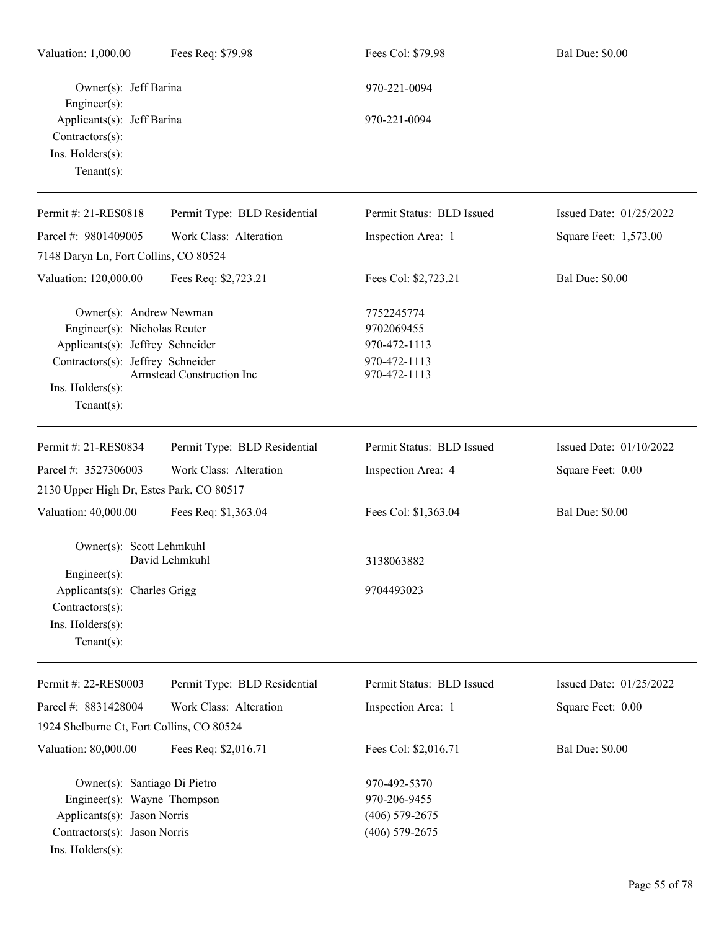| Valuation: 1,000.00                                                                                                                                                         | Fees Req: \$79.98            | Fees Col: \$79.98                                                        | <b>Bal Due: \$0.00</b>  |
|-----------------------------------------------------------------------------------------------------------------------------------------------------------------------------|------------------------------|--------------------------------------------------------------------------|-------------------------|
| Owner(s): Jeff Barina<br>Engineer(s):                                                                                                                                       |                              | 970-221-0094                                                             |                         |
| Applicants(s): Jeff Barina<br>$Contractors(s)$ :<br>Ins. Holders(s):<br>Tenant $(s)$ :                                                                                      |                              | 970-221-0094                                                             |                         |
| Permit #: 21-RES0818                                                                                                                                                        | Permit Type: BLD Residential | Permit Status: BLD Issued                                                | Issued Date: 01/25/2022 |
| Parcel #: 9801409005                                                                                                                                                        | Work Class: Alteration       | Inspection Area: 1                                                       | Square Feet: 1,573.00   |
| 7148 Daryn Ln, Fort Collins, CO 80524                                                                                                                                       |                              |                                                                          |                         |
| Valuation: 120,000.00                                                                                                                                                       | Fees Req: \$2,723.21         | Fees Col: \$2,723.21                                                     | <b>Bal Due: \$0.00</b>  |
| Owner(s): Andrew Newman<br>Engineer(s): Nicholas Reuter<br>Applicants(s): Jeffrey Schneider<br>Contractors(s): Jeffrey Schneider<br>$Ins.$ Holders $(s)$ :<br>$Tenant(s)$ : | Armstead Construction Inc    | 7752245774<br>9702069455<br>970-472-1113<br>970-472-1113<br>970-472-1113 |                         |
| Permit #: 21-RES0834                                                                                                                                                        | Permit Type: BLD Residential | Permit Status: BLD Issued                                                | Issued Date: 01/10/2022 |
| Parcel #: 3527306003                                                                                                                                                        | Work Class: Alteration       | Inspection Area: 4                                                       | Square Feet: 0.00       |
| 2130 Upper High Dr, Estes Park, CO 80517                                                                                                                                    |                              |                                                                          |                         |
| Valuation: 40,000.00                                                                                                                                                        | Fees Req: \$1,363.04         | Fees Col: \$1,363.04                                                     | <b>Bal Due: \$0.00</b>  |
| Owner(s): Scott Lehmkuhl<br>$Engineering(s)$ :<br>Applicants(s): Charles Grigg                                                                                              | David Lehmkuhl               | 3138063882<br>9704493023                                                 |                         |
| Contractors(s):<br>Ins. Holders(s):<br>Tenant $(s)$ :                                                                                                                       |                              |                                                                          |                         |
| Permit #: 22-RES0003                                                                                                                                                        | Permit Type: BLD Residential | Permit Status: BLD Issued                                                | Issued Date: 01/25/2022 |
| Parcel #: 8831428004<br>1924 Shelburne Ct, Fort Collins, CO 80524                                                                                                           | Work Class: Alteration       | Inspection Area: 1                                                       | Square Feet: 0.00       |
| Valuation: 80,000.00                                                                                                                                                        | Fees Req: \$2,016.71         | Fees Col: \$2,016.71                                                     | <b>Bal Due: \$0.00</b>  |
| Owner(s): Santiago Di Pietro<br>Engineer(s): Wayne Thompson<br>Applicants(s): Jason Norris<br>Contractors(s): Jason Norris<br>Ins. Holders(s):                              |                              | 970-492-5370<br>970-206-9455<br>$(406)$ 579-2675<br>$(406)$ 579-2675     |                         |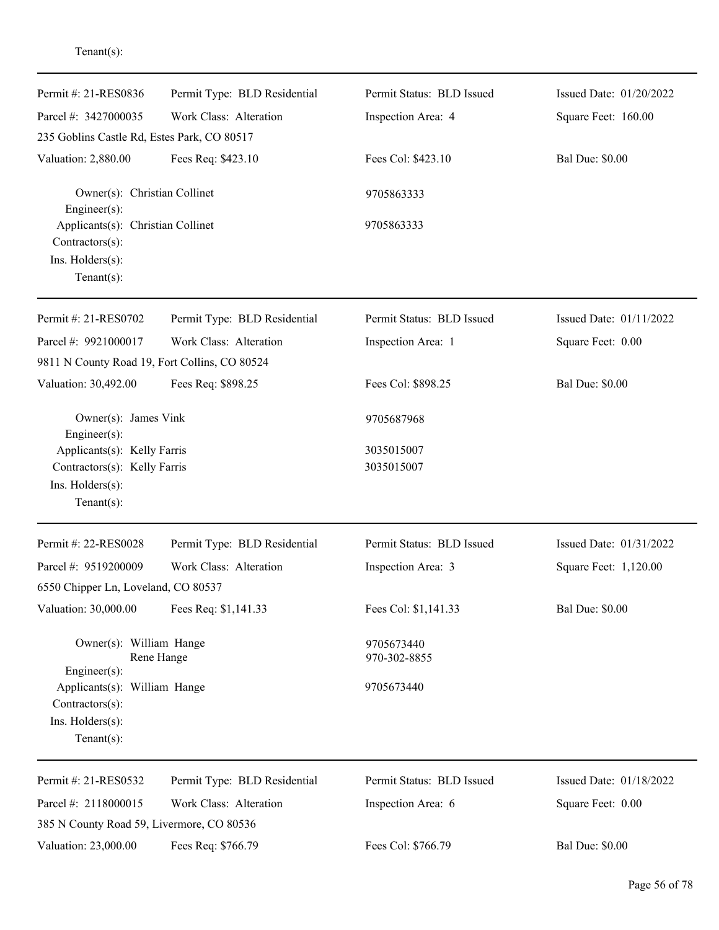| Permit #: 21-RES0836                                                                              | Permit Type: BLD Residential | Permit Status: BLD Issued  | Issued Date: 01/20/2022 |
|---------------------------------------------------------------------------------------------------|------------------------------|----------------------------|-------------------------|
| Parcel #: 3427000035                                                                              | Work Class: Alteration       | Inspection Area: 4         | Square Feet: 160.00     |
| 235 Goblins Castle Rd, Estes Park, CO 80517                                                       |                              |                            |                         |
| Valuation: 2,880.00                                                                               | Fees Req: \$423.10           | Fees Col: \$423.10         | <b>Bal Due: \$0.00</b>  |
| Owner(s): Christian Collinet<br>Engineer(s):                                                      |                              | 9705863333                 |                         |
| Applicants(s): Christian Collinet<br>Contractors(s):<br>Ins. Holders(s):<br>Tenant $(s)$ :        |                              | 9705863333                 |                         |
| Permit #: 21-RES0702                                                                              | Permit Type: BLD Residential | Permit Status: BLD Issued  | Issued Date: 01/11/2022 |
| Parcel #: 9921000017                                                                              | Work Class: Alteration       | Inspection Area: 1         | Square Feet: 0.00       |
| 9811 N County Road 19, Fort Collins, CO 80524                                                     |                              |                            |                         |
| Valuation: 30,492.00                                                                              | Fees Req: \$898.25           | Fees Col: \$898.25         | <b>Bal Due: \$0.00</b>  |
| Owner(s): James Vink<br>Engineer(s):                                                              |                              | 9705687968                 |                         |
| Applicants(s): Kelly Farris<br>Contractors(s): Kelly Farris<br>Ins. Holders(s):<br>Tenant $(s)$ : |                              | 3035015007<br>3035015007   |                         |
| Permit #: 22-RES0028                                                                              | Permit Type: BLD Residential | Permit Status: BLD Issued  | Issued Date: 01/31/2022 |
| Parcel #: 9519200009                                                                              | Work Class: Alteration       | Inspection Area: 3         | Square Feet: 1,120.00   |
| 6550 Chipper Ln, Loveland, CO 80537                                                               |                              |                            |                         |
| Valuation: 30,000.00                                                                              | Fees Req: \$1,141.33         | Fees Col: \$1,141.33       | <b>Bal Due: \$0.00</b>  |
| Owner(s): William Hange<br>Engineer(s):                                                           | Rene Hange                   | 9705673440<br>970-302-8855 |                         |
| Applicants(s): William Hange<br>Contractors(s):<br>Ins. Holders(s):<br>Tenant $(s)$ :             |                              | 9705673440                 |                         |
| Permit #: 21-RES0532                                                                              | Permit Type: BLD Residential | Permit Status: BLD Issued  | Issued Date: 01/18/2022 |
| Parcel #: 2118000015                                                                              | Work Class: Alteration       | Inspection Area: 6         | Square Feet: 0.00       |
| 385 N County Road 59, Livermore, CO 80536                                                         |                              |                            |                         |
| Valuation: 23,000.00                                                                              | Fees Req: \$766.79           | Fees Col: \$766.79         | <b>Bal Due: \$0.00</b>  |

## Tenant(s):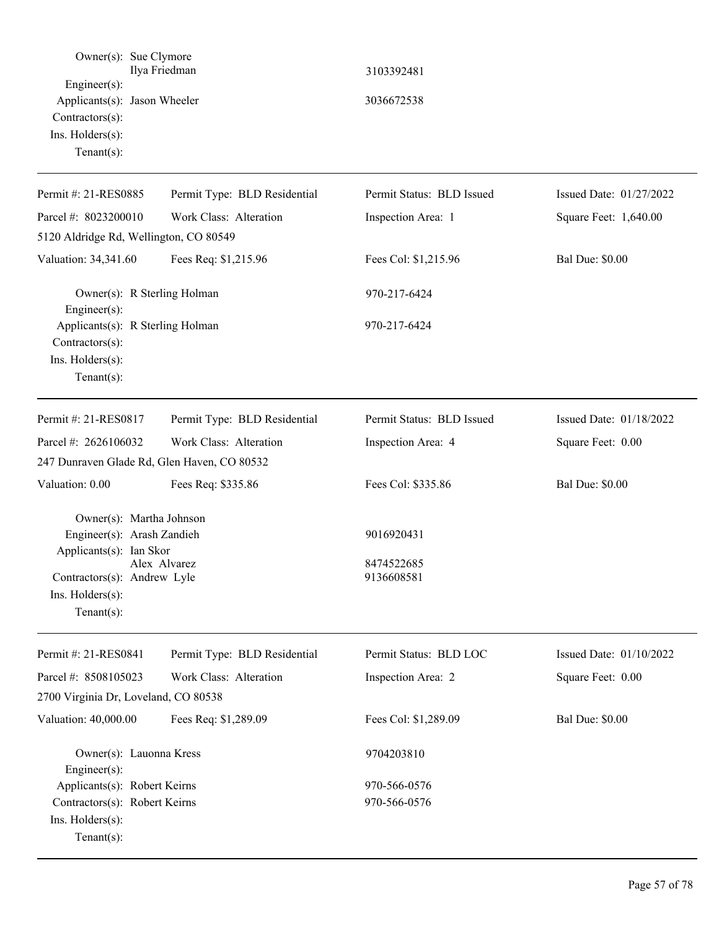| Owner(s): Sue Clymore<br>$Engineering(s)$ :<br>Applicants(s): Jason Wheeler<br>Contractors(s):<br>Ins. Holders(s):<br>Tenant $(s)$ :                   | Ilya Friedman                | 3103392481<br>3036672538               |                         |
|--------------------------------------------------------------------------------------------------------------------------------------------------------|------------------------------|----------------------------------------|-------------------------|
| Permit #: 21-RES0885                                                                                                                                   | Permit Type: BLD Residential | Permit Status: BLD Issued              | Issued Date: 01/27/2022 |
| Parcel #: 8023200010                                                                                                                                   | Work Class: Alteration       | Inspection Area: 1                     | Square Feet: 1,640.00   |
| 5120 Aldridge Rd, Wellington, CO 80549                                                                                                                 |                              |                                        |                         |
| Valuation: 34,341.60                                                                                                                                   | Fees Req: \$1,215.96         | Fees Col: \$1,215.96                   | <b>Bal Due: \$0.00</b>  |
| Owner(s): R Sterling Holman<br>Engineer(s):                                                                                                            |                              | 970-217-6424                           |                         |
| Applicants(s): R Sterling Holman<br>Contractors(s):<br>Ins. Holders(s):<br>Tenant $(s)$ :                                                              |                              | 970-217-6424                           |                         |
| Permit #: 21-RES0817                                                                                                                                   | Permit Type: BLD Residential | Permit Status: BLD Issued              | Issued Date: 01/18/2022 |
| Parcel #: 2626106032                                                                                                                                   | Work Class: Alteration       | Inspection Area: 4                     | Square Feet: 0.00       |
| 247 Dunraven Glade Rd, Glen Haven, CO 80532                                                                                                            |                              |                                        |                         |
| Valuation: 0.00                                                                                                                                        | Fees Req: \$335.86           | Fees Col: \$335.86                     | <b>Bal Due: \$0.00</b>  |
| Owner(s): Martha Johnson<br>Engineer(s): Arash Zandieh<br>Applicants(s): Ian Skor<br>Contractors(s): Andrew Lyle<br>Ins. Holders(s):<br>Tenant $(s)$ : | Alex Alvarez                 | 9016920431<br>8474522685<br>9136608581 |                         |
| Permit #: 21-RES0841                                                                                                                                   | Permit Type: BLD Residential | Permit Status: BLD LOC                 | Issued Date: 01/10/2022 |
| Parcel #: 8508105023                                                                                                                                   | Work Class: Alteration       | Inspection Area: 2                     | Square Feet: 0.00       |
| 2700 Virginia Dr, Loveland, CO 80538                                                                                                                   |                              |                                        |                         |
| Valuation: 40,000.00                                                                                                                                   | Fees Req: \$1,289.09         | Fees Col: \$1,289.09                   | <b>Bal Due: \$0.00</b>  |
| Owner(s): Lauonna Kress<br>Engineer(s):                                                                                                                |                              | 9704203810                             |                         |
| Applicants(s): Robert Keirns<br>Contractors(s): Robert Keirns<br>Ins. Holders(s):<br>$Tenant(s)$ :                                                     |                              | 970-566-0576<br>970-566-0576           |                         |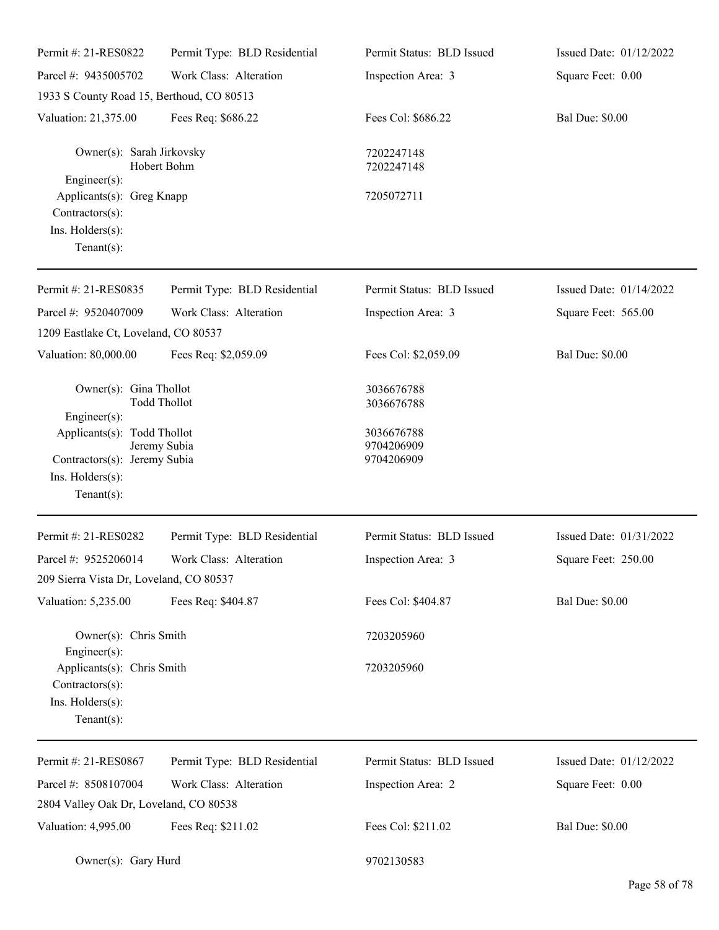| Permit #: 21-RES0822                                                                                     | Permit Type: BLD Residential | Permit Status: BLD Issued              | Issued Date: 01/12/2022 |
|----------------------------------------------------------------------------------------------------------|------------------------------|----------------------------------------|-------------------------|
| Parcel #: 9435005702                                                                                     | Work Class: Alteration       | Inspection Area: 3                     | Square Feet: 0.00       |
| 1933 S County Road 15, Berthoud, CO 80513                                                                |                              |                                        |                         |
| Valuation: 21,375.00                                                                                     | Fees Req: \$686.22           | Fees Col: \$686.22                     | <b>Bal Due: \$0.00</b>  |
| Owner(s): Sarah Jirkovsky<br>Engineer(s):                                                                | Hobert Bohm                  | 7202247148<br>7202247148               |                         |
| Applicants(s): Greg Knapp<br>Contractors(s):<br>Ins. Holders(s):<br>Tenant $(s)$ :                       |                              | 7205072711                             |                         |
| Permit #: 21-RES0835                                                                                     | Permit Type: BLD Residential | Permit Status: BLD Issued              | Issued Date: 01/14/2022 |
| Parcel #: 9520407009                                                                                     | Work Class: Alteration       | Inspection Area: 3                     | Square Feet: 565.00     |
| 1209 Eastlake Ct, Loveland, CO 80537                                                                     |                              |                                        |                         |
| Valuation: 80,000.00                                                                                     | Fees Req: \$2,059.09         | Fees Col: \$2,059.09                   | <b>Bal Due: \$0.00</b>  |
| Owner(s): Gina Thollot<br><b>Todd Thollot</b><br>Engineer(s):                                            |                              | 3036676788<br>3036676788               |                         |
| Applicants(s): Todd Thollot<br>Contractors(s): Jeremy Subia<br>Ins. $H$ olders $(s)$ :<br>Tenant $(s)$ : | Jeremy Subia                 | 3036676788<br>9704206909<br>9704206909 |                         |
| Permit #: 21-RES0282                                                                                     | Permit Type: BLD Residential | Permit Status: BLD Issued              | Issued Date: 01/31/2022 |
| Parcel #: 9525206014<br>209 Sierra Vista Dr, Loveland, CO 80537                                          | Work Class: Alteration       | Inspection Area: 3                     | Square Feet: 250.00     |
| Valuation: 5,235.00                                                                                      | Fees Req: \$404.87           | Fees Col: \$404.87                     | <b>Bal Due: \$0.00</b>  |
| Owner(s): Chris Smith<br>Engineer(s):                                                                    |                              | 7203205960                             |                         |
| Applicants(s): Chris Smith<br>Contractors(s):<br>Ins. Holders(s):<br>Tenant $(s)$ :                      |                              | 7203205960                             |                         |
| Permit #: 21-RES0867                                                                                     | Permit Type: BLD Residential | Permit Status: BLD Issued              | Issued Date: 01/12/2022 |
| Parcel #: 8508107004<br>2804 Valley Oak Dr, Loveland, CO 80538                                           | Work Class: Alteration       | Inspection Area: 2                     | Square Feet: 0.00       |
| Valuation: 4,995.00                                                                                      | Fees Req: \$211.02           | Fees Col: \$211.02                     | <b>Bal Due: \$0.00</b>  |
| Owner(s): Gary Hurd                                                                                      |                              | 9702130583                             |                         |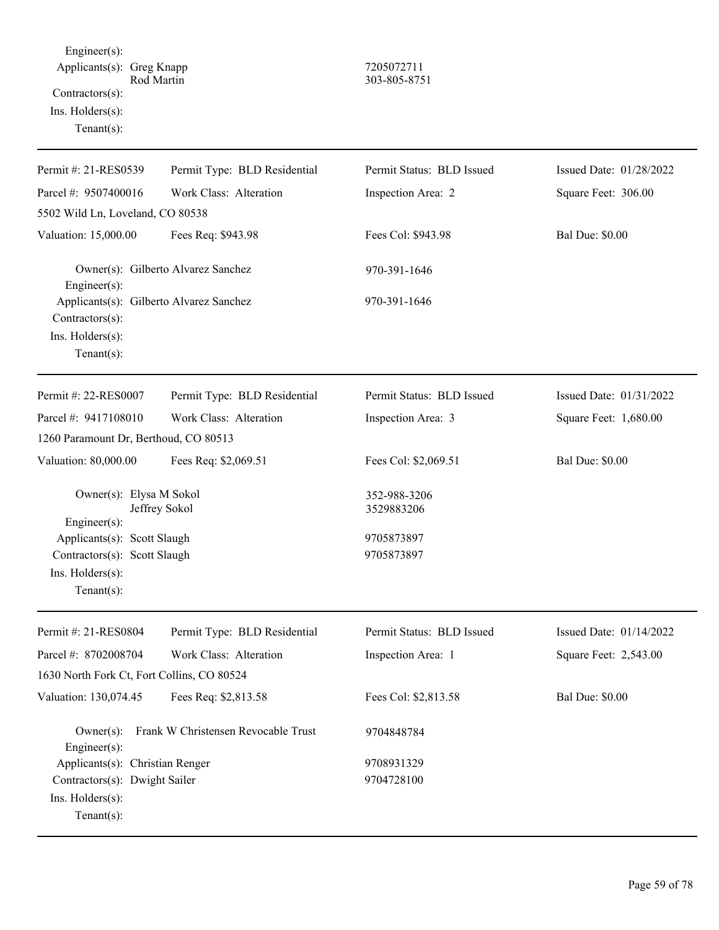Engineer(s): Applicants(s): Greg Knapp<br>Rod Martin 303-805-875 Contractors(s): Ins. Holders(s): Tenant(s):

## Rod Martin 303-805-8751

| Permit #: 21-RES0539                                                                            | Permit Type: BLD Residential        | Permit Status: BLD Issued  | Issued Date: 01/28/2022 |
|-------------------------------------------------------------------------------------------------|-------------------------------------|----------------------------|-------------------------|
| Parcel #: 9507400016                                                                            | Work Class: Alteration              | Inspection Area: 2         | Square Feet: 306.00     |
| 5502 Wild Ln, Loveland, CO 80538                                                                |                                     |                            |                         |
| Valuation: 15,000.00                                                                            | Fees Req: \$943.98                  | Fees Col: \$943.98         | <b>Bal Due: \$0.00</b>  |
| Engineer(s):                                                                                    | Owner(s): Gilberto Alvarez Sanchez  | 970-391-1646               |                         |
| Applicants(s): Gilberto Alvarez Sanchez<br>Contractors(s):<br>Ins. Holders(s):<br>$Tenant(s)$ : |                                     | 970-391-1646               |                         |
| Permit #: 22-RES0007                                                                            | Permit Type: BLD Residential        | Permit Status: BLD Issued  | Issued Date: 01/31/2022 |
| Parcel #: 9417108010                                                                            | Work Class: Alteration              | Inspection Area: 3         | Square Feet: 1,680.00   |
| 1260 Paramount Dr, Berthoud, CO 80513                                                           |                                     |                            |                         |
| Valuation: 80,000.00                                                                            | Fees Req: \$2,069.51                | Fees Col: \$2,069.51       | <b>Bal Due: \$0.00</b>  |
| Owner(s): Elysa M Sokol<br>Engineer(s):                                                         | Jeffrey Sokol                       | 352-988-3206<br>3529883206 |                         |
| Applicants(s): Scott Slaugh                                                                     |                                     | 9705873897                 |                         |
| Contractors(s): Scott Slaugh                                                                    |                                     | 9705873897                 |                         |
| Ins. Holders(s):<br>$Tenant(s)$ :                                                               |                                     |                            |                         |
| Permit #: 21-RES0804                                                                            | Permit Type: BLD Residential        | Permit Status: BLD Issued  | Issued Date: 01/14/2022 |
| Parcel #: 8702008704                                                                            | Work Class: Alteration              | Inspection Area: 1         | Square Feet: 2,543.00   |
| 1630 North Fork Ct, Fort Collins, CO 80524                                                      |                                     |                            |                         |
| Valuation: 130,074.45                                                                           | Fees Req: \$2,813.58                | Fees Col: \$2,813.58       | <b>Bal Due: \$0.00</b>  |
| $Owner(s)$ :<br>Engineer(s):                                                                    | Frank W Christensen Revocable Trust | 9704848784                 |                         |
| Applicants(s): Christian Renger                                                                 |                                     | 9708931329                 |                         |
| Contractors(s): Dwight Sailer<br>Ins. Holders(s):<br>Tenant $(s)$ :                             |                                     | 9704728100                 |                         |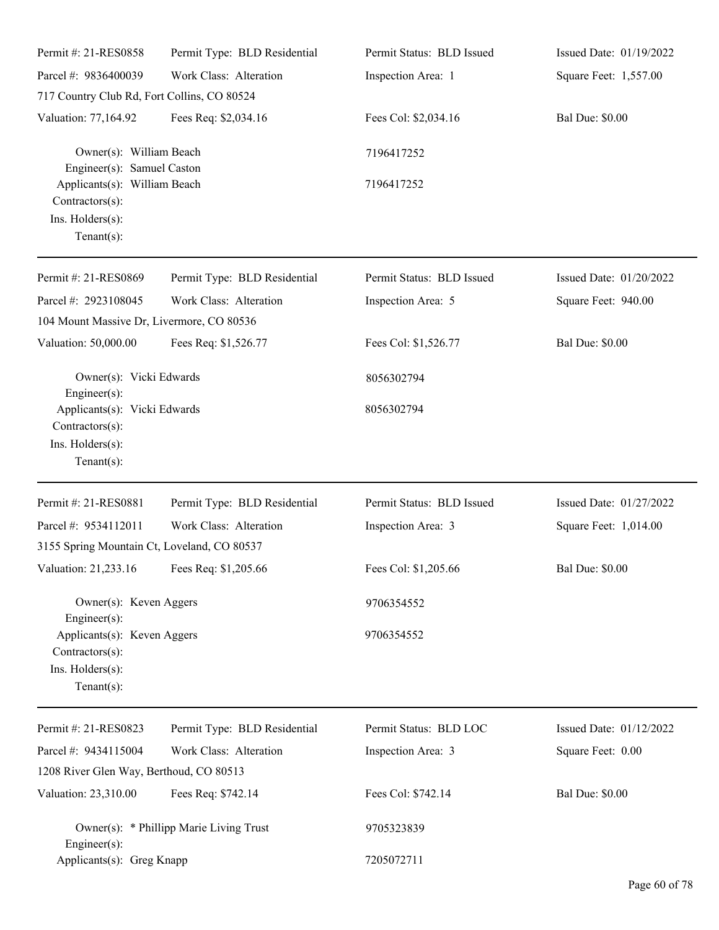| Permit #: 21-RES0858                                                                    | Permit Type: BLD Residential            | Permit Status: BLD Issued | Issued Date: 01/19/2022 |
|-----------------------------------------------------------------------------------------|-----------------------------------------|---------------------------|-------------------------|
| Parcel #: 9836400039                                                                    | Work Class: Alteration                  | Inspection Area: 1        | Square Feet: 1,557.00   |
| 717 Country Club Rd, Fort Collins, CO 80524                                             |                                         |                           |                         |
| Valuation: 77,164.92                                                                    | Fees Req: \$2,034.16                    | Fees Col: \$2,034.16      | <b>Bal Due: \$0.00</b>  |
| Owner(s): William Beach<br>Engineer(s): Samuel Caston                                   |                                         | 7196417252                |                         |
| Applicants(s): William Beach<br>Contractors(s):<br>Ins. Holders(s):<br>Tenant $(s)$ :   |                                         | 7196417252                |                         |
| Permit #: 21-RES0869                                                                    | Permit Type: BLD Residential            | Permit Status: BLD Issued | Issued Date: 01/20/2022 |
| Parcel #: 2923108045<br>104 Mount Massive Dr, Livermore, CO 80536                       | Work Class: Alteration                  | Inspection Area: 5        | Square Feet: 940.00     |
| Valuation: 50,000.00                                                                    | Fees Req: \$1,526.77                    | Fees Col: \$1,526.77      | <b>Bal Due: \$0.00</b>  |
| Owner(s): Vicki Edwards<br>Engineer(s):                                                 |                                         | 8056302794                |                         |
| Applicants(s): Vicki Edwards<br>Contractors(s):<br>Ins. Holders(s):<br>Tenant $(s)$ :   |                                         | 8056302794                |                         |
| Permit #: 21-RES0881                                                                    | Permit Type: BLD Residential            | Permit Status: BLD Issued | Issued Date: 01/27/2022 |
| Parcel #: 9534112011                                                                    | Work Class: Alteration                  | Inspection Area: 3        | Square Feet: 1,014.00   |
| 3155 Spring Mountain Ct, Loveland, CO 80537                                             |                                         |                           |                         |
| Valuation: 21,233.16 Fees Req: \$1,205.66                                               |                                         | Fees Col: \$1,205.66      | <b>Bal Due: \$0.00</b>  |
| Owner(s): Keven Aggers<br>Engineer(s):                                                  |                                         | 9706354552                |                         |
| Applicants(s): Keven Aggers<br>$Contractors(s)$ :<br>Ins. Holders(s):<br>Tenant $(s)$ : |                                         | 9706354552                |                         |
| Permit #: 21-RES0823                                                                    | Permit Type: BLD Residential            | Permit Status: BLD LOC    | Issued Date: 01/12/2022 |
| Parcel #: 9434115004                                                                    | Work Class: Alteration                  | Inspection Area: 3        | Square Feet: 0.00       |
| 1208 River Glen Way, Berthoud, CO 80513                                                 |                                         |                           |                         |
| Valuation: 23,310.00                                                                    | Fees Req: \$742.14                      | Fees Col: \$742.14        | <b>Bal Due: \$0.00</b>  |
| Engineer $(s)$ :                                                                        | Owner(s): * Phillipp Marie Living Trust | 9705323839                |                         |
| Applicants(s): Greg Knapp                                                               |                                         | 7205072711                |                         |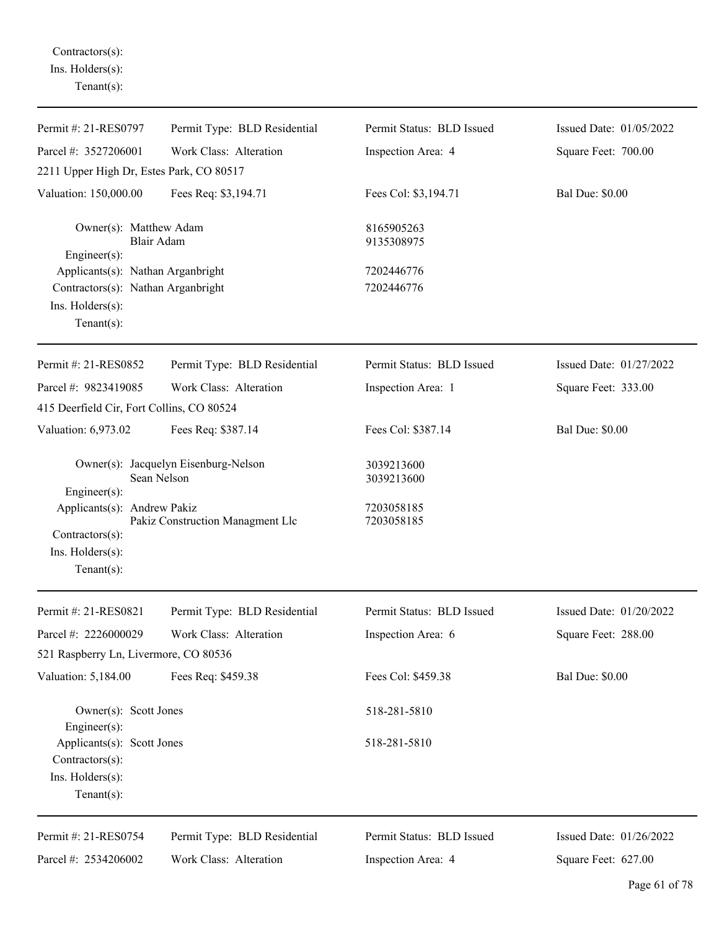Contractors(s): Ins. Holders(s): Tenant(s):

| Permit #: 21-RES0797                                                                                          | Permit Type: BLD Residential                        | Permit Status: BLD Issued | Issued Date: 01/05/2022 |
|---------------------------------------------------------------------------------------------------------------|-----------------------------------------------------|---------------------------|-------------------------|
| Parcel #: 3527206001                                                                                          | Work Class: Alteration                              | Inspection Area: 4        | Square Feet: 700.00     |
| 2211 Upper High Dr, Estes Park, CO 80517                                                                      |                                                     |                           |                         |
| Valuation: 150,000.00                                                                                         | Fees Req: \$3,194.71                                | Fees Col: \$3,194.71      | <b>Bal Due: \$0.00</b>  |
| Owner(s): Matthew Adam<br>Blair Adam<br>Engineer $(s)$ :                                                      |                                                     | 8165905263<br>9135308975  |                         |
| Applicants(s): Nathan Arganbright<br>Contractors(s): Nathan Arganbright<br>Ins. Holders(s):<br>Tenant $(s)$ : |                                                     | 7202446776<br>7202446776  |                         |
| Permit #: 21-RES0852                                                                                          | Permit Type: BLD Residential                        | Permit Status: BLD Issued | Issued Date: 01/27/2022 |
| Parcel #: 9823419085                                                                                          | Work Class: Alteration                              | Inspection Area: 1        | Square Feet: 333.00     |
| 415 Deerfield Cir, Fort Collins, CO 80524                                                                     |                                                     |                           |                         |
| Valuation: 6,973.02                                                                                           | Fees Req: \$387.14                                  | Fees Col: \$387.14        | <b>Bal Due: \$0.00</b>  |
| Engineer(s):                                                                                                  | Owner(s): Jacquelyn Eisenburg-Nelson<br>Sean Nelson | 3039213600<br>3039213600  |                         |
| Applicants(s): Andrew Pakiz<br>Contractors(s):<br>Ins. Holders(s):<br>Tenant $(s)$ :                          | Pakiz Construction Managment Llc                    | 7203058185<br>7203058185  |                         |
| Permit #: 21-RES0821                                                                                          | Permit Type: BLD Residential                        | Permit Status: BLD Issued | Issued Date: 01/20/2022 |
| Parcel #: 2226000029<br>521 Raspberry Ln, Livermore, CO 80536                                                 | Work Class: Alteration                              | Inspection Area: 6        | Square Feet: 288.00     |
| Valuation: 5,184.00                                                                                           | Fees Req: \$459.38                                  | Fees Col: \$459.38        | <b>Bal Due: \$0.00</b>  |
| Owner(s): Scott Jones<br>Engineer $(s)$ :                                                                     |                                                     | 518-281-5810              |                         |
| Applicants(s): Scott Jones<br>Contractors(s):<br>Ins. Holders(s):<br>Tenant $(s)$ :                           |                                                     | 518-281-5810              |                         |
| Permit #: 21-RES0754                                                                                          | Permit Type: BLD Residential                        | Permit Status: BLD Issued | Issued Date: 01/26/2022 |
| Parcel #: 2534206002                                                                                          | Work Class: Alteration                              | Inspection Area: 4        | Square Feet: 627.00     |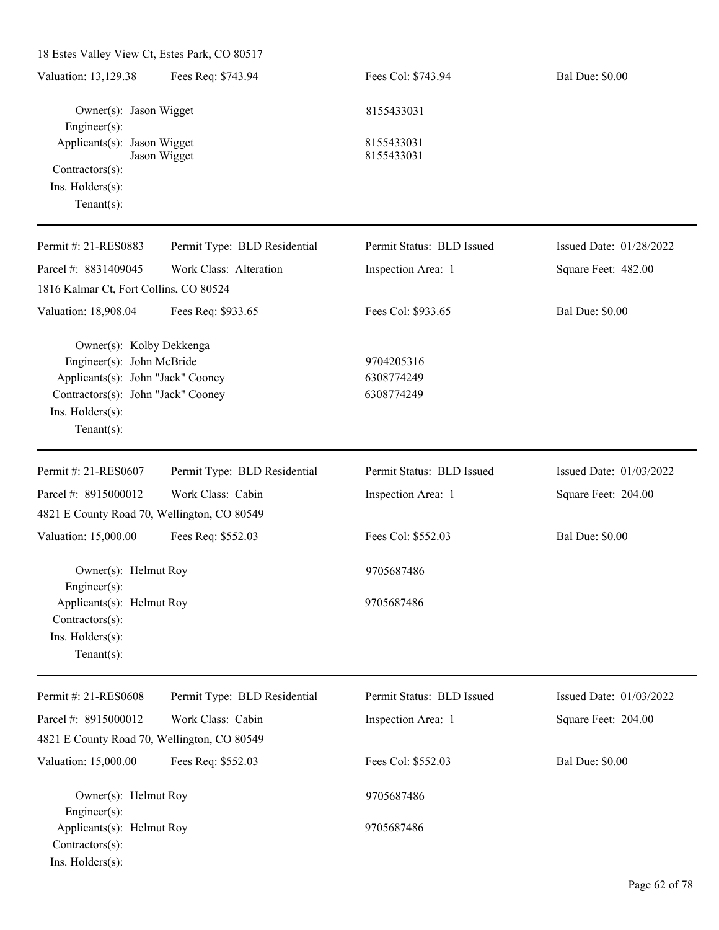| 18 Estes Valley View Ct, Estes Park, CO 80517                                                                                                                         |                              |                                        |                         |
|-----------------------------------------------------------------------------------------------------------------------------------------------------------------------|------------------------------|----------------------------------------|-------------------------|
| Valuation: 13,129.38                                                                                                                                                  | Fees Req: \$743.94           | Fees Col: \$743.94                     | <b>Bal Due: \$0.00</b>  |
| Owner(s): Jason Wigget<br>Engineer(s):                                                                                                                                |                              | 8155433031                             |                         |
| Applicants(s): Jason Wigget                                                                                                                                           | Jason Wigget                 | 8155433031<br>8155433031               |                         |
| Contractors(s):<br>Ins. Holders(s):<br>$Tenant(s)$ :                                                                                                                  |                              |                                        |                         |
| Permit #: 21-RES0883                                                                                                                                                  | Permit Type: BLD Residential | Permit Status: BLD Issued              | Issued Date: 01/28/2022 |
| Parcel #: 8831409045                                                                                                                                                  | Work Class: Alteration       | Inspection Area: 1                     | Square Feet: 482.00     |
| 1816 Kalmar Ct, Fort Collins, CO 80524                                                                                                                                |                              |                                        |                         |
| Valuation: 18,908.04                                                                                                                                                  | Fees Req: \$933.65           | Fees Col: \$933.65                     | <b>Bal Due: \$0.00</b>  |
| Owner(s): Kolby Dekkenga<br>Engineer(s): John McBride<br>Applicants(s): John "Jack" Cooney<br>Contractors(s): John "Jack" Cooney<br>Ins. Holders(s):<br>$Tenant(s)$ : |                              | 9704205316<br>6308774249<br>6308774249 |                         |
| Permit #: 21-RES0607                                                                                                                                                  | Permit Type: BLD Residential | Permit Status: BLD Issued              | Issued Date: 01/03/2022 |
| Parcel #: 8915000012                                                                                                                                                  | Work Class: Cabin            | Inspection Area: 1                     | Square Feet: 204.00     |
| 4821 E County Road 70, Wellington, CO 80549                                                                                                                           |                              |                                        |                         |
| Valuation: 15,000.00                                                                                                                                                  | Fees Req: \$552.03           | Fees Col: \$552.03                     | <b>Bal Due: \$0.00</b>  |
| Owner(s): Helmut Roy<br>Engineer(s):                                                                                                                                  |                              | 9705687486                             |                         |
| Applicants(s): Helmut Roy<br>Contractors(s):<br>Ins. Holders(s):<br>Tenant $(s)$ :                                                                                    |                              | 9705687486                             |                         |
| Permit #: 21-RES0608                                                                                                                                                  | Permit Type: BLD Residential | Permit Status: BLD Issued              | Issued Date: 01/03/2022 |
| Parcel #: 8915000012                                                                                                                                                  | Work Class: Cabin            | Inspection Area: 1                     | Square Feet: 204.00     |
| 4821 E County Road 70, Wellington, CO 80549                                                                                                                           |                              |                                        |                         |
| Valuation: 15,000.00                                                                                                                                                  | Fees Req: \$552.03           | Fees Col: \$552.03                     | <b>Bal Due: \$0.00</b>  |
| Owner(s): Helmut Roy<br>Engineer(s):                                                                                                                                  |                              | 9705687486                             |                         |
| Applicants(s): Helmut Roy<br>Contractors(s):<br>Ins. Holders(s):                                                                                                      |                              | 9705687486                             |                         |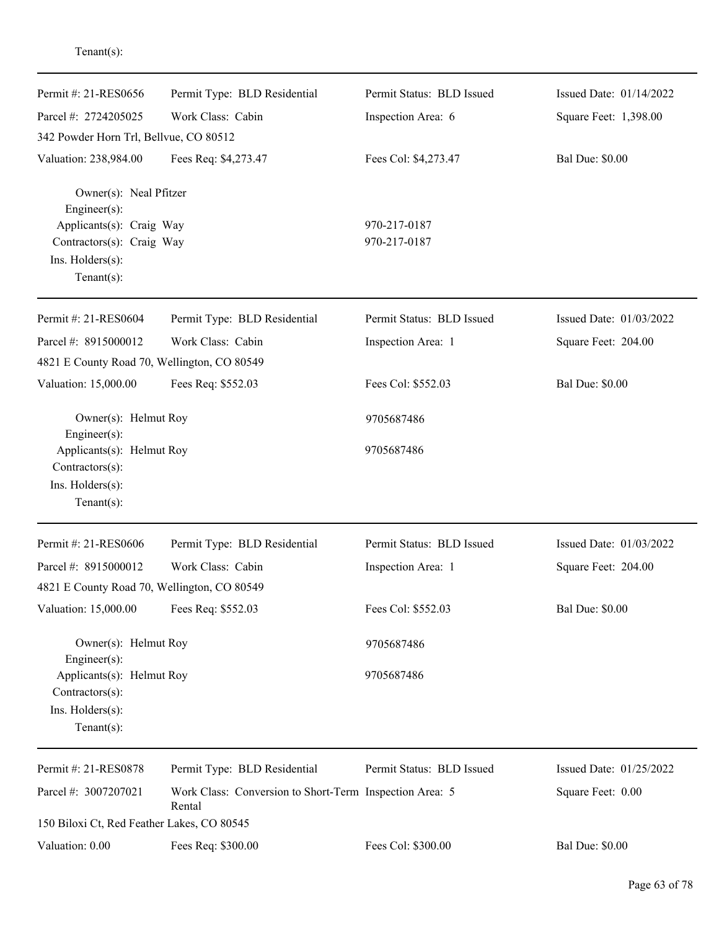| Permit #: 21-RES0656                                                                              | Permit Type: BLD Residential                                      | Permit Status: BLD Issued | Issued Date: 01/14/2022 |
|---------------------------------------------------------------------------------------------------|-------------------------------------------------------------------|---------------------------|-------------------------|
| Parcel #: 2724205025                                                                              | Work Class: Cabin                                                 | Inspection Area: 6        | Square Feet: 1,398.00   |
| 342 Powder Horn Trl, Bellvue, CO 80512                                                            |                                                                   |                           |                         |
| Valuation: 238,984.00                                                                             | Fees Req: \$4,273.47                                              | Fees Col: \$4,273.47      | <b>Bal Due: \$0.00</b>  |
| Owner(s): Neal Pfitzer<br>Engineer(s):                                                            |                                                                   |                           |                         |
| Applicants(s): Craig Way                                                                          |                                                                   | 970-217-0187              |                         |
| Contractors(s): Craig Way<br>Ins. Holders(s):                                                     |                                                                   | 970-217-0187              |                         |
| Tenant $(s)$ :                                                                                    |                                                                   |                           |                         |
| Permit #: 21-RES0604                                                                              | Permit Type: BLD Residential                                      | Permit Status: BLD Issued | Issued Date: 01/03/2022 |
| Parcel #: 8915000012                                                                              | Work Class: Cabin                                                 | Inspection Area: 1        | Square Feet: 204.00     |
| 4821 E County Road 70, Wellington, CO 80549                                                       |                                                                   |                           |                         |
| Valuation: 15,000.00                                                                              | Fees Req: \$552.03                                                | Fees Col: \$552.03        | <b>Bal Due: \$0.00</b>  |
| Owner(s): Helmut Roy                                                                              |                                                                   | 9705687486                |                         |
| Engineer(s):<br>Applicants(s): Helmut Roy<br>Contractors(s):<br>Ins. Holders(s):                  |                                                                   | 9705687486                |                         |
| Tenant $(s)$ :                                                                                    |                                                                   |                           |                         |
| Permit #: 21-RES0606                                                                              | Permit Type: BLD Residential                                      | Permit Status: BLD Issued | Issued Date: 01/03/2022 |
| Parcel #: 8915000012                                                                              | Work Class: Cabin                                                 | Inspection Area: 1        | Square Feet: 204.00     |
| 4821 E County Road 70, Wellington, CO 80549                                                       |                                                                   |                           |                         |
| Valuation: 15,000.00                                                                              | Fees Req: \$552.03                                                | Fees Col: \$552.03        | <b>Bal Due: \$0.00</b>  |
| Owner(s): Helmut Roy                                                                              |                                                                   | 9705687486                |                         |
| Engineer(s):<br>Applicants(s): Helmut Roy<br>Contractors(s):<br>Ins. Holders(s):<br>$Tenant(s)$ : |                                                                   | 9705687486                |                         |
| Permit #: 21-RES0878                                                                              | Permit Type: BLD Residential                                      | Permit Status: BLD Issued | Issued Date: 01/25/2022 |
| Parcel #: 3007207021                                                                              | Work Class: Conversion to Short-Term Inspection Area: 5<br>Rental |                           | Square Feet: 0.00       |
| 150 Biloxi Ct, Red Feather Lakes, CO 80545                                                        |                                                                   |                           |                         |
| Valuation: 0.00                                                                                   | Fees Req: \$300.00                                                | Fees Col: \$300.00        | <b>Bal Due: \$0.00</b>  |

Tenant(s):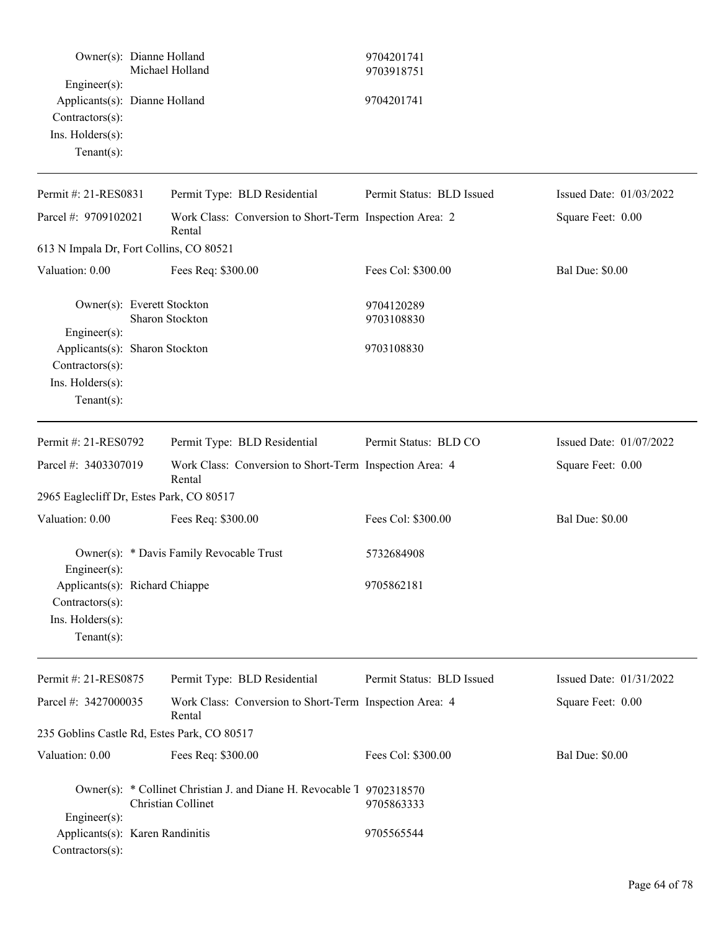| Owner(s): Dianne Holland                                                                               | Michael Holland                                                                             | 9704201741<br>9703918751  |                         |
|--------------------------------------------------------------------------------------------------------|---------------------------------------------------------------------------------------------|---------------------------|-------------------------|
| Engineer(s):<br>Applicants(s): Dianne Holland<br>Contractors(s):<br>Ins. Holders(s):<br>Tenant $(s)$ : |                                                                                             | 9704201741                |                         |
| Permit #: 21-RES0831                                                                                   | Permit Type: BLD Residential                                                                | Permit Status: BLD Issued | Issued Date: 01/03/2022 |
| Parcel #: 9709102021                                                                                   | Work Class: Conversion to Short-Term Inspection Area: 2<br>Rental                           |                           | Square Feet: 0.00       |
| 613 N Impala Dr, Fort Collins, CO 80521                                                                |                                                                                             |                           |                         |
| Valuation: 0.00                                                                                        | Fees Req: \$300.00                                                                          | Fees Col: \$300.00        | <b>Bal Due: \$0.00</b>  |
| Owner(s): Everett Stockton<br>Engineer(s):                                                             | Sharon Stockton                                                                             | 9704120289<br>9703108830  |                         |
| Applicants(s): Sharon Stockton<br>Contractors(s):<br>Ins. Holders(s):<br>Tenant $(s)$ :                |                                                                                             | 9703108830                |                         |
| Permit #: 21-RES0792                                                                                   | Permit Type: BLD Residential                                                                | Permit Status: BLD CO     | Issued Date: 01/07/2022 |
| Parcel #: 3403307019                                                                                   | Work Class: Conversion to Short-Term Inspection Area: 4<br>Rental                           |                           | Square Feet: 0.00       |
| 2965 Eaglecliff Dr, Estes Park, CO 80517                                                               |                                                                                             |                           |                         |
| Valuation: 0.00                                                                                        | Fees Req: \$300.00                                                                          | Fees Col: \$300.00        | <b>Bal Due: \$0.00</b>  |
| $Engineering(s)$ :                                                                                     | Owner(s): * Davis Family Revocable Trust                                                    | 5732684908                |                         |
| Applicants(s): Richard Chiappe<br>Contractors(s):<br>Ins. Holders(s):<br>Tenant $(s)$ :                |                                                                                             | 9705862181                |                         |
| Permit #: 21-RES0875                                                                                   | Permit Type: BLD Residential                                                                | Permit Status: BLD Issued | Issued Date: 01/31/2022 |
| Parcel #: 3427000035                                                                                   | Work Class: Conversion to Short-Term Inspection Area: 4<br>Rental                           |                           | Square Feet: 0.00       |
| 235 Goblins Castle Rd, Estes Park, CO 80517                                                            |                                                                                             |                           |                         |
| Valuation: 0.00                                                                                        | Fees Req: \$300.00                                                                          | Fees Col: \$300.00        | <b>Bal Due: \$0.00</b>  |
| Engineer(s):                                                                                           | Owner(s): * Collinet Christian J. and Diane H. Revocable 1 9702318570<br>Christian Collinet | 9705863333                |                         |
| Applicants(s): Karen Randinitis<br>Contractors(s):                                                     |                                                                                             | 9705565544                |                         |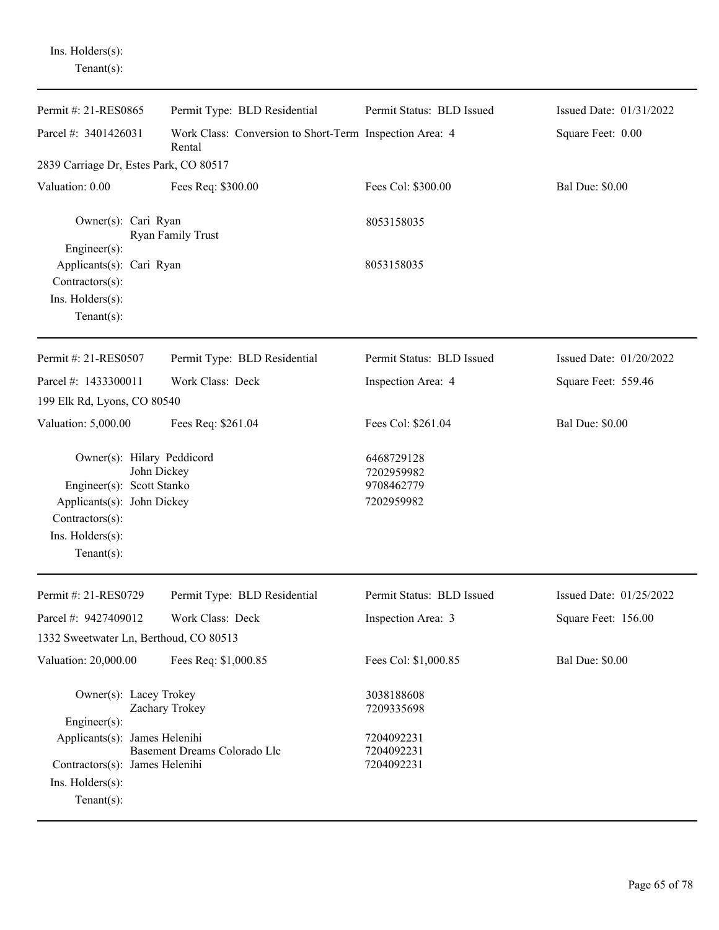Ins. Holders(s): Tenant(s):

| Permit #: 21-RES0865                                                                                                                                          | Permit Type: BLD Residential                                      | Permit Status: BLD Issued                                          | Issued Date: 01/31/2022 |
|---------------------------------------------------------------------------------------------------------------------------------------------------------------|-------------------------------------------------------------------|--------------------------------------------------------------------|-------------------------|
| Parcel #: 3401426031                                                                                                                                          | Work Class: Conversion to Short-Term Inspection Area: 4<br>Rental |                                                                    | Square Feet: 0.00       |
| 2839 Carriage Dr, Estes Park, CO 80517                                                                                                                        |                                                                   |                                                                    |                         |
| Valuation: 0.00                                                                                                                                               | Fees Req: \$300.00                                                | Fees Col: \$300.00                                                 | <b>Bal Due: \$0.00</b>  |
| Owner(s): Cari Ryan<br>Engineer(s):                                                                                                                           | Ryan Family Trust                                                 | 8053158035                                                         |                         |
| Applicants(s): Cari Ryan<br>Contractors(s):<br>Ins. Holders(s):<br>Tenant $(s)$ :                                                                             |                                                                   | 8053158035                                                         |                         |
| Permit #: 21-RES0507                                                                                                                                          | Permit Type: BLD Residential                                      | Permit Status: BLD Issued                                          | Issued Date: 01/20/2022 |
| Parcel #: 1433300011                                                                                                                                          | Work Class: Deck                                                  | Inspection Area: 4                                                 | Square Feet: 559.46     |
| 199 Elk Rd, Lyons, CO 80540                                                                                                                                   |                                                                   |                                                                    |                         |
| Valuation: 5,000.00                                                                                                                                           | Fees Req: \$261.04                                                | Fees Col: \$261.04                                                 | <b>Bal Due: \$0.00</b>  |
| Owner(s): Hilary Peddicord<br>John Dickey<br>Engineer(s): Scott Stanko<br>Applicants(s): John Dickey<br>Contractors(s):<br>Ins. Holders(s):<br>Tenant $(s)$ : |                                                                   | 6468729128<br>7202959982<br>9708462779<br>7202959982               |                         |
| Permit #: 21-RES0729                                                                                                                                          | Permit Type: BLD Residential                                      | Permit Status: BLD Issued                                          | Issued Date: 01/25/2022 |
| Parcel #: 9427409012                                                                                                                                          | Work Class: Deck                                                  | Inspection Area: 3                                                 | Square Feet: 156.00     |
| 1332 Sweetwater Ln, Berthoud, CO 80513                                                                                                                        |                                                                   |                                                                    |                         |
| Valuation: 20,000.00                                                                                                                                          | Fees Req: \$1,000.85                                              | Fees Col: \$1,000.85                                               | <b>Bal Due: \$0.00</b>  |
| Owner(s): Lacey Trokey<br>Engineer(s):<br>Applicants(s): James Helenihi<br>Contractors(s): James Helenihi                                                     | Zachary Trokey<br>Basement Dreams Colorado Llc                    | 3038188608<br>7209335698<br>7204092231<br>7204092231<br>7204092231 |                         |
| Ins. Holders(s):<br>Tenant $(s)$ :                                                                                                                            |                                                                   |                                                                    |                         |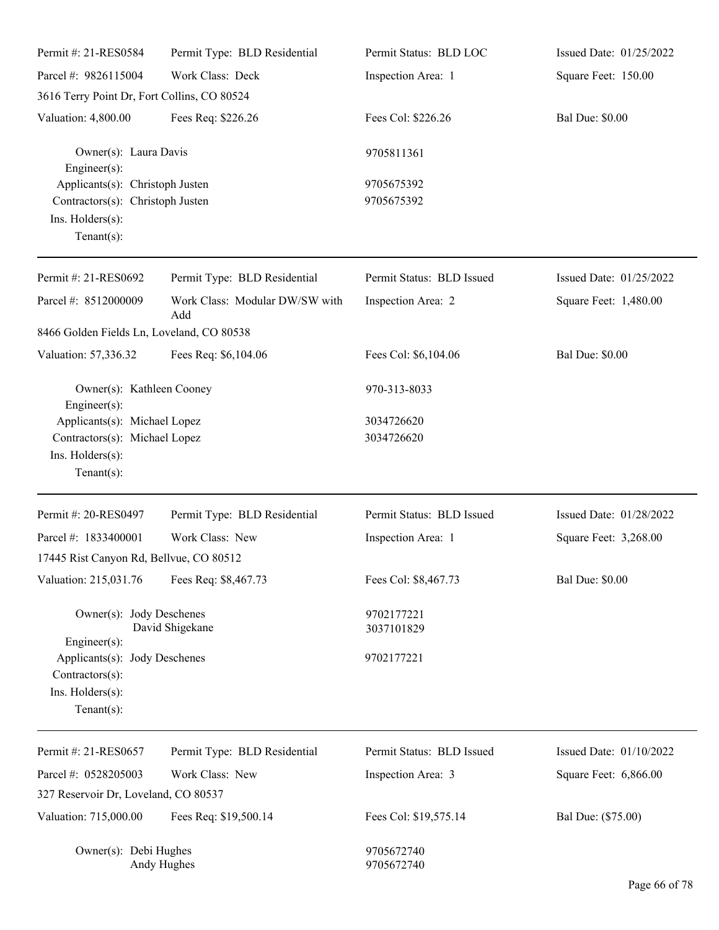| Permit #: 21-RES0584                                                                                      | Permit Type: BLD Residential          | Permit Status: BLD LOC    | Issued Date: 01/25/2022 |
|-----------------------------------------------------------------------------------------------------------|---------------------------------------|---------------------------|-------------------------|
| Parcel #: 9826115004                                                                                      | Work Class: Deck                      | Inspection Area: 1        | Square Feet: 150.00     |
| 3616 Terry Point Dr, Fort Collins, CO 80524                                                               |                                       |                           |                         |
| Valuation: 4,800.00                                                                                       | Fees Req: \$226.26                    | Fees Col: \$226.26        | <b>Bal Due: \$0.00</b>  |
| Owner(s): Laura Davis<br>$Engineering(s)$ :                                                               |                                       | 9705811361                |                         |
| Applicants(s): Christoph Justen<br>Contractors(s): Christoph Justen<br>Ins. Holders(s):<br>Tenant $(s)$ : |                                       | 9705675392<br>9705675392  |                         |
| Permit #: 21-RES0692                                                                                      | Permit Type: BLD Residential          | Permit Status: BLD Issued | Issued Date: 01/25/2022 |
| Parcel #: 8512000009                                                                                      | Work Class: Modular DW/SW with<br>Add | Inspection Area: 2        | Square Feet: 1,480.00   |
| 8466 Golden Fields Ln, Loveland, CO 80538                                                                 |                                       |                           |                         |
| Valuation: 57,336.32                                                                                      | Fees Req: \$6,104.06                  | Fees Col: \$6,104.06      | <b>Bal Due: \$0.00</b>  |
| Owner(s): Kathleen Cooney<br>Engineer(s):                                                                 |                                       | 970-313-8033              |                         |
| Applicants(s): Michael Lopez<br>Contractors(s): Michael Lopez<br>Ins. Holders(s):<br>Tenant $(s)$ :       |                                       | 3034726620<br>3034726620  |                         |
| Permit #: 20-RES0497                                                                                      | Permit Type: BLD Residential          | Permit Status: BLD Issued | Issued Date: 01/28/2022 |
| Parcel #: 1833400001                                                                                      | Work Class: New                       | Inspection Area: 1        | Square Feet: 3,268.00   |
| 17445 Rist Canyon Rd, Bellvue, CO 80512                                                                   |                                       |                           |                         |
| Valuation: 215,031.76                                                                                     | Fees Req: \$8,467.73                  | Fees Col: \$8,467.73      | <b>Bal Due: \$0.00</b>  |
| Owner(s): Jody Deschenes<br>$Engineering(s)$ :                                                            | David Shigekane                       | 9702177221<br>3037101829  |                         |
| Applicants(s): Jody Deschenes<br>Contractors(s):<br>Ins. Holders(s):<br>Tenant $(s)$ :                    |                                       | 9702177221                |                         |
| Permit #: 21-RES0657                                                                                      | Permit Type: BLD Residential          | Permit Status: BLD Issued | Issued Date: 01/10/2022 |
| Parcel #: 0528205003                                                                                      | Work Class: New                       | Inspection Area: 3        | Square Feet: 6,866.00   |
| 327 Reservoir Dr, Loveland, CO 80537                                                                      |                                       |                           |                         |
| Valuation: 715,000.00                                                                                     | Fees Req: \$19,500.14                 | Fees Col: \$19,575.14     | Bal Due: (\$75.00)      |
| Owner(s): Debi Hughes                                                                                     | Andy Hughes                           | 9705672740<br>9705672740  |                         |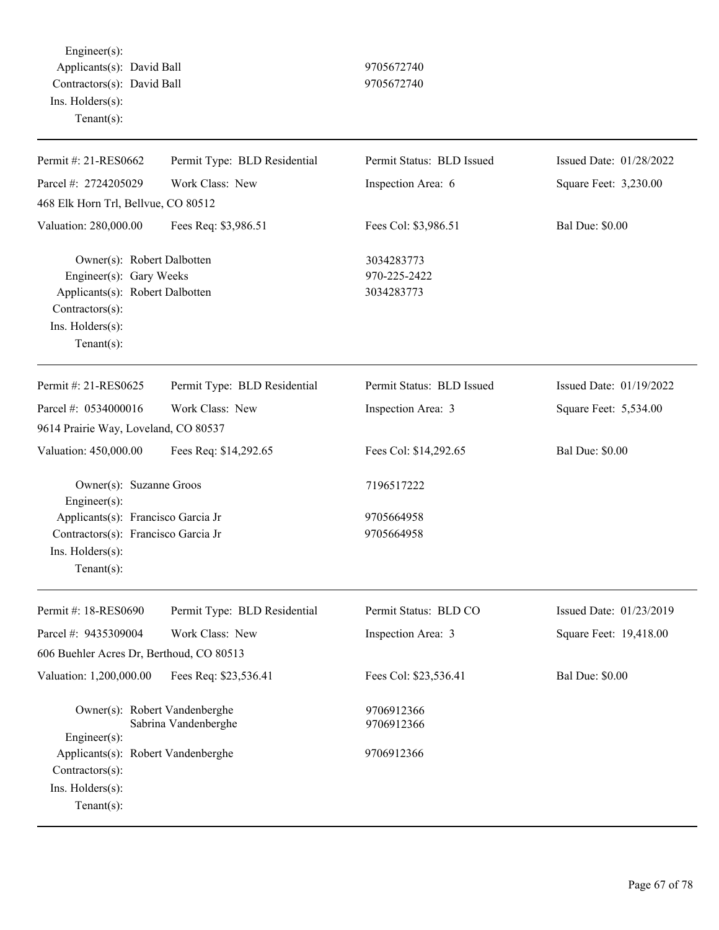Engineer(s): Applicants(s): David Ball 9705672740 Contractors(s): David Ball 9705672740 Ins. Holders(s): Tenant(s):

| Permit #: 21-RES0662                                                                                                                              | Permit Type: BLD Residential | Permit Status: BLD Issued                | Issued Date: 01/28/2022 |
|---------------------------------------------------------------------------------------------------------------------------------------------------|------------------------------|------------------------------------------|-------------------------|
| Parcel #: 2724205029                                                                                                                              | Work Class: New              | Inspection Area: 6                       | Square Feet: 3,230.00   |
| 468 Elk Horn Trl, Bellvue, CO 80512                                                                                                               |                              |                                          |                         |
| Valuation: 280,000.00                                                                                                                             | Fees Req: \$3,986.51         | Fees Col: \$3,986.51                     | <b>Bal Due: \$0.00</b>  |
| Owner(s): Robert Dalbotten<br>Engineer(s): Gary Weeks<br>Applicants(s): Robert Dalbotten<br>Contractors(s):<br>Ins. Holders(s):<br>Tenant $(s)$ : |                              | 3034283773<br>970-225-2422<br>3034283773 |                         |
| Permit #: 21-RES0625                                                                                                                              | Permit Type: BLD Residential | Permit Status: BLD Issued                | Issued Date: 01/19/2022 |
| Parcel #: 0534000016                                                                                                                              | Work Class: New              | Inspection Area: 3                       | Square Feet: 5,534.00   |
| 9614 Prairie Way, Loveland, CO 80537                                                                                                              |                              |                                          |                         |
| Valuation: 450,000.00                                                                                                                             | Fees Req: \$14,292.65        | Fees Col: \$14,292.65                    | <b>Bal Due: \$0.00</b>  |
| Owner(s): Suzanne Groos<br>$Engineering(s)$ :                                                                                                     |                              | 7196517222                               |                         |
| Applicants(s): Francisco Garcia Jr<br>Contractors(s): Francisco Garcia Jr<br>Ins. Holders(s):<br>$Tenant(s)$ :                                    |                              | 9705664958<br>9705664958                 |                         |
| Permit #: 18-RES0690                                                                                                                              | Permit Type: BLD Residential | Permit Status: BLD CO                    | Issued Date: 01/23/2019 |
| Parcel #: 9435309004                                                                                                                              | Work Class: New              | Inspection Area: 3                       | Square Feet: 19,418.00  |
| 606 Buehler Acres Dr, Berthoud, CO 80513                                                                                                          |                              |                                          |                         |
| Valuation: 1,200,000.00                                                                                                                           | Fees Req: \$23,536.41        | Fees Col: \$23,536.41                    | <b>Bal Due: \$0.00</b>  |
| Owner(s): Robert Vandenberghe<br>Engineer(s):                                                                                                     | Sabrina Vandenberghe         | 9706912366<br>9706912366                 |                         |
| Applicants(s): Robert Vandenberghe<br>Contractors(s):<br>Ins. Holders(s):<br>Tenant $(s)$ :                                                       |                              | 9706912366                               |                         |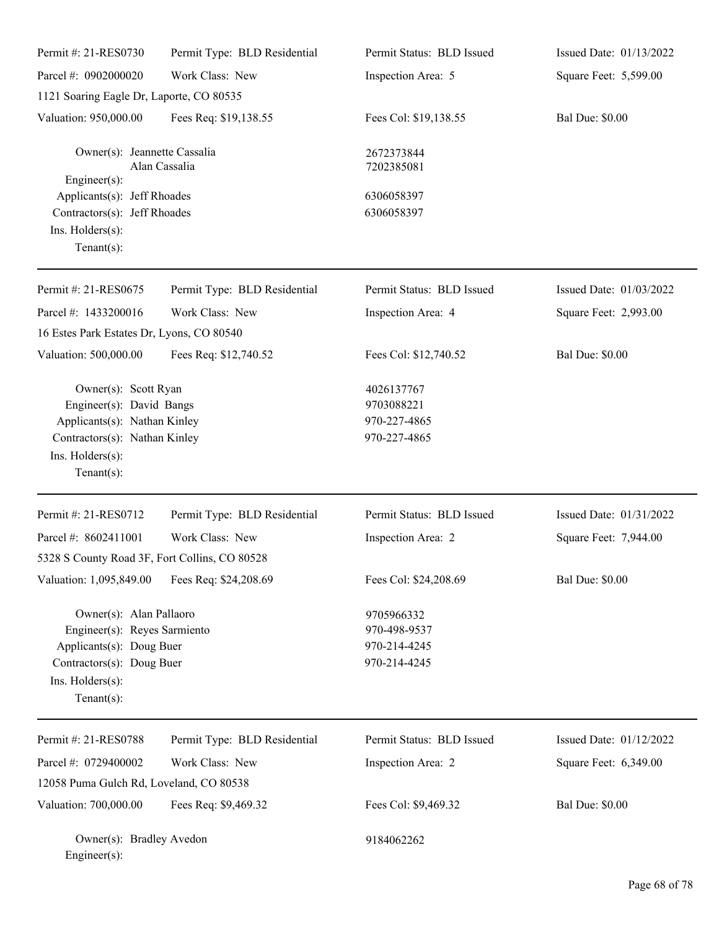| Permit #: 21-RES0730                                                                                                                                    | Permit Type: BLD Residential | Permit Status: BLD Issued                                  | Issued Date: 01/13/2022 |
|---------------------------------------------------------------------------------------------------------------------------------------------------------|------------------------------|------------------------------------------------------------|-------------------------|
| Parcel #: 0902000020                                                                                                                                    | Work Class: New              | Inspection Area: 5                                         | Square Feet: 5,599.00   |
| 1121 Soaring Eagle Dr, Laporte, CO 80535                                                                                                                |                              |                                                            |                         |
| Valuation: 950,000.00                                                                                                                                   | Fees Req: \$19,138.55        | Fees Col: \$19,138.55                                      | <b>Bal Due: \$0.00</b>  |
| Owner(s): Jeannette Cassalia<br>Engineer(s):                                                                                                            | Alan Cassalia                | 2672373844<br>7202385081                                   |                         |
| Applicants(s): Jeff Rhoades<br>Contractors(s): Jeff Rhoades<br>Ins. Holders(s):<br>Tenant $(s)$ :                                                       |                              | 6306058397<br>6306058397                                   |                         |
| Permit #: 21-RES0675                                                                                                                                    | Permit Type: BLD Residential | Permit Status: BLD Issued                                  | Issued Date: 01/03/2022 |
| Parcel #: 1433200016                                                                                                                                    | Work Class: New              | Inspection Area: 4                                         | Square Feet: 2,993.00   |
| 16 Estes Park Estates Dr, Lyons, CO 80540                                                                                                               |                              |                                                            |                         |
| Valuation: 500,000.00                                                                                                                                   | Fees Req: \$12,740.52        | Fees Col: \$12,740.52                                      | <b>Bal Due: \$0.00</b>  |
| Owner(s): Scott Ryan<br>Engineer(s): David Bangs<br>Applicants(s): Nathan Kinley<br>Contractors(s): Nathan Kinley<br>Ins. Holders(s):<br>Tenant $(s)$ : |                              | 4026137767<br>9703088221<br>970-227-4865<br>970-227-4865   |                         |
| Permit #: 21-RES0712                                                                                                                                    | Permit Type: BLD Residential | Permit Status: BLD Issued                                  | Issued Date: 01/31/2022 |
| Parcel #: 8602411001                                                                                                                                    | Work Class: New              | Inspection Area: 2                                         | Square Feet: 7,944.00   |
| 5328 S County Road 3F, Fort Collins, CO 80528                                                                                                           |                              |                                                            |                         |
| Valuation: 1,095,849.00                                                                                                                                 | Fees Req: \$24,208.69        | Fees Col: \$24,208.69                                      | <b>Bal Due: \$0.00</b>  |
| Owner(s): Alan Pallaoro<br>Engineer(s): Reyes Sarmiento<br>Applicants(s): Doug Buer<br>Contractors(s): Doug Buer<br>Ins. Holders(s):<br>Tenant $(s)$ :  |                              | 9705966332<br>970-498-9537<br>970-214-4245<br>970-214-4245 |                         |
| Permit #: 21-RES0788                                                                                                                                    | Permit Type: BLD Residential | Permit Status: BLD Issued                                  | Issued Date: 01/12/2022 |
| Parcel #: 0729400002                                                                                                                                    | Work Class: New              | Inspection Area: 2                                         | Square Feet: 6,349.00   |
| 12058 Puma Gulch Rd, Loveland, CO 80538                                                                                                                 |                              |                                                            |                         |
| Valuation: 700,000.00                                                                                                                                   | Fees Req: \$9,469.32         | Fees Col: \$9,469.32                                       | <b>Bal Due: \$0.00</b>  |
| Owner(s): Bradley Avedon<br>Engineer(s):                                                                                                                |                              | 9184062262                                                 |                         |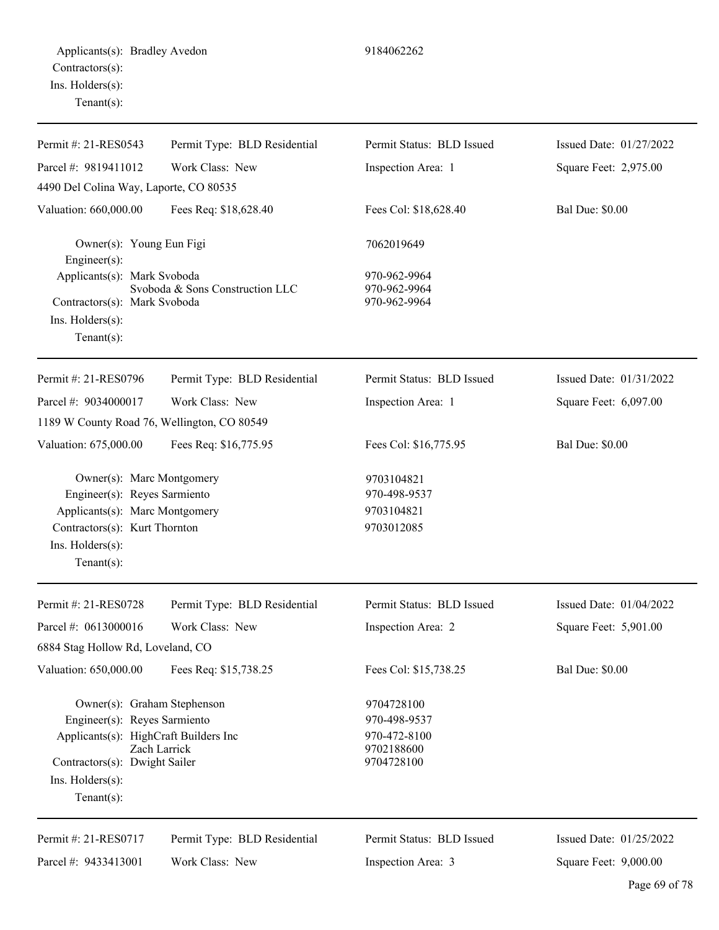| Permit #: 21-RES0543                                                                                                                                                              | Permit Type: BLD Residential    | Permit Status: BLD Issued                                              | Issued Date: 01/27/2022 |
|-----------------------------------------------------------------------------------------------------------------------------------------------------------------------------------|---------------------------------|------------------------------------------------------------------------|-------------------------|
| Parcel #: 9819411012                                                                                                                                                              | Work Class: New                 | Inspection Area: 1                                                     | Square Feet: 2,975.00   |
| 4490 Del Colina Way, Laporte, CO 80535                                                                                                                                            |                                 |                                                                        |                         |
| Valuation: 660,000.00                                                                                                                                                             | Fees Req: \$18,628.40           | Fees Col: \$18,628.40                                                  | <b>Bal Due: \$0.00</b>  |
| Owner(s): Young Eun Figi<br>Engineer(s):                                                                                                                                          |                                 | 7062019649                                                             |                         |
| Applicants(s): Mark Svoboda<br>Contractors(s): Mark Svoboda<br>Ins. Holders(s):<br>Tenant $(s)$ :                                                                                 | Svoboda & Sons Construction LLC | 970-962-9964<br>970-962-9964<br>970-962-9964                           |                         |
| Permit #: 21-RES0796                                                                                                                                                              | Permit Type: BLD Residential    | Permit Status: BLD Issued                                              | Issued Date: 01/31/2022 |
| Parcel #: 9034000017                                                                                                                                                              | Work Class: New                 | Inspection Area: 1                                                     | Square Feet: 6,097.00   |
| 1189 W County Road 76, Wellington, CO 80549                                                                                                                                       |                                 |                                                                        |                         |
| Valuation: 675,000.00                                                                                                                                                             | Fees Req: \$16,775.95           | Fees Col: \$16,775.95                                                  | <b>Bal Due: \$0.00</b>  |
| Owner(s): Marc Montgomery<br>Engineer(s): Reyes Sarmiento<br>Applicants(s): Marc Montgomery<br>Contractors(s): Kurt Thornton<br>Ins. Holders(s):<br>Tenant $(s)$ :                |                                 | 9703104821<br>970-498-9537<br>9703104821<br>9703012085                 |                         |
| Permit #: 21-RES0728                                                                                                                                                              | Permit Type: BLD Residential    | Permit Status: BLD Issued                                              | Issued Date: 01/04/2022 |
| Parcel #: 0613000016<br>6884 Stag Hollow Rd, Loveland, CO                                                                                                                         | Work Class: New                 | Inspection Area: 2                                                     | Square Feet: 5,901.00   |
| Valuation: 650,000.00                                                                                                                                                             | Fees Req: \$15,738.25           | Fees Col: \$15,738.25                                                  | <b>Bal Due: \$0.00</b>  |
| Owner(s): Graham Stephenson<br>Engineer(s): Reyes Sarmiento<br>Applicants(s): HighCraft Builders Inc<br>Contractors(s): Dwight Sailer<br>$Ins.$ Holders $(s)$ :<br>Tenant $(s)$ : | Zach Larrick                    | 9704728100<br>970-498-9537<br>970-472-8100<br>9702188600<br>9704728100 |                         |
| Permit #: 21-RES0717                                                                                                                                                              | Permit Type: BLD Residential    | Permit Status: BLD Issued                                              | Issued Date: 01/25/2022 |

Inspection Area: 3

Parcel #: 9433413001 Work Class: New Square Feet: 9,000.00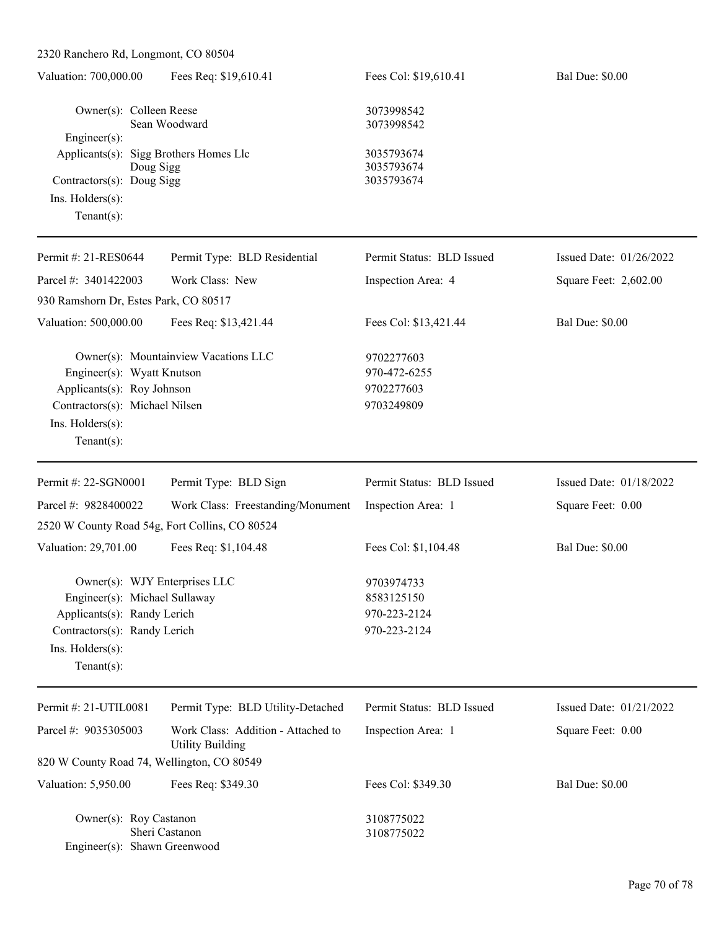| 2320 Ranchero Rd, Longmont, CO 80504                                                                                                                                |                                                               |                                                          |                         |
|---------------------------------------------------------------------------------------------------------------------------------------------------------------------|---------------------------------------------------------------|----------------------------------------------------------|-------------------------|
| Valuation: 700,000.00                                                                                                                                               | Fees Req: \$19,610.41                                         | Fees Col: \$19,610.41                                    | <b>Bal Due: \$0.00</b>  |
| Owner(s): Colleen Reese<br>Engineer(s):                                                                                                                             | Sean Woodward                                                 | 3073998542<br>3073998542                                 |                         |
| Applicants(s): Sigg Brothers Homes Llc<br>Doug Sigg<br>Contractors(s): Doug Sigg<br>Ins. Holders(s):<br>$Tenant(s)$ :                                               |                                                               | 3035793674<br>3035793674<br>3035793674                   |                         |
| Permit #: 21-RES0644                                                                                                                                                | Permit Type: BLD Residential                                  | Permit Status: BLD Issued                                | Issued Date: 01/26/2022 |
| Parcel #: 3401422003                                                                                                                                                | Work Class: New                                               | Inspection Area: 4                                       | Square Feet: 2,602.00   |
| 930 Ramshorn Dr, Estes Park, CO 80517                                                                                                                               |                                                               |                                                          |                         |
| Valuation: 500,000.00                                                                                                                                               | Fees Req: \$13,421.44                                         | Fees Col: \$13,421.44                                    | <b>Bal Due: \$0.00</b>  |
| Engineer(s): Wyatt Knutson<br>Applicants(s): Roy Johnson<br>Contractors(s): Michael Nilsen<br>Ins. Holders(s):<br>$Tenant(s)$ :                                     | Owner(s): Mountainview Vacations LLC                          | 9702277603<br>970-472-6255<br>9702277603<br>9703249809   |                         |
| Permit #: 22-SGN0001                                                                                                                                                | Permit Type: BLD Sign                                         | Permit Status: BLD Issued                                | Issued Date: 01/18/2022 |
| Parcel #: 9828400022                                                                                                                                                | Work Class: Freestanding/Monument                             | Inspection Area: 1                                       | Square Feet: 0.00       |
| 2520 W County Road 54g, Fort Collins, CO 80524                                                                                                                      |                                                               |                                                          |                         |
| Valuation: 29,701.00                                                                                                                                                | Fees Req: \$1,104.48                                          | Fees Col: \$1,104.48                                     | <b>Bal Due: \$0.00</b>  |
| Owner(s): WJY Enterprises LLC<br>Engineer(s): Michael Sullaway<br>Applicants(s): Randy Lerich<br>Contractors(s): Randy Lerich<br>Ins. Holders(s):<br>Tenant $(s)$ : |                                                               | 9703974733<br>8583125150<br>970-223-2124<br>970-223-2124 |                         |
| Permit #: 21-UTIL0081                                                                                                                                               | Permit Type: BLD Utility-Detached                             | Permit Status: BLD Issued                                | Issued Date: 01/21/2022 |
| Parcel #: 9035305003                                                                                                                                                | Work Class: Addition - Attached to<br><b>Utility Building</b> | Inspection Area: 1                                       | Square Feet: 0.00       |
| 820 W County Road 74, Wellington, CO 80549                                                                                                                          |                                                               |                                                          |                         |
| Valuation: 5,950.00                                                                                                                                                 | Fees Req: \$349.30                                            | Fees Col: \$349.30                                       | <b>Bal Due: \$0.00</b>  |

Owner(s): Roy Castanon 3108775022<br>Sheri Castanon 3108775022 Sheri Castanon Engineer(s): Shawn Greenwood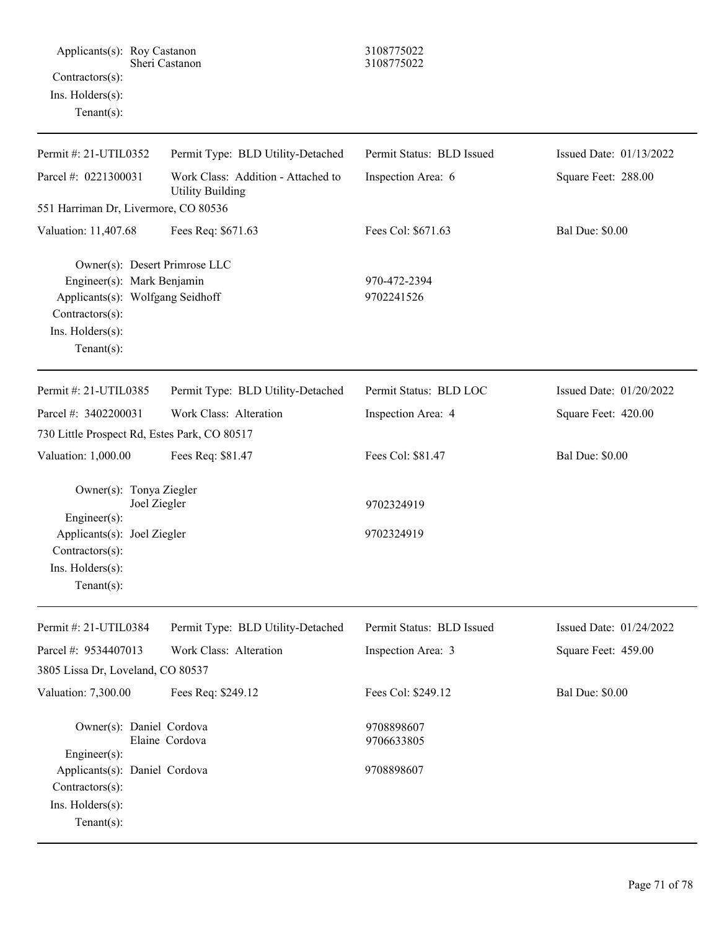| Applicants(s): Roy Castanon<br>Contractors(s):<br>Ins. Holders(s):<br>$Tenant(s)$ :                                                                      | Sheri Castanon                                                                                     | 3108775022<br>3108775022                        |                                                |
|----------------------------------------------------------------------------------------------------------------------------------------------------------|----------------------------------------------------------------------------------------------------|-------------------------------------------------|------------------------------------------------|
| Permit #: 21-UTIL0352<br>Parcel #: 0221300031<br>551 Harriman Dr, Livermore, CO 80536                                                                    | Permit Type: BLD Utility-Detached<br>Work Class: Addition - Attached to<br><b>Utility Building</b> | Permit Status: BLD Issued<br>Inspection Area: 6 | Issued Date: 01/13/2022<br>Square Feet: 288.00 |
| Valuation: 11,407.68                                                                                                                                     | Fees Req: \$671.63                                                                                 | Fees Col: \$671.63                              | <b>Bal Due: \$0.00</b>                         |
| Owner(s): Desert Primrose LLC<br>Engineer(s): Mark Benjamin<br>Applicants(s): Wolfgang Seidhoff<br>Contractors(s):<br>Ins. Holders(s):<br>Tenant $(s)$ : |                                                                                                    | 970-472-2394<br>9702241526                      |                                                |
| Permit #: 21-UTIL0385                                                                                                                                    | Permit Type: BLD Utility-Detached                                                                  | Permit Status: BLD LOC                          | Issued Date: 01/20/2022                        |
| Parcel #: 3402200031<br>730 Little Prospect Rd, Estes Park, CO 80517                                                                                     | Work Class: Alteration                                                                             | Inspection Area: 4                              | Square Feet: 420.00                            |
| Valuation: 1,000.00                                                                                                                                      | Fees Req: \$81.47                                                                                  | Fees Col: \$81.47                               | <b>Bal Due: \$0.00</b>                         |
| Owner(s): Tonya Ziegler<br>Joel Ziegler<br>Engineer(s):<br>Applicants(s): Joel Ziegler<br>Contractors(s):<br>Ins. Holders(s):<br>$Tenant(s)$ :           |                                                                                                    | 9702324919<br>9702324919                        |                                                |
| Permit #: 21-UTIL0384                                                                                                                                    | Permit Type: BLD Utility-Detached                                                                  | Permit Status: BLD Issued                       | Issued Date: 01/24/2022                        |
| Parcel #: 9534407013                                                                                                                                     | Work Class: Alteration                                                                             | Inspection Area: 3                              | Square Feet: 459.00                            |
| 3805 Lissa Dr, Loveland, CO 80537<br>Valuation: 7,300.00                                                                                                 | Fees Req: \$249.12                                                                                 | Fees Col: \$249.12                              | <b>Bal Due: \$0.00</b>                         |
| Owner(s): Daniel Cordova<br>Engineer(s):<br>Applicants(s): Daniel Cordova<br>Contractors(s):<br>Ins. Holders(s):<br>$Tenant(s)$ :                        | Elaine Cordova                                                                                     | 9708898607<br>9706633805<br>9708898607          |                                                |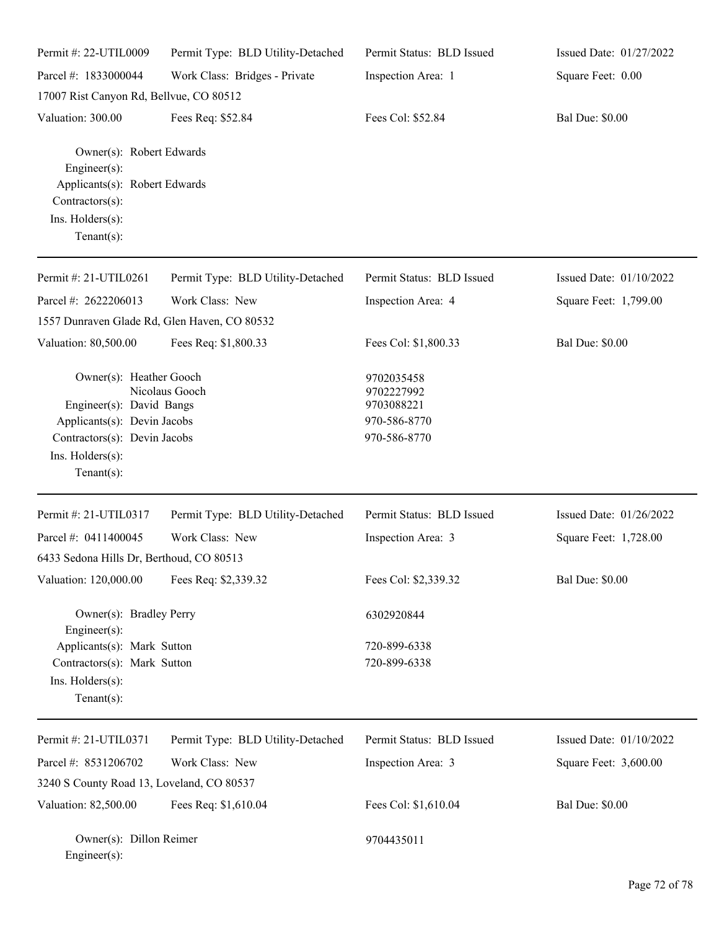| Permit #: 22-UTIL0009                                                                                                                                   | Permit Type: BLD Utility-Detached | Permit Status: BLD Issued                                              | Issued Date: 01/27/2022 |
|---------------------------------------------------------------------------------------------------------------------------------------------------------|-----------------------------------|------------------------------------------------------------------------|-------------------------|
| Parcel #: 1833000044                                                                                                                                    | Work Class: Bridges - Private     | Inspection Area: 1                                                     | Square Feet: 0.00       |
| 17007 Rist Canyon Rd, Bellvue, CO 80512                                                                                                                 |                                   |                                                                        |                         |
| Valuation: 300.00                                                                                                                                       | Fees Req: \$52.84                 | Fees Col: \$52.84                                                      | <b>Bal Due: \$0.00</b>  |
| Owner(s): Robert Edwards<br>Engineer(s):<br>Applicants(s): Robert Edwards<br>Contractors(s):<br>Ins. Holders(s):<br>$Tenant(s)$ :                       |                                   |                                                                        |                         |
| Permit #: 21-UTIL0261                                                                                                                                   | Permit Type: BLD Utility-Detached | Permit Status: BLD Issued                                              | Issued Date: 01/10/2022 |
| Parcel #: 2622206013<br>1557 Dunraven Glade Rd, Glen Haven, CO 80532                                                                                    | Work Class: New                   | Inspection Area: 4                                                     | Square Feet: 1,799.00   |
| Valuation: 80,500.00                                                                                                                                    | Fees Req: \$1,800.33              | Fees Col: \$1,800.33                                                   | <b>Bal Due: \$0.00</b>  |
| Owner(s): Heather Gooch<br>Engineer(s): David Bangs<br>Applicants(s): Devin Jacobs<br>Contractors(s): Devin Jacobs<br>Ins. Holders(s):<br>$Tenant(s)$ : | Nicolaus Gooch                    | 9702035458<br>9702227992<br>9703088221<br>970-586-8770<br>970-586-8770 |                         |
| Permit #: 21-UTIL0317                                                                                                                                   | Permit Type: BLD Utility-Detached | Permit Status: BLD Issued                                              | Issued Date: 01/26/2022 |
| Parcel #: 0411400045                                                                                                                                    | Work Class: New                   | Inspection Area: 3                                                     | Square Feet: 1,728.00   |
| 6433 Sedona Hills Dr, Berthoud, CO 80513                                                                                                                |                                   |                                                                        |                         |
| Valuation: 120,000.00                                                                                                                                   | Fees Req: \$2,339.32              | Fees Col: \$2,339.32                                                   | <b>Bal Due: \$0.00</b>  |
| Owner(s): Bradley Perry<br>Engineer(s):                                                                                                                 |                                   | 6302920844                                                             |                         |
| Applicants(s): Mark Sutton<br>Contractors(s): Mark Sutton<br>Ins. Holders(s):<br>$Tenant(s)$ :                                                          |                                   | 720-899-6338<br>720-899-6338                                           |                         |
| Permit #: 21-UTIL0371                                                                                                                                   | Permit Type: BLD Utility-Detached | Permit Status: BLD Issued                                              | Issued Date: 01/10/2022 |
| Parcel #: 8531206702                                                                                                                                    | Work Class: New                   | Inspection Area: 3                                                     | Square Feet: 3,600.00   |
| 3240 S County Road 13, Loveland, CO 80537                                                                                                               |                                   |                                                                        |                         |
| Valuation: 82,500.00                                                                                                                                    | Fees Req: \$1,610.04              | Fees Col: \$1,610.04                                                   | <b>Bal Due: \$0.00</b>  |
| Owner(s): Dillon Reimer<br>Engineer(s):                                                                                                                 |                                   | 9704435011                                                             |                         |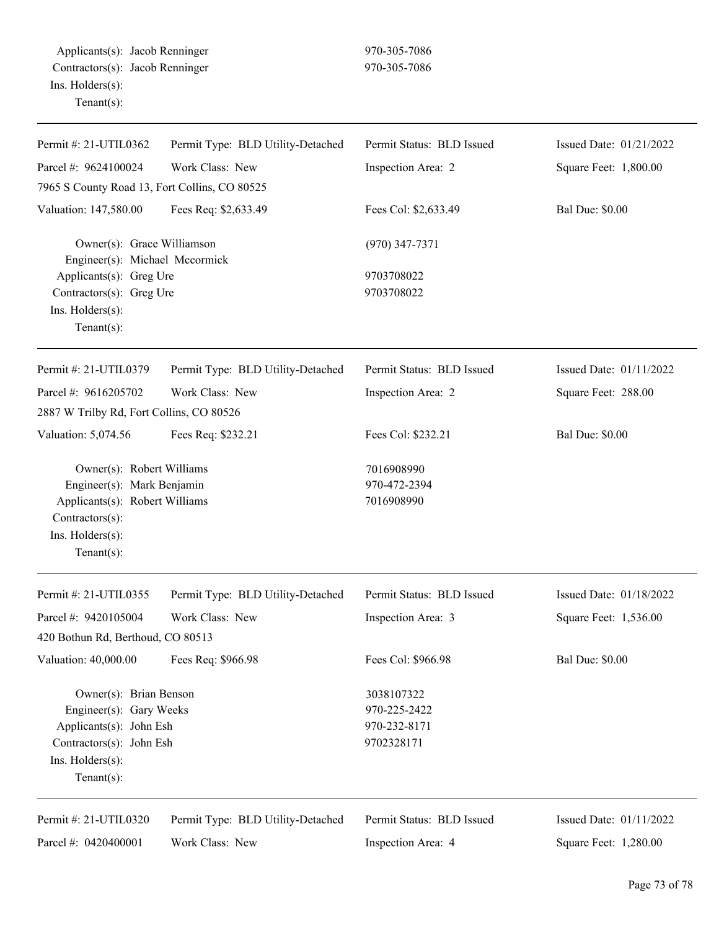Applicants(s): Jacob Renninger 970-305-7086 Contractors(s): Jacob Renninger 970-305-7086 Ins. Holders(s): Tenant(s):

| Permit #: 21-UTIL0362                                                                                                                              | Permit Type: BLD Utility-Detached | Permit Status: BLD Issued                                | Issued Date: 01/21/2022 |
|----------------------------------------------------------------------------------------------------------------------------------------------------|-----------------------------------|----------------------------------------------------------|-------------------------|
| Parcel #: 9624100024                                                                                                                               | Work Class: New                   | Inspection Area: 2                                       | Square Feet: 1,800.00   |
| 7965 S County Road 13, Fort Collins, CO 80525                                                                                                      |                                   |                                                          |                         |
| Valuation: 147,580.00                                                                                                                              | Fees Req: \$2,633.49              | Fees Col: \$2,633.49                                     | <b>Bal Due: \$0.00</b>  |
| Owner(s): Grace Williamson<br>Engineer(s): Michael Mccormick<br>Applicants(s): Greg Ure<br>Contractors(s): Greg Ure<br>Ins. Holders(s):            |                                   | $(970)$ 347-7371<br>9703708022<br>9703708022             |                         |
| Tenant $(s)$ :                                                                                                                                     |                                   |                                                          |                         |
| Permit #: 21-UTIL0379                                                                                                                              | Permit Type: BLD Utility-Detached | Permit Status: BLD Issued                                | Issued Date: 01/11/2022 |
| Parcel #: 9616205702                                                                                                                               | Work Class: New                   | Inspection Area: 2                                       | Square Feet: 288.00     |
| 2887 W Trilby Rd, Fort Collins, CO 80526                                                                                                           |                                   |                                                          |                         |
| Valuation: 5,074.56                                                                                                                                | Fees Req: \$232.21                | Fees Col: \$232.21                                       | <b>Bal Due: \$0.00</b>  |
| Owner(s): Robert Williams<br>Engineer(s): Mark Benjamin<br>Applicants(s): Robert Williams<br>Contractors(s):<br>Ins. Holders(s):<br>Tenant $(s)$ : |                                   | 7016908990<br>970-472-2394<br>7016908990                 |                         |
| Permit #: 21-UTIL0355                                                                                                                              | Permit Type: BLD Utility-Detached | Permit Status: BLD Issued                                | Issued Date: 01/18/2022 |
| Parcel #: 9420105004<br>420 Bothun Rd, Berthoud, CO 80513                                                                                          | Work Class: New                   | Inspection Area: 3                                       | Square Feet: 1,536.00   |
| Valuation: 40,000.00                                                                                                                               | Fees Req: \$966.98                | Fees Col: \$966.98                                       | <b>Bal Due: \$0.00</b>  |
| Owner(s): Brian Benson<br>Engineer(s): Gary Weeks<br>Applicants(s): John Esh<br>Contractors(s): John Esh<br>Ins. Holders(s):<br>Tenant $(s)$ :     |                                   | 3038107322<br>970-225-2422<br>970-232-8171<br>9702328171 |                         |
| Permit #: 21-UTIL0320                                                                                                                              | Permit Type: BLD Utility-Detached | Permit Status: BLD Issued                                | Issued Date: 01/11/2022 |
| Parcel #: 0420400001                                                                                                                               | Work Class: New                   | Inspection Area: 4                                       | Square Feet: 1,280.00   |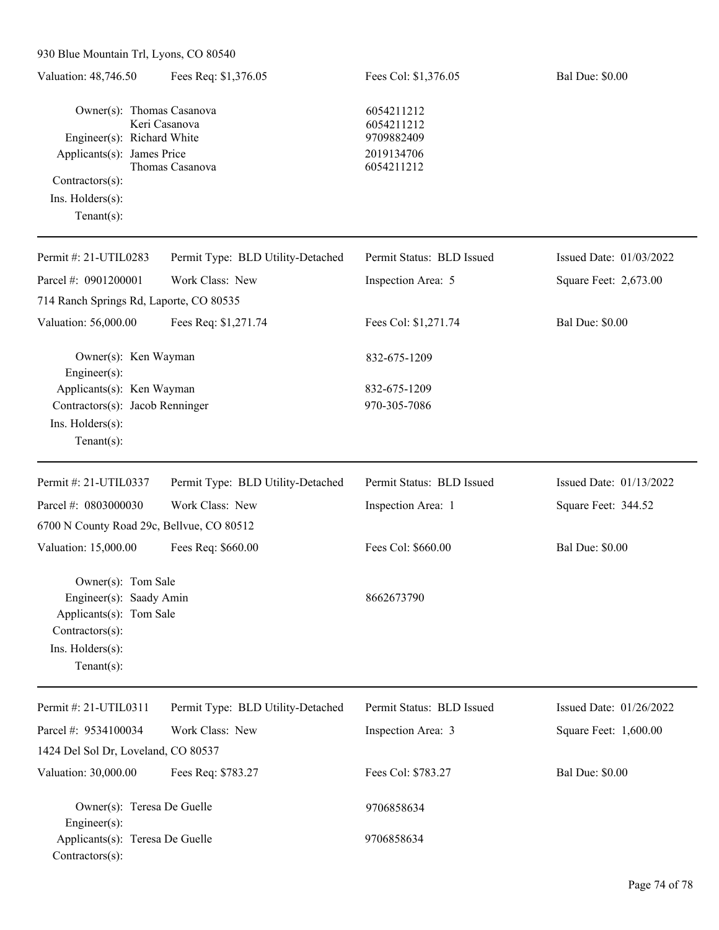930 Blue Mountain Trl, Lyons, CO 80540

| Valuation: 48,746.50                                                                                                                           | Fees Req: \$1,376.05              | Fees Col: \$1,376.05                                               | <b>Bal Due: \$0.00</b>  |
|------------------------------------------------------------------------------------------------------------------------------------------------|-----------------------------------|--------------------------------------------------------------------|-------------------------|
| Owner(s): Thomas Casanova<br>Engineer(s): Richard White<br>Applicants(s): James Price<br>Contractors(s):<br>Ins. Holders(s):<br>Tenant $(s)$ : | Keri Casanova<br>Thomas Casanova  | 6054211212<br>6054211212<br>9709882409<br>2019134706<br>6054211212 |                         |
| Permit #: 21-UTIL0283                                                                                                                          | Permit Type: BLD Utility-Detached | Permit Status: BLD Issued                                          | Issued Date: 01/03/2022 |
| Parcel #: 0901200001<br>714 Ranch Springs Rd, Laporte, CO 80535                                                                                | Work Class: New                   | Inspection Area: 5                                                 | Square Feet: 2,673.00   |
| Valuation: 56,000.00                                                                                                                           | Fees Req: \$1,271.74              | Fees Col: \$1,271.74                                               | <b>Bal Due: \$0.00</b>  |
| Owner(s): Ken Wayman<br>Engineer(s):                                                                                                           |                                   | 832-675-1209                                                       |                         |
| Applicants(s): Ken Wayman<br>Contractors(s): Jacob Renninger<br>Ins. Holders(s):<br>Tenant $(s)$ :                                             |                                   | 832-675-1209<br>970-305-7086                                       |                         |
| Permit #: 21-UTIL0337                                                                                                                          | Permit Type: BLD Utility-Detached | Permit Status: BLD Issued                                          | Issued Date: 01/13/2022 |
| Parcel #: 0803000030<br>6700 N County Road 29c, Bellvue, CO 80512                                                                              | Work Class: New                   | Inspection Area: 1                                                 | Square Feet: 344.52     |
| Valuation: 15,000.00                                                                                                                           | Fees Req: \$660.00                | Fees Col: \$660.00                                                 | <b>Bal Due: \$0.00</b>  |
| Owner(s): Tom Sale<br>Engineer(s): Saady Amin<br>Applicants(s): Tom Sale<br>Contractors(s):<br>Ins. Holders(s):<br>Tenant $(s)$ :              |                                   | 8662673790                                                         |                         |
| Permit #: 21-UTIL0311                                                                                                                          | Permit Type: BLD Utility-Detached | Permit Status: BLD Issued                                          | Issued Date: 01/26/2022 |
| Parcel #: 9534100034<br>1424 Del Sol Dr, Loveland, CO 80537                                                                                    | Work Class: New                   | Inspection Area: 3                                                 | Square Feet: 1,600.00   |
| Valuation: 30,000.00                                                                                                                           | Fees Req: \$783.27                | Fees Col: \$783.27                                                 | <b>Bal Due: \$0.00</b>  |
| Owner(s): Teresa De Guelle<br>Engineer(s):<br>Applicants(s): Teresa De Guelle                                                                  |                                   | 9706858634<br>9706858634                                           |                         |
| Contractors(s):                                                                                                                                |                                   |                                                                    |                         |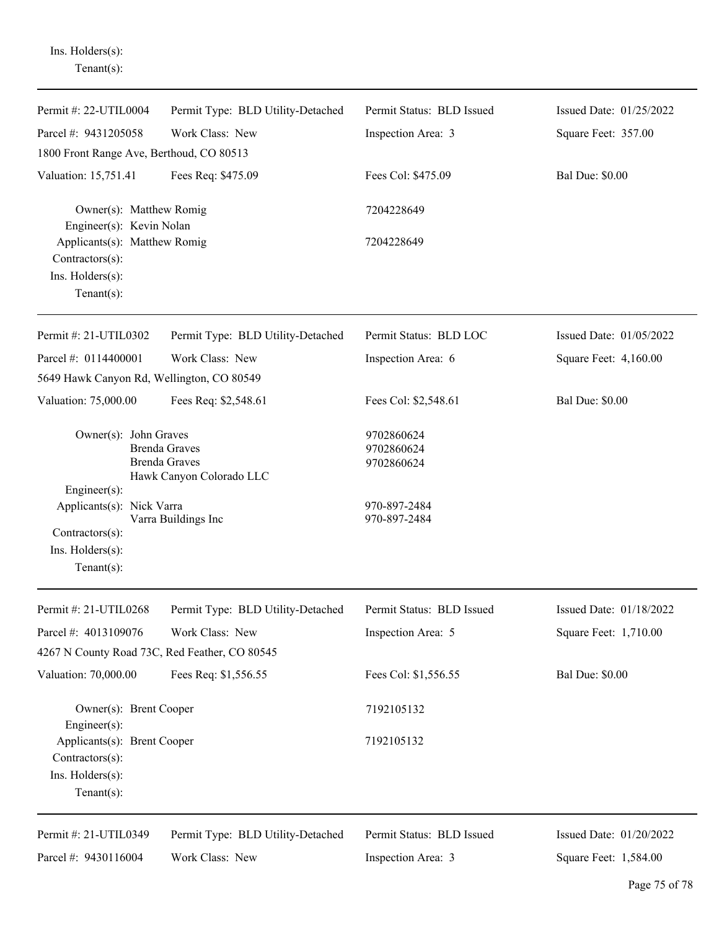| $Tenant(s)$ :                                                                        |                                                                          |                                        |                         |
|--------------------------------------------------------------------------------------|--------------------------------------------------------------------------|----------------------------------------|-------------------------|
| Permit #: 22-UTIL0004                                                                | Permit Type: BLD Utility-Detached                                        | Permit Status: BLD Issued              | Issued Date: 01/25/2022 |
| Parcel #: 9431205058                                                                 | Work Class: New                                                          | Inspection Area: 3                     | Square Feet: 357.00     |
| 1800 Front Range Ave, Berthoud, CO 80513                                             |                                                                          |                                        |                         |
| Valuation: 15,751.41                                                                 | Fees Req: \$475.09                                                       | Fees Col: \$475.09                     | <b>Bal Due: \$0.00</b>  |
| Owner(s): Matthew Romig<br>Engineer(s): Kevin Nolan                                  |                                                                          | 7204228649                             |                         |
| Applicants(s): Matthew Romig<br>Contractors(s):<br>Ins. Holders(s):<br>$Tenant(s)$ : |                                                                          | 7204228649                             |                         |
| Permit #: 21-UTIL0302                                                                | Permit Type: BLD Utility-Detached                                        | Permit Status: BLD LOC                 | Issued Date: 01/05/2022 |
| Parcel #: 0114400001                                                                 | Work Class: New                                                          | Inspection Area: 6                     | Square Feet: 4,160.00   |
| 5649 Hawk Canyon Rd, Wellington, CO 80549                                            |                                                                          |                                        |                         |
| Valuation: 75,000.00                                                                 | Fees Req: \$2,548.61                                                     | Fees Col: \$2,548.61                   | <b>Bal Due: \$0.00</b>  |
| Owner(s): John Graves<br>Engineer(s):                                                | <b>Brenda Graves</b><br><b>Brenda Graves</b><br>Hawk Canyon Colorado LLC | 9702860624<br>9702860624<br>9702860624 |                         |
| Applicants(s): Nick Varra<br>Contractors(s):<br>Ins. Holders(s):<br>$Tenant(s)$ :    | Varra Buildings Inc                                                      | 970-897-2484<br>970-897-2484           |                         |
| Permit #: 21-UTIL0268                                                                | Permit Type: BLD Utility-Detached                                        | Permit Status: BLD Issued              | Issued Date: 01/18/2022 |
| Parcel #: 4013109076                                                                 | Work Class: New                                                          | Inspection Area: 5                     | Square Feet: 1,710.00   |
| 4267 N County Road 73C, Red Feather, CO 80545                                        |                                                                          |                                        |                         |
| Valuation: 70,000.00                                                                 | Fees Req: \$1,556.55                                                     | Fees Col: \$1,556.55                   | <b>Bal Due: \$0.00</b>  |
| Owner(s): Brent Cooper<br>Engineer(s):                                               |                                                                          | 7192105132                             |                         |
| Applicants(s): Brent Cooper<br>Contractors(s):<br>Ins. Holders(s):<br>Tenant $(s)$ : |                                                                          | 7192105132                             |                         |
| Permit #: 21-UTIL0349                                                                | Permit Type: BLD Utility-Detached                                        | Permit Status: BLD Issued              | Issued Date: 01/20/2022 |
| Parcel #: 9430116004                                                                 | Work Class: New                                                          | Inspection Area: 3                     | Square Feet: 1,584.00   |

Ins. Holders(s):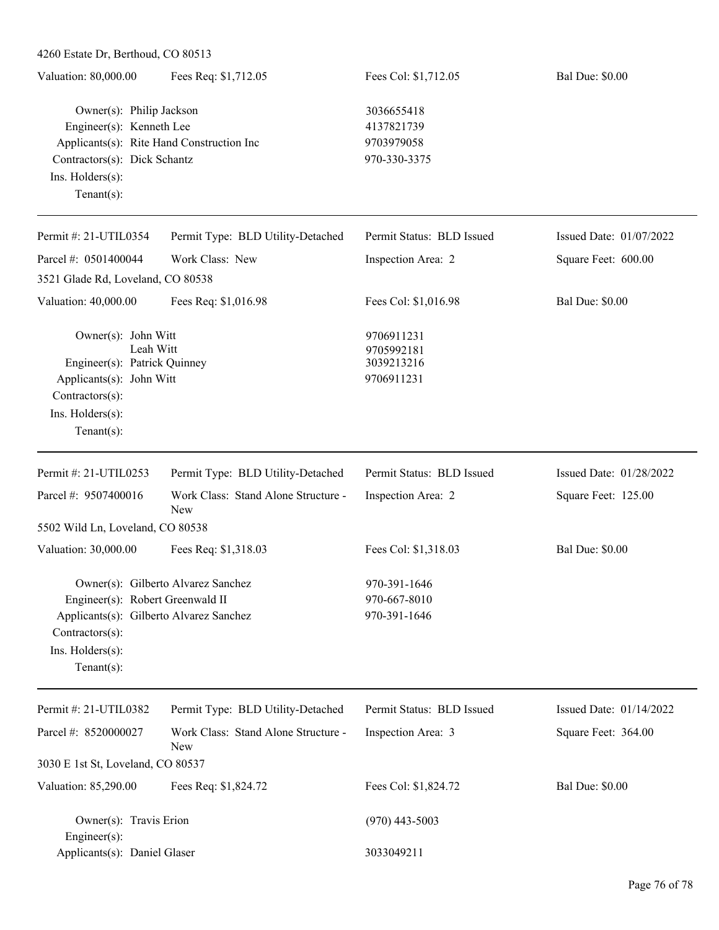| $4200$ Estate DI, Defundad, CO $80313$                                                                                                                                 |                                                   |                                                        |                         |
|------------------------------------------------------------------------------------------------------------------------------------------------------------------------|---------------------------------------------------|--------------------------------------------------------|-------------------------|
| Valuation: 80,000.00                                                                                                                                                   | Fees Req: \$1,712.05                              | Fees Col: \$1,712.05                                   | <b>Bal Due: \$0.00</b>  |
| Owner(s): Philip Jackson<br>Engineer(s): Kenneth Lee<br>Applicants(s): Rite Hand Construction Inc<br>Contractors(s): Dick Schantz<br>Ins. Holders(s):<br>$Tenant(s)$ : |                                                   | 3036655418<br>4137821739<br>9703979058<br>970-330-3375 |                         |
| Permit #: 21-UTIL0354                                                                                                                                                  | Permit Type: BLD Utility-Detached                 | Permit Status: BLD Issued                              | Issued Date: 01/07/2022 |
| Parcel #: 0501400044                                                                                                                                                   | Work Class: New                                   | Inspection Area: 2                                     | Square Feet: 600.00     |
| 3521 Glade Rd, Loveland, CO 80538                                                                                                                                      |                                                   |                                                        |                         |
| Valuation: 40,000.00                                                                                                                                                   | Fees Req: \$1,016.98                              | Fees Col: \$1,016.98                                   | <b>Bal Due: \$0.00</b>  |
| Owner(s): John Witt<br>Leah Witt<br>Engineer(s): Patrick Quinney<br>Applicants(s): John Witt<br>Contractors(s):<br>Ins. Holders(s):<br>$Tenant(s)$ :                   |                                                   | 9706911231<br>9705992181<br>3039213216<br>9706911231   |                         |
| Permit #: 21-UTIL0253                                                                                                                                                  | Permit Type: BLD Utility-Detached                 | Permit Status: BLD Issued                              | Issued Date: 01/28/2022 |
| Parcel #: 9507400016                                                                                                                                                   | Work Class: Stand Alone Structure -<br>New        | Inspection Area: 2                                     | Square Feet: 125.00     |
| 5502 Wild Ln, Loveland, CO 80538                                                                                                                                       |                                                   |                                                        |                         |
| Valuation: 30,000.00                                                                                                                                                   | Fees Req: \$1,318.03                              | Fees Col: \$1,318.03                                   | <b>Bal Due: \$0.00</b>  |
| Engineer(s): Robert Greenwald II<br>Applicants(s): Gilberto Alvarez Sanchez<br>Contractors(s):<br>Ins. Holders(s):<br>Tenant $(s)$ :                                   | Owner(s): Gilberto Alvarez Sanchez                | 970-391-1646<br>970-667-8010<br>970-391-1646           |                         |
| Permit #: 21-UTIL0382                                                                                                                                                  | Permit Type: BLD Utility-Detached                 | Permit Status: BLD Issued                              | Issued Date: 01/14/2022 |
| Parcel #: 8520000027                                                                                                                                                   | Work Class: Stand Alone Structure -<br><b>New</b> | Inspection Area: 3                                     | Square Feet: 364.00     |
| 3030 E 1st St, Loveland, CO 80537                                                                                                                                      |                                                   |                                                        |                         |
| Valuation: 85,290.00                                                                                                                                                   | Fees Req: \$1,824.72                              | Fees Col: \$1,824.72                                   | <b>Bal Due: \$0.00</b>  |
| Owner(s): Travis Erion<br>Engineer(s):                                                                                                                                 |                                                   | $(970)$ 443-5003                                       |                         |

Applicants(s): Daniel Glaser 3033049211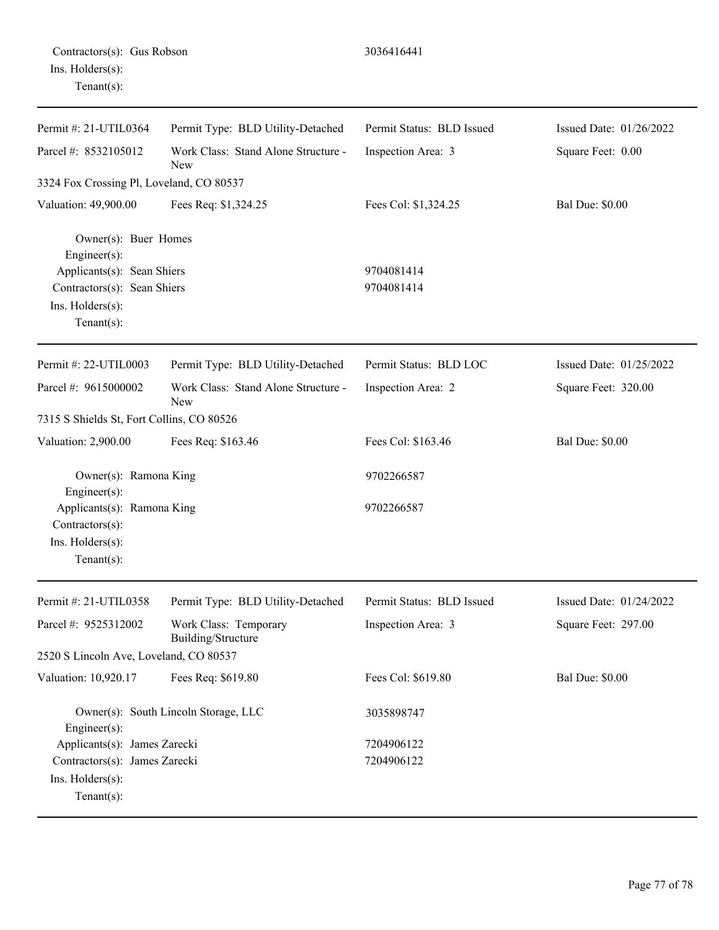| Contractors(s): Gus Robson |  |
|----------------------------|--|
| Ins. Holders(s):           |  |
| $Tenant(s)$ :              |  |

| Permit #: 21-UTIL0364                                                                                                                   | Permit Type: BLD Utility-Detached                 | Permit Status: BLD Issued | Issued Date: 01/26/2022 |
|-----------------------------------------------------------------------------------------------------------------------------------------|---------------------------------------------------|---------------------------|-------------------------|
| Parcel #: 8532105012                                                                                                                    | Work Class: Stand Alone Structure -<br>New        | Inspection Area: 3        | Square Feet: 0.00       |
| 3324 Fox Crossing Pl, Loveland, CO 80537                                                                                                |                                                   |                           |                         |
| Valuation: 49,900.00                                                                                                                    | Fees Req: \$1,324.25                              | Fees Col: \$1,324.25      | <b>Bal Due: \$0.00</b>  |
| Owner(s): Buer Homes<br>Engineer(s):<br>Applicants(s): Sean Shiers<br>Contractors(s): Sean Shiers<br>Ins. Holders(s):<br>Tenant $(s)$ : |                                                   | 9704081414<br>9704081414  |                         |
| Permit #: 22-UTIL0003                                                                                                                   | Permit Type: BLD Utility-Detached                 | Permit Status: BLD LOC    | Issued Date: 01/25/2022 |
| Parcel #: 9615000002                                                                                                                    | Work Class: Stand Alone Structure -<br><b>New</b> | Inspection Area: 2        | Square Feet: 320.00     |
| 7315 S Shields St, Fort Collins, CO 80526                                                                                               |                                                   |                           |                         |
| Valuation: 2,900.00                                                                                                                     | Fees Req: \$163.46                                | Fees Col: \$163.46        | <b>Bal Due: \$0.00</b>  |
| Owner(s): Ramona King<br>Engineer(s):                                                                                                   |                                                   | 9702266587                |                         |
| Applicants(s): Ramona King<br>Contractors(s):<br>Ins. Holders(s):<br>Tenant $(s)$ :                                                     |                                                   | 9702266587                |                         |
| Permit #: 21-UTIL0358                                                                                                                   | Permit Type: BLD Utility-Detached                 | Permit Status: BLD Issued | Issued Date: 01/24/2022 |
| Parcel #: 9525312002                                                                                                                    | Work Class: Temporary<br>Building/Structure       | Inspection Area: 3        | Square Feet: 297.00     |
| 2520 S Lincoln Ave, Loveland, CO 80537                                                                                                  |                                                   |                           |                         |
| Valuation: 10,920.17                                                                                                                    | Fees Req: \$619.80                                | Fees Col: \$619.80        | <b>Bal Due: \$0.00</b>  |
| Engineer(s):                                                                                                                            | Owner(s): South Lincoln Storage, LLC              | 3035898747                |                         |
| Applicants(s): James Zarecki                                                                                                            |                                                   | 7204906122                |                         |
| Contractors(s): James Zarecki<br>Ins. Holders(s):<br>Tenant $(s)$ :                                                                     |                                                   | 7204906122                |                         |